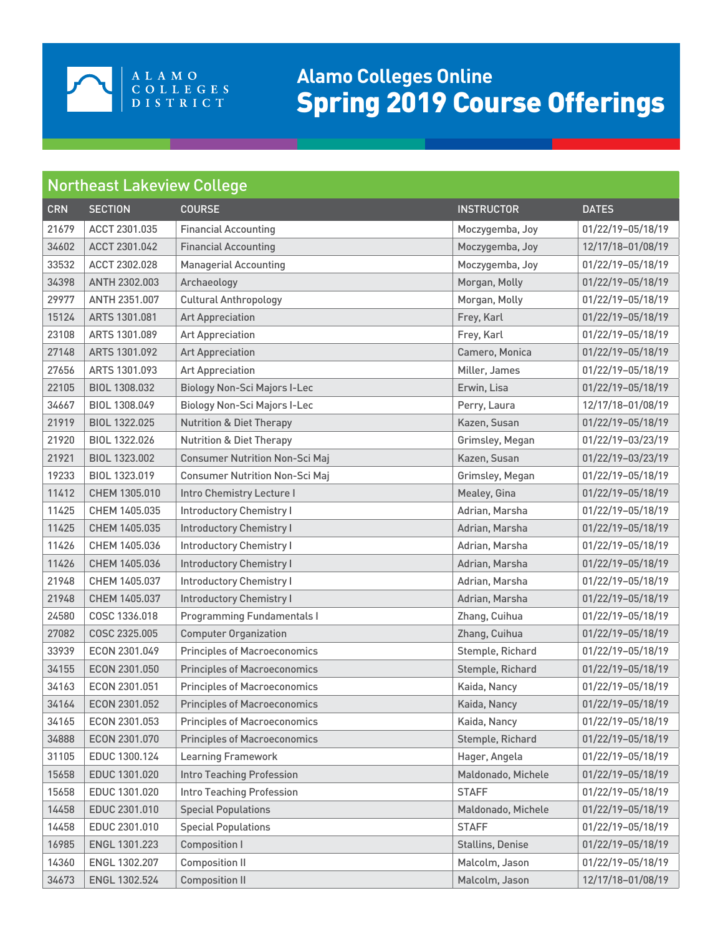

## **Alamo Colleges Online** Spring 2019 Course Offerings

## Northeast Lakeview College

| <b>CRN</b> | <b>SECTION</b> | <b>COURSE</b>                         | <b>INSTRUCTOR</b>       | <b>DATES</b>      |
|------------|----------------|---------------------------------------|-------------------------|-------------------|
| 21679      | ACCT 2301.035  | <b>Financial Accounting</b>           | Moczygemba, Joy         | 01/22/19-05/18/19 |
| 34602      | ACCT 2301.042  | <b>Financial Accounting</b>           | Moczygemba, Joy         | 12/17/18-01/08/19 |
| 33532      | ACCT 2302.028  | <b>Managerial Accounting</b>          | Moczygemba, Joy         | 01/22/19-05/18/19 |
| 34398      | ANTH 2302.003  | Archaeology                           | Morgan, Molly           | 01/22/19-05/18/19 |
| 29977      | ANTH 2351.007  | <b>Cultural Anthropology</b>          | Morgan, Molly           | 01/22/19-05/18/19 |
| 15124      | ARTS 1301.081  | <b>Art Appreciation</b>               | Frey, Karl              | 01/22/19-05/18/19 |
| 23108      | ARTS 1301.089  | <b>Art Appreciation</b>               | Frey, Karl              | 01/22/19-05/18/19 |
| 27148      | ARTS 1301.092  | <b>Art Appreciation</b>               | Camero, Monica          | 01/22/19-05/18/19 |
| 27656      | ARTS 1301.093  | <b>Art Appreciation</b>               | Miller, James           | 01/22/19-05/18/19 |
| 22105      | BIOL 1308.032  | <b>Biology Non-Sci Majors I-Lec</b>   | Erwin, Lisa             | 01/22/19-05/18/19 |
| 34667      | BIOL 1308.049  | <b>Biology Non-Sci Majors I-Lec</b>   | Perry, Laura            | 12/17/18-01/08/19 |
| 21919      | BIOL 1322.025  | <b>Nutrition &amp; Diet Therapy</b>   | Kazen, Susan            | 01/22/19-05/18/19 |
| 21920      | BIOL 1322.026  | <b>Nutrition &amp; Diet Therapy</b>   | Grimsley, Megan         | 01/22/19-03/23/19 |
| 21921      | BIOL 1323.002  | <b>Consumer Nutrition Non-Sci Maj</b> | Kazen, Susan            | 01/22/19-03/23/19 |
| 19233      | BIOL 1323.019  | <b>Consumer Nutrition Non-Sci Maj</b> | Grimsley, Megan         | 01/22/19-05/18/19 |
| 11412      | CHEM 1305.010  | Intro Chemistry Lecture I             | Mealey, Gina            | 01/22/19-05/18/19 |
| 11425      | CHEM 1405.035  | <b>Introductory Chemistry I</b>       | Adrian, Marsha          | 01/22/19-05/18/19 |
| 11425      | CHEM 1405.035  | <b>Introductory Chemistry I</b>       | Adrian, Marsha          | 01/22/19-05/18/19 |
| 11426      | CHEM 1405.036  | <b>Introductory Chemistry I</b>       | Adrian, Marsha          | 01/22/19-05/18/19 |
| 11426      | CHEM 1405.036  | <b>Introductory Chemistry I</b>       | Adrian, Marsha          | 01/22/19-05/18/19 |
| 21948      | CHEM 1405.037  | <b>Introductory Chemistry I</b>       | Adrian, Marsha          | 01/22/19-05/18/19 |
| 21948      | CHEM 1405.037  | <b>Introductory Chemistry I</b>       | Adrian, Marsha          | 01/22/19-05/18/19 |
| 24580      | COSC 1336.018  | <b>Programming Fundamentals I</b>     | Zhang, Cuihua           | 01/22/19-05/18/19 |
| 27082      | COSC 2325.005  | <b>Computer Organization</b>          | Zhang, Cuihua           | 01/22/19-05/18/19 |
| 33939      | ECON 2301.049  | <b>Principles of Macroeconomics</b>   | Stemple, Richard        | 01/22/19-05/18/19 |
| 34155      | ECON 2301.050  | <b>Principles of Macroeconomics</b>   | Stemple, Richard        | 01/22/19-05/18/19 |
| 34163      | ECON 2301.051  | <b>Principles of Macroeconomics</b>   | Kaida, Nancy            | 01/22/19-05/18/19 |
| 34164      | ECON 2301.052  | <b>Principles of Macroeconomics</b>   | Kaida, Nancy            | 01/22/19-05/18/19 |
| 34165      | ECON 2301.053  | <b>Principles of Macroeconomics</b>   | Kaida, Nancy            | 01/22/19-05/18/19 |
| 34888      | ECON 2301.070  | <b>Principles of Macroeconomics</b>   | Stemple, Richard        | 01/22/19-05/18/19 |
| 31105      | EDUC 1300.124  | <b>Learning Framework</b>             | Hager, Angela           | 01/22/19-05/18/19 |
| 15658      | EDUC 1301.020  | Intro Teaching Profession             | Maldonado, Michele      | 01/22/19-05/18/19 |
| 15658      | EDUC 1301.020  | <b>Intro Teaching Profession</b>      | <b>STAFF</b>            | 01/22/19-05/18/19 |
| 14458      | EDUC 2301.010  | <b>Special Populations</b>            | Maldonado, Michele      | 01/22/19-05/18/19 |
| 14458      | EDUC 2301.010  | <b>Special Populations</b>            | <b>STAFF</b>            | 01/22/19-05/18/19 |
| 16985      | ENGL 1301.223  | <b>Composition I</b>                  | <b>Stallins, Denise</b> | 01/22/19-05/18/19 |
| 14360      | ENGL 1302.207  | <b>Composition II</b>                 | Malcolm, Jason          | 01/22/19-05/18/19 |
| 34673      | ENGL 1302.524  | <b>Composition II</b>                 | Malcolm, Jason          | 12/17/18-01/08/19 |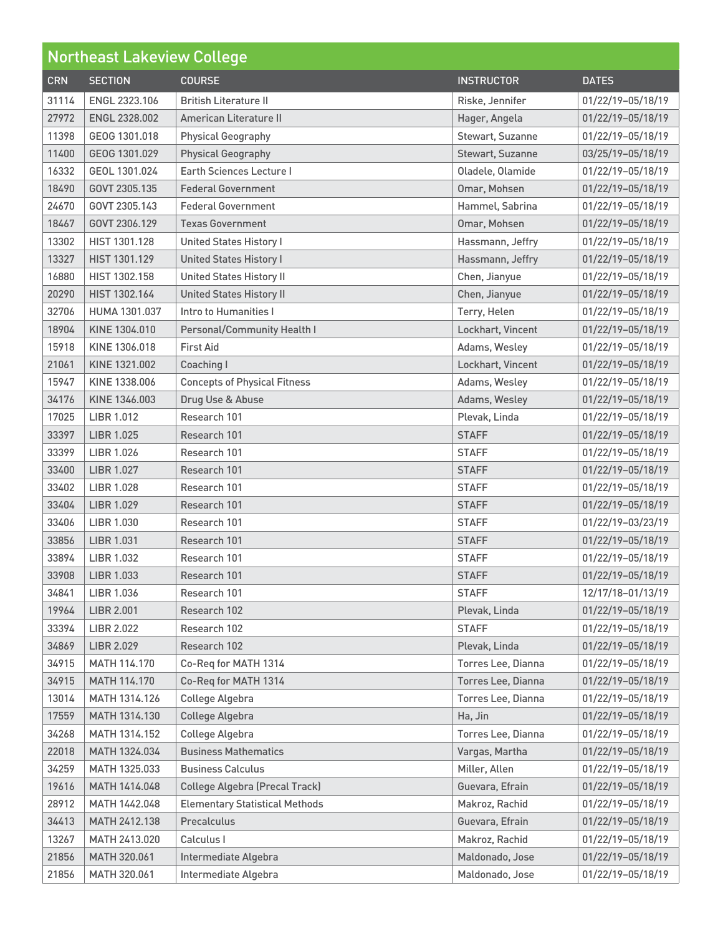| <b>Northeast Lakeview College</b> |                   |                                       |                    |                   |
|-----------------------------------|-------------------|---------------------------------------|--------------------|-------------------|
| <b>CRN</b>                        | <b>SECTION</b>    | <b>COURSE</b>                         | <b>INSTRUCTOR</b>  | <b>DATES</b>      |
| 31114                             | ENGL 2323.106     | <b>British Literature II</b>          | Riske, Jennifer    | 01/22/19-05/18/19 |
| 27972                             | ENGL 2328,002     | American Literature II                | Hager, Angela      | 01/22/19-05/18/19 |
| 11398                             | GEOG 1301.018     | <b>Physical Geography</b>             | Stewart, Suzanne   | 01/22/19-05/18/19 |
| 11400                             | GEOG 1301.029     | <b>Physical Geography</b>             | Stewart, Suzanne   | 03/25/19-05/18/19 |
| 16332                             | GEOL 1301.024     | <b>Earth Sciences Lecture I</b>       | Oladele, Olamide   | 01/22/19-05/18/19 |
| 18490                             | GOVT 2305.135     | <b>Federal Government</b>             | Omar, Mohsen       | 01/22/19-05/18/19 |
| 24670                             | GOVT 2305.143     | <b>Federal Government</b>             | Hammel, Sabrina    | 01/22/19-05/18/19 |
| 18467                             | GOVT 2306.129     | <b>Texas Government</b>               | Omar, Mohsen       | 01/22/19-05/18/19 |
| 13302                             | HIST 1301.128     | <b>United States History I</b>        | Hassmann, Jeffry   | 01/22/19-05/18/19 |
| 13327                             | HIST 1301.129     | <b>United States History I</b>        | Hassmann, Jeffry   | 01/22/19-05/18/19 |
| 16880                             | HIST 1302.158     | <b>United States History II</b>       | Chen, Jianyue      | 01/22/19-05/18/19 |
| 20290                             | HIST 1302.164     | <b>United States History II</b>       | Chen, Jianyue      | 01/22/19-05/18/19 |
| 32706                             | HUMA 1301.037     | Intro to Humanities I                 | Terry, Helen       | 01/22/19-05/18/19 |
| 18904                             | KINE 1304.010     | Personal/Community Health I           | Lockhart, Vincent  | 01/22/19-05/18/19 |
| 15918                             | KINE 1306.018     | <b>First Aid</b>                      | Adams, Wesley      | 01/22/19-05/18/19 |
| 21061                             | KINE 1321.002     | Coaching I                            | Lockhart, Vincent  | 01/22/19-05/18/19 |
| 15947                             | KINE 1338,006     | <b>Concepts of Physical Fitness</b>   | Adams, Wesley      | 01/22/19-05/18/19 |
| 34176                             | KINE 1346,003     | Drug Use & Abuse                      | Adams, Wesley      | 01/22/19-05/18/19 |
| 17025                             | <b>LIBR 1.012</b> | Research 101                          | Plevak, Linda      | 01/22/19-05/18/19 |
| 33397                             | <b>LIBR 1.025</b> | Research 101                          | <b>STAFF</b>       | 01/22/19-05/18/19 |
| 33399                             | <b>LIBR 1.026</b> | Research 101                          | <b>STAFF</b>       | 01/22/19-05/18/19 |
| 33400                             | <b>LIBR 1.027</b> | Research 101                          | <b>STAFF</b>       | 01/22/19-05/18/19 |
| 33402                             | <b>LIBR 1.028</b> | Research 101                          | <b>STAFF</b>       | 01/22/19-05/18/19 |
| 33404                             | <b>LIBR 1.029</b> | Research 101                          | <b>STAFF</b>       | 01/22/19-05/18/19 |
| 33406                             | LIBR 1.030        | Research 101                          | <b>STAFF</b>       | 01/22/19-03/23/19 |
| 33856                             | <b>LIBR 1.031</b> | Research 101                          | <b>STAFF</b>       | 01/22/19-05/18/19 |
| 33894                             | LIBR 1.032        | Research 101                          | <b>STAFF</b>       | 01/22/19-05/18/19 |
| 33908                             | LIBR 1.033        | Research 101                          | <b>STAFF</b>       | 01/22/19-05/18/19 |
| 34841                             | LIBR 1.036        | Research 101                          | <b>STAFF</b>       | 12/17/18-01/13/19 |
| 19964                             | <b>LIBR 2.001</b> | Research 102                          | Plevak, Linda      | 01/22/19-05/18/19 |
| 33394                             | <b>LIBR 2.022</b> | Research 102                          | <b>STAFF</b>       | 01/22/19-05/18/19 |
| 34869                             | <b>LIBR 2.029</b> | Research 102                          | Plevak, Linda      | 01/22/19-05/18/19 |
| 34915                             | MATH 114.170      | Co-Req for MATH 1314                  | Torres Lee, Dianna | 01/22/19-05/18/19 |
| 34915                             | MATH 114.170      | Co-Reg for MATH 1314                  | Torres Lee, Dianna | 01/22/19-05/18/19 |
| 13014                             | MATH 1314.126     | College Algebra                       | Torres Lee, Dianna | 01/22/19-05/18/19 |
| 17559                             | MATH 1314.130     | College Algebra                       | Ha, Jin            | 01/22/19-05/18/19 |
| 34268                             | MATH 1314.152     | College Algebra                       | Torres Lee, Dianna | 01/22/19-05/18/19 |
| 22018                             | MATH 1324.034     | <b>Business Mathematics</b>           | Vargas, Martha     | 01/22/19-05/18/19 |
| 34259                             | MATH 1325.033     | <b>Business Calculus</b>              | Miller, Allen      | 01/22/19-05/18/19 |
| 19616                             | MATH 1414.048     | <b>College Algebra (Precal Track)</b> | Guevara, Efrain    | 01/22/19-05/18/19 |
| 28912                             | MATH 1442.048     | <b>Elementary Statistical Methods</b> | Makroz, Rachid     | 01/22/19-05/18/19 |
| 34413                             | MATH 2412.138     | Precalculus                           | Guevara, Efrain    | 01/22/19-05/18/19 |
| 13267                             | MATH 2413.020     | Calculus I                            | Makroz, Rachid     | 01/22/19-05/18/19 |
| 21856                             | MATH 320.061      | Intermediate Algebra                  | Maldonado, Jose    | 01/22/19-05/18/19 |
| 21856                             | MATH 320.061      | Intermediate Algebra                  | Maldonado, Jose    | 01/22/19-05/18/19 |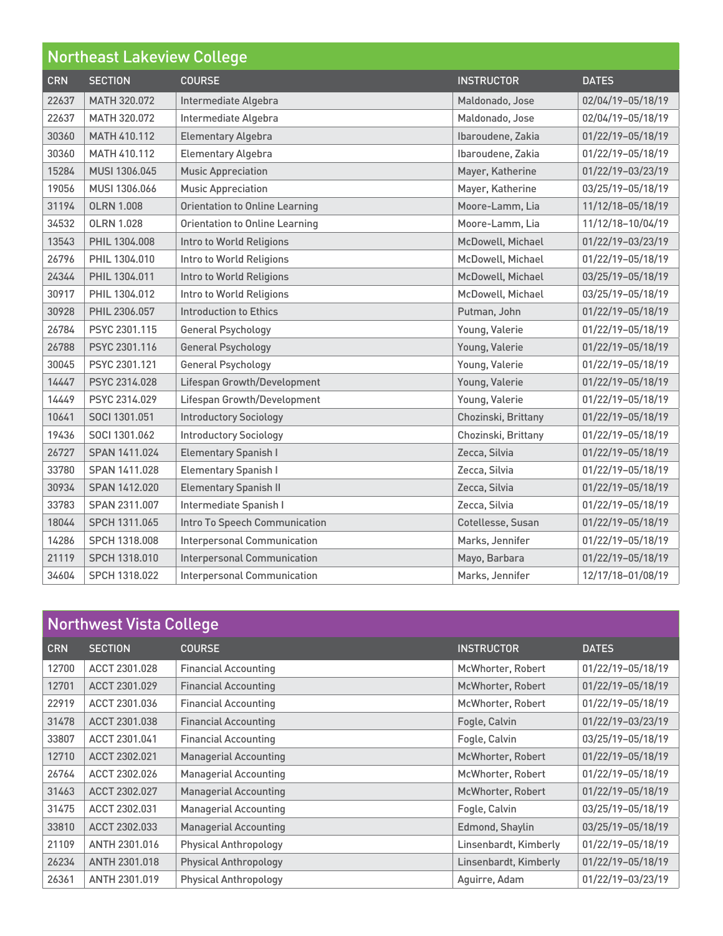| <b>Northeast Lakeview College</b> |                   |                                       |                     |                   |
|-----------------------------------|-------------------|---------------------------------------|---------------------|-------------------|
| <b>CRN</b>                        | <b>SECTION</b>    | <b>COURSE</b>                         | <b>INSTRUCTOR</b>   | <b>DATES</b>      |
| 22637                             | MATH 320.072      | Intermediate Algebra                  | Maldonado, Jose     | 02/04/19-05/18/19 |
| 22637                             | MATH 320.072      | Intermediate Algebra                  | Maldonado, Jose     | 02/04/19-05/18/19 |
| 30360                             | MATH 410.112      | <b>Elementary Algebra</b>             | Ibaroudene, Zakia   | 01/22/19-05/18/19 |
| 30360                             | MATH 410.112      | <b>Elementary Algebra</b>             | Ibaroudene, Zakia   | 01/22/19-05/18/19 |
| 15284                             | MUSI 1306.045     | <b>Music Appreciation</b>             | Mayer, Katherine    | 01/22/19-03/23/19 |
| 19056                             | MUSI 1306,066     | <b>Music Appreciation</b>             | Mayer, Katherine    | 03/25/19-05/18/19 |
| 31194                             | <b>OLRN 1.008</b> | <b>Orientation to Online Learning</b> | Moore-Lamm, Lia     | 11/12/18-05/18/19 |
| 34532                             | <b>OLRN 1.028</b> | <b>Orientation to Online Learning</b> | Moore-Lamm, Lia     | 11/12/18-10/04/19 |
| 13543                             | PHIL 1304.008     | Intro to World Religions              | McDowell, Michael   | 01/22/19-03/23/19 |
| 26796                             | PHIL 1304.010     | Intro to World Religions              | McDowell, Michael   | 01/22/19-05/18/19 |
| 24344                             | PHIL 1304.011     | Intro to World Religions              | McDowell, Michael   | 03/25/19-05/18/19 |
| 30917                             | PHIL 1304.012     | Intro to World Religions              | McDowell, Michael   | 03/25/19-05/18/19 |
| 30928                             | PHIL 2306.057     | <b>Introduction to Ethics</b>         | Putman, John        | 01/22/19-05/18/19 |
| 26784                             | PSYC 2301.115     | <b>General Psychology</b>             | Young, Valerie      | 01/22/19-05/18/19 |
| 26788                             | PSYC 2301.116     | <b>General Psychology</b>             | Young, Valerie      | 01/22/19-05/18/19 |
| 30045                             | PSYC 2301.121     | <b>General Psychology</b>             | Young, Valerie      | 01/22/19-05/18/19 |
| 14447                             | PSYC 2314.028     | Lifespan Growth/Development           | Young, Valerie      | 01/22/19-05/18/19 |
| 14449                             | PSYC 2314.029     | Lifespan Growth/Development           | Young, Valerie      | 01/22/19-05/18/19 |
| 10641                             | SOCI 1301.051     | <b>Introductory Sociology</b>         | Chozinski, Brittany | 01/22/19-05/18/19 |
| 19436                             | SOCI 1301.062     | <b>Introductory Sociology</b>         | Chozinski, Brittany | 01/22/19-05/18/19 |
| 26727                             | SPAN 1411.024     | <b>Elementary Spanish I</b>           | Zecca, Silvia       | 01/22/19-05/18/19 |
| 33780                             | SPAN 1411.028     | <b>Elementary Spanish I</b>           | Zecca, Silvia       | 01/22/19-05/18/19 |
| 30934                             | SPAN 1412.020     | <b>Elementary Spanish II</b>          | Zecca, Silvia       | 01/22/19-05/18/19 |
| 33783                             | SPAN 2311.007     | Intermediate Spanish I                | Zecca, Silvia       | 01/22/19-05/18/19 |
| 18044                             | SPCH 1311.065     | Intro To Speech Communication         | Cotellesse, Susan   | 01/22/19-05/18/19 |
| 14286                             | SPCH 1318.008     | <b>Interpersonal Communication</b>    | Marks, Jennifer     | 01/22/19-05/18/19 |
| 21119                             | SPCH 1318.010     | <b>Interpersonal Communication</b>    | Mayo, Barbara       | 01/22/19-05/18/19 |
| 34604                             | SPCH 1318.022     | <b>Interpersonal Communication</b>    | Marks, Jennifer     | 12/17/18-01/08/19 |

| Northwest Vista College |                |                              |                       |                   |
|-------------------------|----------------|------------------------------|-----------------------|-------------------|
| <b>CRN</b>              | <b>SECTION</b> | <b>COURSE</b>                | <b>INSTRUCTOR</b>     | <b>DATES</b>      |
| 12700                   | ACCT 2301.028  | <b>Financial Accounting</b>  | McWhorter, Robert     | 01/22/19-05/18/19 |
| 12701                   | ACCT 2301.029  | <b>Financial Accounting</b>  | McWhorter, Robert     | 01/22/19-05/18/19 |
| 22919                   | ACCT 2301.036  | <b>Financial Accounting</b>  | McWhorter, Robert     | 01/22/19-05/18/19 |
| 31478                   | ACCT 2301.038  | <b>Financial Accounting</b>  | Fogle, Calvin         | 01/22/19-03/23/19 |
| 33807                   | ACCT 2301.041  | <b>Financial Accounting</b>  | Fogle, Calvin         | 03/25/19-05/18/19 |
| 12710                   | ACCT 2302.021  | <b>Managerial Accounting</b> | McWhorter, Robert     | 01/22/19-05/18/19 |
| 26764                   | ACCT 2302.026  | <b>Managerial Accounting</b> | McWhorter, Robert     | 01/22/19-05/18/19 |
| 31463                   | ACCT 2302.027  | <b>Managerial Accounting</b> | McWhorter, Robert     | 01/22/19-05/18/19 |
| 31475                   | ACCT 2302.031  | <b>Managerial Accounting</b> | Fogle, Calvin         | 03/25/19-05/18/19 |
| 33810                   | ACCT 2302.033  | <b>Managerial Accounting</b> | Edmond, Shaylin       | 03/25/19-05/18/19 |
| 21109                   | ANTH 2301.016  | <b>Physical Anthropology</b> | Linsenbardt, Kimberly | 01/22/19-05/18/19 |
| 26234                   | ANTH 2301.018  | <b>Physical Anthropology</b> | Linsenbardt, Kimberly | 01/22/19-05/18/19 |
| 26361                   | ANTH 2301.019  | <b>Physical Anthropology</b> | Aguirre, Adam         | 01/22/19-03/23/19 |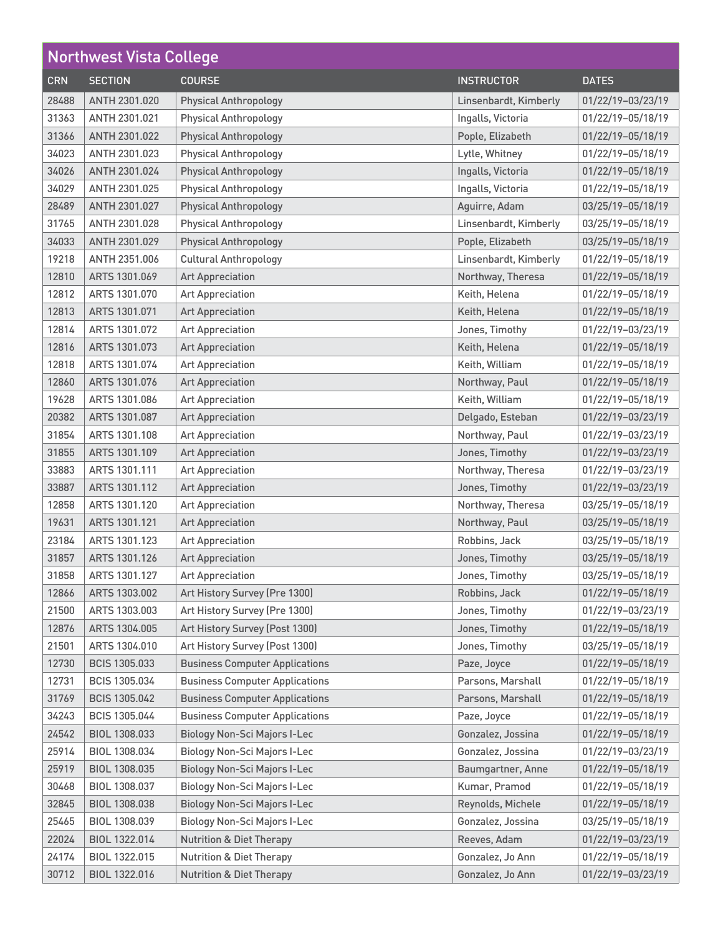| <b>Northwest Vista College</b> |                      |                                       |                       |                   |
|--------------------------------|----------------------|---------------------------------------|-----------------------|-------------------|
| <b>CRN</b>                     | <b>SECTION</b>       | <b>COURSE</b>                         | <b>INSTRUCTOR</b>     | <b>DATES</b>      |
| 28488                          | ANTH 2301.020        | <b>Physical Anthropology</b>          | Linsenbardt, Kimberly | 01/22/19-03/23/19 |
| 31363                          | ANTH 2301.021        | <b>Physical Anthropology</b>          | Ingalls, Victoria     | 01/22/19-05/18/19 |
| 31366                          | ANTH 2301.022        | <b>Physical Anthropology</b>          | Pople, Elizabeth      | 01/22/19-05/18/19 |
| 34023                          | ANTH 2301.023        | <b>Physical Anthropology</b>          | Lytle, Whitney        | 01/22/19-05/18/19 |
| 34026                          | ANTH 2301.024        | <b>Physical Anthropology</b>          | Ingalls, Victoria     | 01/22/19-05/18/19 |
| 34029                          | ANTH 2301.025        | <b>Physical Anthropology</b>          | Ingalls, Victoria     | 01/22/19-05/18/19 |
| 28489                          | ANTH 2301.027        | <b>Physical Anthropology</b>          | Aguirre, Adam         | 03/25/19-05/18/19 |
| 31765                          | ANTH 2301.028        | <b>Physical Anthropology</b>          | Linsenbardt, Kimberly | 03/25/19-05/18/19 |
| 34033                          | ANTH 2301.029        | <b>Physical Anthropology</b>          | Pople, Elizabeth      | 03/25/19-05/18/19 |
| 19218                          | ANTH 2351.006        | <b>Cultural Anthropology</b>          | Linsenbardt, Kimberly | 01/22/19-05/18/19 |
| 12810                          | ARTS 1301.069        | <b>Art Appreciation</b>               | Northway, Theresa     | 01/22/19-05/18/19 |
| 12812                          | ARTS 1301.070        | <b>Art Appreciation</b>               | Keith, Helena         | 01/22/19-05/18/19 |
| 12813                          | ARTS 1301.071        | <b>Art Appreciation</b>               | Keith, Helena         | 01/22/19-05/18/19 |
| 12814                          | ARTS 1301.072        | <b>Art Appreciation</b>               | Jones, Timothy        | 01/22/19-03/23/19 |
| 12816                          | ARTS 1301.073        | <b>Art Appreciation</b>               | Keith, Helena         | 01/22/19-05/18/19 |
| 12818                          | ARTS 1301.074        | <b>Art Appreciation</b>               | Keith, William        | 01/22/19-05/18/19 |
| 12860                          | ARTS 1301.076        | <b>Art Appreciation</b>               | Northway, Paul        | 01/22/19-05/18/19 |
| 19628                          | ARTS 1301.086        | <b>Art Appreciation</b>               | Keith, William        | 01/22/19-05/18/19 |
| 20382                          | ARTS 1301.087        | <b>Art Appreciation</b>               | Delgado, Esteban      | 01/22/19-03/23/19 |
| 31854                          | ARTS 1301.108        | <b>Art Appreciation</b>               | Northway, Paul        | 01/22/19-03/23/19 |
| 31855                          | ARTS 1301.109        | <b>Art Appreciation</b>               | Jones, Timothy        | 01/22/19-03/23/19 |
| 33883                          | ARTS 1301.111        | <b>Art Appreciation</b>               | Northway, Theresa     | 01/22/19-03/23/19 |
| 33887                          | ARTS 1301.112        | <b>Art Appreciation</b>               | Jones, Timothy        | 01/22/19-03/23/19 |
| 12858                          | ARTS 1301.120        | <b>Art Appreciation</b>               | Northway, Theresa     | 03/25/19-05/18/19 |
| 19631                          | ARTS 1301.121        | <b>Art Appreciation</b>               | Northway, Paul        | 03/25/19-05/18/19 |
| 23184                          | ARTS 1301.123        | <b>Art Appreciation</b>               | Robbins, Jack         | 03/25/19-05/18/19 |
| 31857                          | ARTS 1301.126        | <b>Art Appreciation</b>               | Jones, Timothy        | 03/25/19-05/18/19 |
| 31858                          | ARTS 1301.127        | <b>Art Appreciation</b>               | Jones, Timothy        | 03/25/19-05/18/19 |
| 12866                          | ARTS 1303.002        | Art History Survey (Pre 1300)         | Robbins, Jack         | 01/22/19-05/18/19 |
| 21500                          | ARTS 1303.003        | Art History Survey (Pre 1300)         | Jones, Timothy        | 01/22/19-03/23/19 |
| 12876                          | ARTS 1304.005        | Art History Survey (Post 1300)        | Jones, Timothy        | 01/22/19-05/18/19 |
| 21501                          | ARTS 1304.010        | Art History Survey (Post 1300)        | Jones, Timothy        | 03/25/19-05/18/19 |
| 12730                          | <b>BCIS 1305.033</b> | <b>Business Computer Applications</b> | Paze, Joyce           | 01/22/19-05/18/19 |
| 12731                          | BCIS 1305.034        | <b>Business Computer Applications</b> | Parsons, Marshall     | 01/22/19-05/18/19 |
| 31769                          | <b>BCIS 1305.042</b> | <b>Business Computer Applications</b> | Parsons, Marshall     | 01/22/19-05/18/19 |
| 34243                          | BCIS 1305.044        | <b>Business Computer Applications</b> | Paze, Joyce           | 01/22/19-05/18/19 |
| 24542                          | BIOL 1308.033        | <b>Biology Non-Sci Majors I-Lec</b>   | Gonzalez, Jossina     | 01/22/19-05/18/19 |
| 25914                          | BIOL 1308.034        | <b>Biology Non-Sci Majors I-Lec</b>   | Gonzalez, Jossina     | 01/22/19-03/23/19 |
| 25919                          | BIOL 1308.035        | <b>Biology Non-Sci Majors I-Lec</b>   | Baumgartner, Anne     | 01/22/19-05/18/19 |
| 30468                          | BIOL 1308.037        | <b>Biology Non-Sci Majors I-Lec</b>   | Kumar, Pramod         | 01/22/19-05/18/19 |
| 32845                          | BIOL 1308.038        | <b>Biology Non-Sci Majors I-Lec</b>   | Reynolds, Michele     | 01/22/19-05/18/19 |
| 25465                          | BIOL 1308.039        | <b>Biology Non-Sci Majors I-Lec</b>   | Gonzalez, Jossina     | 03/25/19-05/18/19 |
| 22024                          | BIOL 1322.014        | <b>Nutrition &amp; Diet Therapy</b>   | Reeves, Adam          | 01/22/19-03/23/19 |
| 24174                          | BIOL 1322.015        | <b>Nutrition &amp; Diet Therapy</b>   | Gonzalez, Jo Ann      | 01/22/19-05/18/19 |
| 30712                          | BIOL 1322.016        | <b>Nutrition &amp; Diet Therapy</b>   | Gonzalez, Jo Ann      | 01/22/19-03/23/19 |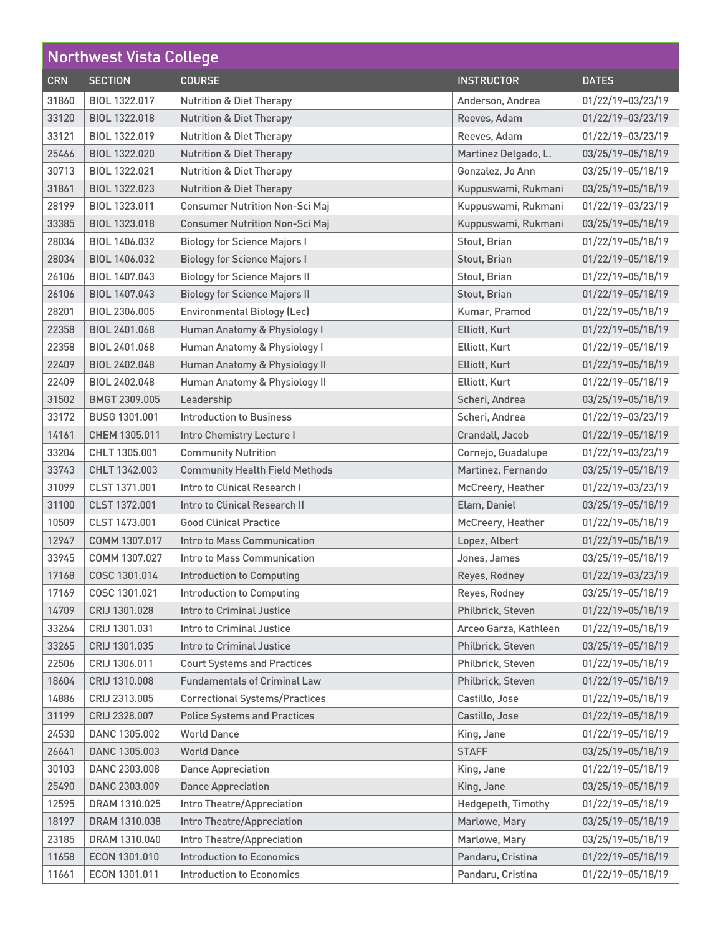| <b>Northwest Vista College</b> |                |                                       |                       |                   |
|--------------------------------|----------------|---------------------------------------|-----------------------|-------------------|
| <b>CRN</b>                     | <b>SECTION</b> | <b>COURSE</b>                         | <b>INSTRUCTOR</b>     | <b>DATES</b>      |
| 31860                          | BIOL 1322.017  | <b>Nutrition &amp; Diet Therapy</b>   | Anderson, Andrea      | 01/22/19-03/23/19 |
| 33120                          | BIOL 1322.018  | <b>Nutrition &amp; Diet Therapy</b>   | Reeves, Adam          | 01/22/19-03/23/19 |
| 33121                          | BIOL 1322.019  | <b>Nutrition &amp; Diet Therapy</b>   | Reeves, Adam          | 01/22/19-03/23/19 |
| 25466                          | BIOL 1322.020  | <b>Nutrition &amp; Diet Therapy</b>   | Martinez Delgado, L.  | 03/25/19-05/18/19 |
| 30713                          | BIOL 1322.021  | <b>Nutrition &amp; Diet Therapy</b>   | Gonzalez, Jo Ann      | 03/25/19-05/18/19 |
| 31861                          | BIOL 1322.023  | <b>Nutrition &amp; Diet Therapy</b>   | Kuppuswami, Rukmani   | 03/25/19-05/18/19 |
| 28199                          | BIOL 1323.011  | <b>Consumer Nutrition Non-Sci Maj</b> | Kuppuswami, Rukmani   | 01/22/19-03/23/19 |
| 33385                          | BIOL 1323.018  | <b>Consumer Nutrition Non-Sci Maj</b> | Kuppuswami, Rukmani   | 03/25/19-05/18/19 |
| 28034                          | BIOL 1406.032  | <b>Biology for Science Majors I</b>   | Stout, Brian          | 01/22/19-05/18/19 |
| 28034                          | BIOL 1406.032  | <b>Biology for Science Majors I</b>   | Stout, Brian          | 01/22/19-05/18/19 |
| 26106                          | BIOL 1407.043  | <b>Biology for Science Majors II</b>  | Stout, Brian          | 01/22/19-05/18/19 |
| 26106                          | BIOL 1407.043  | <b>Biology for Science Majors II</b>  | Stout, Brian          | 01/22/19-05/18/19 |
| 28201                          | BIOL 2306.005  | <b>Environmental Biology (Lec)</b>    | Kumar, Pramod         | 01/22/19-05/18/19 |
| 22358                          | BIOL 2401.068  | Human Anatomy & Physiology I          | Elliott, Kurt         | 01/22/19-05/18/19 |
| 22358                          | BIOL 2401.068  | Human Anatomy & Physiology I          | Elliott, Kurt         | 01/22/19-05/18/19 |
| 22409                          | BIOL 2402.048  | Human Anatomy & Physiology II         | Elliott, Kurt         | 01/22/19-05/18/19 |
| 22409                          | BIOL 2402.048  | Human Anatomy & Physiology II         | Elliott, Kurt         | 01/22/19-05/18/19 |
| 31502                          | BMGT 2309.005  | Leadership                            | Scheri, Andrea        | 03/25/19-05/18/19 |
| 33172                          | BUSG 1301.001  | <b>Introduction to Business</b>       | Scheri, Andrea        | 01/22/19-03/23/19 |
| 14161                          | CHEM 1305.011  | Intro Chemistry Lecture I             | Crandall, Jacob       | 01/22/19-05/18/19 |
| 33204                          | CHLT 1305,001  | <b>Community Nutrition</b>            | Cornejo, Guadalupe    | 01/22/19-03/23/19 |
| 33743                          | CHLT 1342.003  | <b>Community Health Field Methods</b> | Martinez, Fernando    | 03/25/19-05/18/19 |
| 31099                          | CLST 1371.001  | Intro to Clinical Research I          | McCreery, Heather     | 01/22/19-03/23/19 |
| 31100                          | CLST 1372.001  | Intro to Clinical Research II         | Elam, Daniel          | 03/25/19-05/18/19 |
| 10509                          | CLST 1473.001  | <b>Good Clinical Practice</b>         | McCreery, Heather     | 01/22/19-05/18/19 |
| 12947                          | COMM 1307.017  | Intro to Mass Communication           | Lopez, Albert         | 01/22/19-05/18/19 |
| 33945                          | COMM 1307.027  | Intro to Mass Communication           | Jones, James          | 03/25/19-05/18/19 |
| 17168                          | COSC 1301.014  | <b>Introduction to Computing</b>      | Reyes, Rodney         | 01/22/19-03/23/19 |
| 17169                          | COSC 1301.021  | <b>Introduction to Computing</b>      | Reyes, Rodney         | 03/25/19-05/18/19 |
| 14709                          | CRIJ 1301.028  | Intro to Criminal Justice             | Philbrick, Steven     | 01/22/19-05/18/19 |
| 33264                          | CRIJ 1301.031  | Intro to Criminal Justice             | Arceo Garza, Kathleen | 01/22/19-05/18/19 |
| 33265                          | CRIJ 1301.035  | <b>Intro to Criminal Justice</b>      | Philbrick, Steven     | 03/25/19-05/18/19 |
| 22506                          | CRIJ 1306.011  | <b>Court Systems and Practices</b>    | Philbrick, Steven     | 01/22/19-05/18/19 |
| 18604                          | CRIJ 1310.008  | <b>Fundamentals of Criminal Law</b>   | Philbrick, Steven     | 01/22/19-05/18/19 |
| 14886                          | CRIJ 2313.005  | <b>Correctional Systems/Practices</b> | Castillo, Jose        | 01/22/19-05/18/19 |
| 31199                          | CRIJ 2328.007  | <b>Police Systems and Practices</b>   | Castillo, Jose        | 01/22/19-05/18/19 |
| 24530                          | DANC 1305.002  | <b>World Dance</b>                    | King, Jane            | 01/22/19-05/18/19 |
| 26641                          | DANC 1305.003  | <b>World Dance</b>                    | <b>STAFF</b>          | 03/25/19-05/18/19 |
| 30103                          | DANC 2303.008  | <b>Dance Appreciation</b>             | King, Jane            | 01/22/19-05/18/19 |
| 25490                          | DANC 2303.009  | <b>Dance Appreciation</b>             | King, Jane            | 03/25/19-05/18/19 |
| 12595                          | DRAM 1310.025  | Intro Theatre/Appreciation            | Hedgepeth, Timothy    | 01/22/19-05/18/19 |
| 18197                          | DRAM 1310.038  | Intro Theatre/Appreciation            | Marlowe, Mary         | 03/25/19-05/18/19 |
| 23185                          | DRAM 1310.040  | Intro Theatre/Appreciation            | Marlowe, Mary         | 03/25/19-05/18/19 |
| 11658                          | ECON 1301.010  | <b>Introduction to Economics</b>      | Pandaru, Cristina     | 01/22/19-05/18/19 |
| 11661                          | ECON 1301.011  | <b>Introduction to Economics</b>      | Pandaru, Cristina     | 01/22/19-05/18/19 |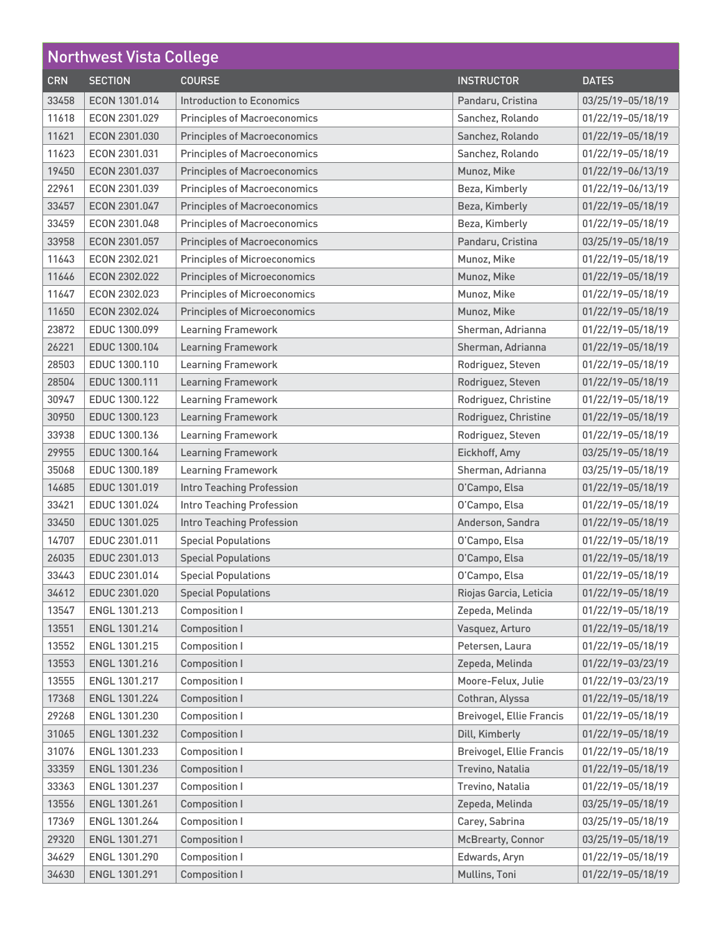| <b>Northwest Vista College</b> |                |                                     |                                 |                   |
|--------------------------------|----------------|-------------------------------------|---------------------------------|-------------------|
| <b>CRN</b>                     | <b>SECTION</b> | <b>COURSE</b>                       | <b>INSTRUCTOR</b>               | <b>DATES</b>      |
| 33458                          | ECON 1301.014  | Introduction to Economics           | Pandaru, Cristina               | 03/25/19-05/18/19 |
| 11618                          | ECON 2301.029  | <b>Principles of Macroeconomics</b> | Sanchez, Rolando                | 01/22/19-05/18/19 |
| 11621                          | ECON 2301.030  | <b>Principles of Macroeconomics</b> | Sanchez, Rolando                | 01/22/19-05/18/19 |
| 11623                          | ECON 2301.031  | <b>Principles of Macroeconomics</b> | Sanchez, Rolando                | 01/22/19-05/18/19 |
| 19450                          | ECON 2301.037  | <b>Principles of Macroeconomics</b> | Munoz, Mike                     | 01/22/19-06/13/19 |
| 22961                          | ECON 2301.039  | <b>Principles of Macroeconomics</b> | Beza, Kimberly                  | 01/22/19-06/13/19 |
| 33457                          | ECON 2301.047  | <b>Principles of Macroeconomics</b> | Beza, Kimberly                  | 01/22/19-05/18/19 |
| 33459                          | ECON 2301.048  | <b>Principles of Macroeconomics</b> | Beza, Kimberly                  | 01/22/19-05/18/19 |
| 33958                          | ECON 2301.057  | <b>Principles of Macroeconomics</b> | Pandaru, Cristina               | 03/25/19-05/18/19 |
| 11643                          | ECON 2302.021  | <b>Principles of Microeconomics</b> | Munoz, Mike                     | 01/22/19-05/18/19 |
| 11646                          | ECON 2302.022  | <b>Principles of Microeconomics</b> | Munoz, Mike                     | 01/22/19-05/18/19 |
| 11647                          | ECON 2302.023  | <b>Principles of Microeconomics</b> | Munoz, Mike                     | 01/22/19-05/18/19 |
| 11650                          | ECON 2302.024  | <b>Principles of Microeconomics</b> | Munoz, Mike                     | 01/22/19-05/18/19 |
| 23872                          | EDUC 1300.099  | <b>Learning Framework</b>           | Sherman, Adrianna               | 01/22/19-05/18/19 |
| 26221                          | EDUC 1300.104  | <b>Learning Framework</b>           | Sherman, Adrianna               | 01/22/19-05/18/19 |
| 28503                          | EDUC 1300.110  | <b>Learning Framework</b>           | Rodriguez, Steven               | 01/22/19-05/18/19 |
| 28504                          | EDUC 1300.111  | <b>Learning Framework</b>           | Rodriguez, Steven               | 01/22/19-05/18/19 |
| 30947                          | EDUC 1300.122  | <b>Learning Framework</b>           | Rodriguez, Christine            | 01/22/19-05/18/19 |
| 30950                          | EDUC 1300.123  | <b>Learning Framework</b>           | Rodriguez, Christine            | 01/22/19-05/18/19 |
| 33938                          | EDUC 1300.136  | <b>Learning Framework</b>           | Rodriguez, Steven               | 01/22/19-05/18/19 |
| 29955                          | EDUC 1300.164  | <b>Learning Framework</b>           | Eickhoff, Amy                   | 03/25/19-05/18/19 |
| 35068                          | EDUC 1300.189  | <b>Learning Framework</b>           | Sherman, Adrianna               | 03/25/19-05/18/19 |
| 14685                          | EDUC 1301.019  | <b>Intro Teaching Profession</b>    | O'Campo, Elsa                   | 01/22/19-05/18/19 |
| 33421                          | EDUC 1301.024  | Intro Teaching Profession           | O'Campo, Elsa                   | 01/22/19-05/18/19 |
| 33450                          | EDUC 1301.025  | Intro Teaching Profession           | Anderson, Sandra                | 01/22/19-05/18/19 |
| 14707                          | EDUC 2301.011  | <b>Special Populations</b>          | O'Campo, Elsa                   | 01/22/19-05/18/19 |
| 26035                          | EDUC 2301.013  | <b>Special Populations</b>          | O'Campo, Elsa                   | 01/22/19-05/18/19 |
| 33443                          | EDUC 2301.014  | <b>Special Populations</b>          | O'Campo, Elsa                   | 01/22/19-05/18/19 |
| 34612                          | EDUC 2301.020  | <b>Special Populations</b>          | Riojas Garcia, Leticia          | 01/22/19-05/18/19 |
| 13547                          | ENGL 1301.213  | <b>Composition I</b>                | Zepeda, Melinda                 | 01/22/19-05/18/19 |
| 13551                          | ENGL 1301.214  | <b>Composition I</b>                | Vasquez, Arturo                 | 01/22/19-05/18/19 |
| 13552                          | ENGL 1301.215  | <b>Composition I</b>                | Petersen, Laura                 | 01/22/19-05/18/19 |
| 13553                          | ENGL 1301.216  | <b>Composition I</b>                | Zepeda, Melinda                 | 01/22/19-03/23/19 |
| 13555                          | ENGL 1301.217  | <b>Composition I</b>                | Moore-Felux, Julie              | 01/22/19-03/23/19 |
| 17368                          | ENGL 1301.224  | <b>Composition I</b>                | Cothran, Alyssa                 | 01/22/19-05/18/19 |
| 29268                          | ENGL 1301.230  | Composition I                       | <b>Breivogel, Ellie Francis</b> | 01/22/19-05/18/19 |
| 31065                          | ENGL 1301.232  | <b>Composition I</b>                | Dill, Kimberly                  | 01/22/19-05/18/19 |
| 31076                          | ENGL 1301.233  | Composition I                       | <b>Breivogel, Ellie Francis</b> | 01/22/19-05/18/19 |
| 33359                          | ENGL 1301.236  | <b>Composition I</b>                | Trevino, Natalia                | 01/22/19-05/18/19 |
| 33363                          | ENGL 1301.237  | <b>Composition I</b>                | Trevino, Natalia                | 01/22/19-05/18/19 |
| 13556                          | ENGL 1301.261  | <b>Composition I</b>                | Zepeda, Melinda                 | 03/25/19-05/18/19 |
| 17369                          | ENGL 1301.264  | Composition I                       | Carey, Sabrina                  | 03/25/19-05/18/19 |
| 29320                          | ENGL 1301.271  | <b>Composition I</b>                | <b>McBrearty, Connor</b>        | 03/25/19-05/18/19 |
| 34629                          | ENGL 1301.290  | <b>Composition I</b>                | Edwards, Aryn                   | 01/22/19-05/18/19 |
| 34630                          | ENGL 1301.291  | <b>Composition I</b>                | Mullins, Toni                   | 01/22/19-05/18/19 |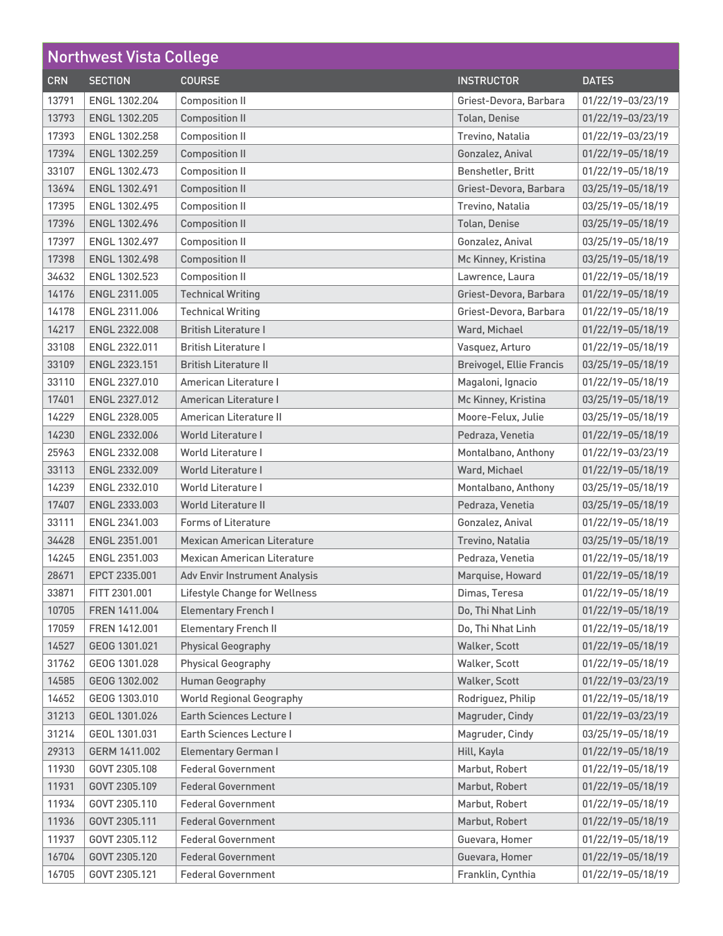| <b>Northwest Vista College</b> |                      |                                      |                                 |                   |
|--------------------------------|----------------------|--------------------------------------|---------------------------------|-------------------|
| <b>CRN</b>                     | <b>SECTION</b>       | <b>COURSE</b>                        | <b>INSTRUCTOR</b>               | <b>DATES</b>      |
| 13791                          | ENGL 1302.204        | <b>Composition II</b>                | Griest-Devora, Barbara          | 01/22/19-03/23/19 |
| 13793                          | ENGL 1302.205        | <b>Composition II</b>                | <b>Tolan, Denise</b>            | 01/22/19-03/23/19 |
| 17393                          | <b>ENGL 1302.258</b> | <b>Composition II</b>                | Trevino, Natalia                | 01/22/19-03/23/19 |
| 17394                          | <b>ENGL 1302.259</b> | <b>Composition II</b>                | Gonzalez, Anival                | 01/22/19-05/18/19 |
| 33107                          | ENGL 1302.473        | <b>Composition II</b>                | Benshetler, Britt               | 01/22/19-05/18/19 |
| 13694                          | ENGL 1302.491        | <b>Composition II</b>                | Griest-Devora, Barbara          | 03/25/19-05/18/19 |
| 17395                          | ENGL 1302.495        | <b>Composition II</b>                | Trevino, Natalia                | 03/25/19-05/18/19 |
| 17396                          | ENGL 1302.496        | <b>Composition II</b>                | <b>Tolan, Denise</b>            | 03/25/19-05/18/19 |
| 17397                          | ENGL 1302.497        | <b>Composition II</b>                | Gonzalez, Anival                | 03/25/19-05/18/19 |
| 17398                          | ENGL 1302.498        | <b>Composition II</b>                | Mc Kinney, Kristina             | 03/25/19-05/18/19 |
| 34632                          | ENGL 1302.523        | <b>Composition II</b>                | Lawrence, Laura                 | 01/22/19-05/18/19 |
| 14176                          | ENGL 2311.005        | <b>Technical Writing</b>             | Griest-Devora, Barbara          | 01/22/19-05/18/19 |
| 14178                          | ENGL 2311.006        | <b>Technical Writing</b>             | Griest-Devora, Barbara          | 01/22/19-05/18/19 |
| 14217                          | ENGL 2322.008        | <b>British Literature I</b>          | Ward, Michael                   | 01/22/19-05/18/19 |
| 33108                          | ENGL 2322.011        | <b>British Literature I</b>          | Vasquez, Arturo                 | 01/22/19-05/18/19 |
| 33109                          | ENGL 2323.151        | <b>British Literature II</b>         | <b>Breivogel, Ellie Francis</b> | 03/25/19-05/18/19 |
| 33110                          | ENGL 2327.010        | American Literature I                | Magaloni, Ignacio               | 01/22/19-05/18/19 |
| 17401                          | ENGL 2327.012        | American Literature I                | Mc Kinney, Kristina             | 03/25/19-05/18/19 |
| 14229                          | ENGL 2328.005        | American Literature II               | Moore-Felux, Julie              | 03/25/19-05/18/19 |
| 14230                          | ENGL 2332.006        | <b>World Literature I</b>            | Pedraza, Venetia                | 01/22/19-05/18/19 |
| 25963                          | ENGL 2332.008        | <b>World Literature I</b>            | Montalbano, Anthony             | 01/22/19-03/23/19 |
| 33113                          | <b>ENGL 2332.009</b> | <b>World Literature I</b>            | Ward, Michael                   | 01/22/19-05/18/19 |
| 14239                          | ENGL 2332.010        | <b>World Literature I</b>            | Montalbano, Anthony             | 03/25/19-05/18/19 |
| 17407                          | ENGL 2333.003        | <b>World Literature II</b>           | Pedraza, Venetia                | 03/25/19-05/18/19 |
| 33111                          | ENGL 2341.003        | <b>Forms of Literature</b>           | Gonzalez, Anival                | 01/22/19-05/18/19 |
| 34428                          | ENGL 2351.001        | <b>Mexican American Literature</b>   | Trevino, Natalia                | 03/25/19-05/18/19 |
| 14245                          | ENGL 2351.003        | <b>Mexican American Literature</b>   | Pedraza, Venetia                | 01/22/19-05/18/19 |
| 28671                          | EPCT 2335.001        | <b>Adv Envir Instrument Analysis</b> | Marquise, Howard                | 01/22/19-05/18/19 |
| 33871                          | FITT 2301.001        | <b>Lifestyle Change for Wellness</b> | Dimas, Teresa                   | 01/22/19-05/18/19 |
| 10705                          | FREN 1411.004        | <b>Elementary French I</b>           | Do, Thi Nhat Linh               | 01/22/19-05/18/19 |
| 17059                          | FREN 1412.001        | <b>Elementary French II</b>          | Do, Thi Nhat Linh               | 01/22/19-05/18/19 |
| 14527                          | GEOG 1301.021        | <b>Physical Geography</b>            | Walker, Scott                   | 01/22/19-05/18/19 |
| 31762                          | GEOG 1301.028        | <b>Physical Geography</b>            | Walker, Scott                   | 01/22/19-05/18/19 |
| 14585                          | GEOG 1302.002        | <b>Human Geography</b>               | Walker, Scott                   | 01/22/19-03/23/19 |
| 14652                          | GEOG 1303.010        | <b>World Regional Geography</b>      | Rodriguez, Philip               | 01/22/19-05/18/19 |
| 31213                          | GEOL 1301.026        | <b>Earth Sciences Lecture I</b>      | Magruder, Cindy                 | 01/22/19-03/23/19 |
| 31214                          | GEOL 1301.031        | Earth Sciences Lecture I             | Magruder, Cindy                 | 03/25/19-05/18/19 |
| 29313                          | GERM 1411.002        | <b>Elementary German I</b>           | Hill, Kayla                     | 01/22/19-05/18/19 |
| 11930                          | GOVT 2305.108        | <b>Federal Government</b>            | Marbut, Robert                  | 01/22/19-05/18/19 |
| 11931                          | GOVT 2305.109        | <b>Federal Government</b>            | Marbut, Robert                  | 01/22/19-05/18/19 |
| 11934                          | GOVT 2305.110        | <b>Federal Government</b>            | Marbut, Robert                  | 01/22/19-05/18/19 |
| 11936                          | GOVT 2305.111        | <b>Federal Government</b>            | Marbut, Robert                  | 01/22/19-05/18/19 |
| 11937                          | GOVT 2305.112        | <b>Federal Government</b>            | Guevara, Homer                  | 01/22/19-05/18/19 |
| 16704                          | GOVT 2305.120        | <b>Federal Government</b>            | Guevara, Homer                  | 01/22/19-05/18/19 |
| 16705                          | GOVT 2305.121        | <b>Federal Government</b>            | Franklin, Cynthia               | 01/22/19-05/18/19 |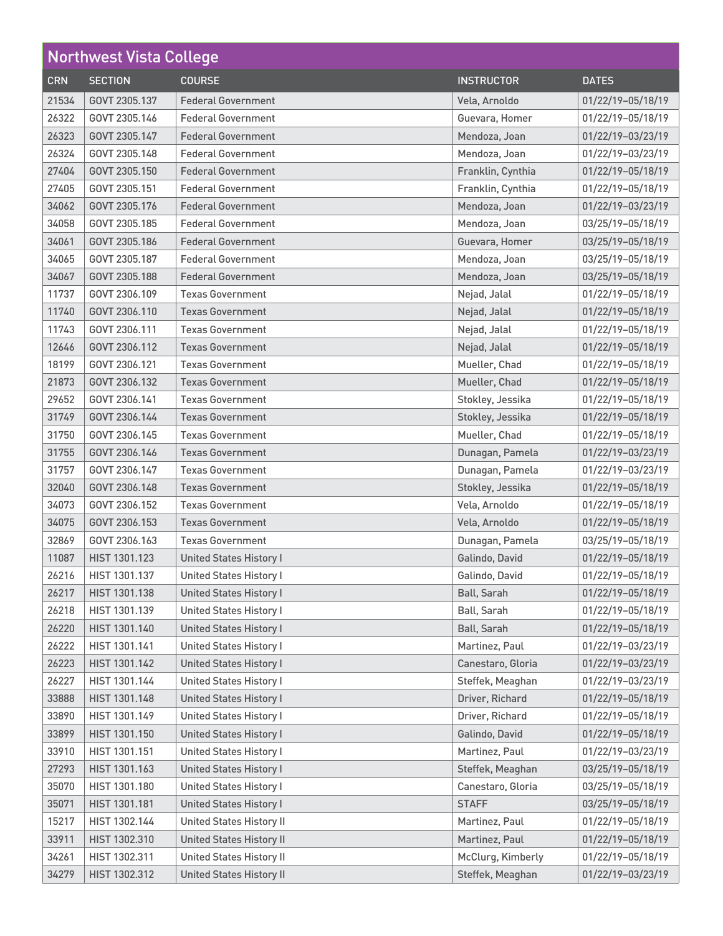| <b>Northwest Vista College</b> |                |                                 |                   |                   |
|--------------------------------|----------------|---------------------------------|-------------------|-------------------|
| <b>CRN</b>                     | <b>SECTION</b> | <b>COURSE</b>                   | <b>INSTRUCTOR</b> | <b>DATES</b>      |
| 21534                          | GOVT 2305.137  | <b>Federal Government</b>       | Vela, Arnoldo     | 01/22/19-05/18/19 |
| 26322                          | GOVT 2305.146  | <b>Federal Government</b>       | Guevara, Homer    | 01/22/19-05/18/19 |
| 26323                          | GOVT 2305.147  | <b>Federal Government</b>       | Mendoza, Joan     | 01/22/19-03/23/19 |
| 26324                          | GOVT 2305.148  | <b>Federal Government</b>       | Mendoza, Joan     | 01/22/19-03/23/19 |
| 27404                          | GOVT 2305.150  | <b>Federal Government</b>       | Franklin, Cynthia | 01/22/19-05/18/19 |
| 27405                          | GOVT 2305.151  | <b>Federal Government</b>       | Franklin, Cynthia | 01/22/19-05/18/19 |
| 34062                          | GOVT 2305.176  | <b>Federal Government</b>       | Mendoza, Joan     | 01/22/19-03/23/19 |
| 34058                          | GOVT 2305.185  | <b>Federal Government</b>       | Mendoza, Joan     | 03/25/19-05/18/19 |
| 34061                          | GOVT 2305.186  | <b>Federal Government</b>       | Guevara, Homer    | 03/25/19-05/18/19 |
| 34065                          | GOVT 2305.187  | <b>Federal Government</b>       | Mendoza, Joan     | 03/25/19-05/18/19 |
| 34067                          | GOVT 2305.188  | <b>Federal Government</b>       | Mendoza, Joan     | 03/25/19-05/18/19 |
| 11737                          | GOVT 2306.109  | <b>Texas Government</b>         | Nejad, Jalal      | 01/22/19-05/18/19 |
| 11740                          | GOVT 2306.110  | <b>Texas Government</b>         | Nejad, Jalal      | 01/22/19-05/18/19 |
| 11743                          | GOVT 2306.111  | <b>Texas Government</b>         | Nejad, Jalal      | 01/22/19-05/18/19 |
| 12646                          | GOVT 2306.112  | <b>Texas Government</b>         | Nejad, Jalal      | 01/22/19-05/18/19 |
| 18199                          | GOVT 2306.121  | <b>Texas Government</b>         | Mueller, Chad     | 01/22/19-05/18/19 |
| 21873                          | GOVT 2306.132  | <b>Texas Government</b>         | Mueller, Chad     | 01/22/19-05/18/19 |
| 29652                          | GOVT 2306.141  | <b>Texas Government</b>         | Stokley, Jessika  | 01/22/19-05/18/19 |
| 31749                          | GOVT 2306.144  | <b>Texas Government</b>         | Stokley, Jessika  | 01/22/19-05/18/19 |
| 31750                          | GOVT 2306.145  | <b>Texas Government</b>         | Mueller, Chad     | 01/22/19-05/18/19 |
| 31755                          | GOVT 2306.146  | <b>Texas Government</b>         | Dunagan, Pamela   | 01/22/19-03/23/19 |
| 31757                          | GOVT 2306.147  | <b>Texas Government</b>         | Dunagan, Pamela   | 01/22/19-03/23/19 |
| 32040                          | GOVT 2306.148  | <b>Texas Government</b>         | Stokley, Jessika  | 01/22/19-05/18/19 |
| 34073                          | GOVT 2306.152  | <b>Texas Government</b>         | Vela, Arnoldo     | 01/22/19-05/18/19 |
| 34075                          | GOVT 2306.153  | <b>Texas Government</b>         | Vela, Arnoldo     | 01/22/19-05/18/19 |
| 32869                          | GOVT 2306.163  | <b>Texas Government</b>         | Dunagan, Pamela   | 03/25/19-05/18/19 |
| 11087                          | HIST 1301.123  | <b>United States History I</b>  | Galindo, David    | 01/22/19-05/18/19 |
| 26216                          | HIST 1301.137  | United States History I         | Galindo, David    | 01/22/19-05/18/19 |
| 26217                          | HIST 1301.138  | <b>United States History I</b>  | Ball, Sarah       | 01/22/19-05/18/19 |
| 26218                          | HIST 1301.139  | <b>United States History I</b>  | Ball, Sarah       | 01/22/19-05/18/19 |
| 26220                          | HIST 1301.140  | <b>United States History I</b>  | Ball, Sarah       | 01/22/19-05/18/19 |
| 26222                          | HIST 1301.141  | <b>United States History I</b>  | Martinez, Paul    | 01/22/19-03/23/19 |
| 26223                          | HIST 1301.142  | <b>United States History I</b>  | Canestaro, Gloria | 01/22/19-03/23/19 |
| 26227                          | HIST 1301.144  | <b>United States History I</b>  | Steffek, Meaghan  | 01/22/19-03/23/19 |
| 33888                          | HIST 1301.148  | <b>United States History I</b>  | Driver, Richard   | 01/22/19-05/18/19 |
| 33890                          | HIST 1301.149  | <b>United States History I</b>  | Driver, Richard   | 01/22/19-05/18/19 |
| 33899                          | HIST 1301.150  | <b>United States History I</b>  | Galindo, David    | 01/22/19-05/18/19 |
| 33910                          | HIST 1301.151  | <b>United States History I</b>  | Martinez, Paul    | 01/22/19-03/23/19 |
| 27293                          | HIST 1301.163  | <b>United States History I</b>  | Steffek, Meaghan  | 03/25/19-05/18/19 |
| 35070                          | HIST 1301.180  | <b>United States History I</b>  | Canestaro, Gloria | 03/25/19-05/18/19 |
| 35071                          | HIST 1301.181  | <b>United States History I</b>  | <b>STAFF</b>      | 03/25/19-05/18/19 |
| 15217                          | HIST 1302.144  | <b>United States History II</b> | Martinez, Paul    | 01/22/19-05/18/19 |
| 33911                          | HIST 1302.310  | <b>United States History II</b> | Martinez, Paul    | 01/22/19-05/18/19 |
| 34261                          | HIST 1302.311  | <b>United States History II</b> | McClurg, Kimberly | 01/22/19-05/18/19 |
| 34279                          | HIST 1302.312  | <b>United States History II</b> | Steffek, Meaghan  | 01/22/19-03/23/19 |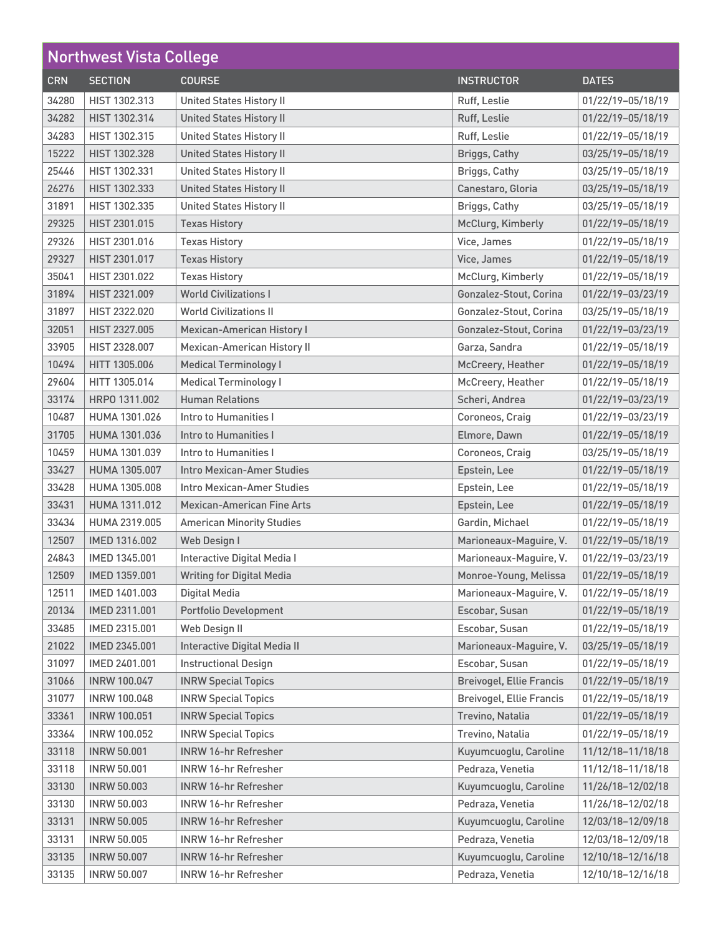| <b>Northwest Vista College</b> |                      |                                    |                                 |                       |
|--------------------------------|----------------------|------------------------------------|---------------------------------|-----------------------|
| <b>CRN</b>                     | <b>SECTION</b>       | <b>COURSE</b>                      | <b>INSTRUCTOR</b>               | <b>DATES</b>          |
| 34280                          | HIST 1302.313        | <b>United States History II</b>    | Ruff, Leslie                    | 01/22/19-05/18/19     |
| 34282                          | HIST 1302.314        | <b>United States History II</b>    | Ruff, Leslie                    | 01/22/19-05/18/19     |
| 34283                          | HIST 1302.315        | <b>United States History II</b>    | Ruff, Leslie                    | 01/22/19-05/18/19     |
| 15222                          | HIST 1302.328        | <b>United States History II</b>    | <b>Briggs, Cathy</b>            | 03/25/19-05/18/19     |
| 25446                          | HIST 1302.331        | <b>United States History II</b>    | Briggs, Cathy                   | 03/25/19-05/18/19     |
| 26276                          | HIST 1302.333        | <b>United States History II</b>    | Canestaro, Gloria               | 03/25/19-05/18/19     |
| 31891                          | HIST 1302.335        | <b>United States History II</b>    | Briggs, Cathy                   | 03/25/19-05/18/19     |
| 29325                          | HIST 2301.015        | <b>Texas History</b>               | McClurg, Kimberly               | 01/22/19-05/18/19     |
| 29326                          | HIST 2301.016        | <b>Texas History</b>               | Vice, James                     | 01/22/19-05/18/19     |
| 29327                          | HIST 2301.017        | <b>Texas History</b>               | Vice, James                     | 01/22/19-05/18/19     |
| 35041                          | HIST 2301.022        | <b>Texas History</b>               | McClurg, Kimberly               | 01/22/19-05/18/19     |
| 31894                          | HIST 2321.009        | <b>World Civilizations I</b>       | Gonzalez-Stout, Corina          | 01/22/19-03/23/19     |
| 31897                          | HIST 2322.020        | <b>World Civilizations II</b>      | Gonzalez-Stout, Corina          | 03/25/19-05/18/19     |
| 32051                          | HIST 2327.005        | <b>Mexican-American History I</b>  | Gonzalez-Stout, Corina          | 01/22/19-03/23/19     |
| 33905                          | HIST 2328.007        | <b>Mexican-American History II</b> | Garza, Sandra                   | 01/22/19-05/18/19     |
| 10494                          | HITT 1305.006        | <b>Medical Terminology I</b>       | McCreery, Heather               | 01/22/19-05/18/19     |
| 29604                          | HITT 1305.014        | <b>Medical Terminology I</b>       | McCreery, Heather               | 01/22/19-05/18/19     |
| 33174                          | HRPO 1311.002        | <b>Human Relations</b>             | Scheri, Andrea                  | 01/22/19-03/23/19     |
| 10487                          | HUMA 1301.026        | Intro to Humanities I              | Coroneos, Craig                 | 01/22/19-03/23/19     |
| 31705                          | <b>HUMA 1301.036</b> | Intro to Humanities I              | Elmore, Dawn                    | 01/22/19-05/18/19     |
| 10459                          | HUMA 1301.039        | Intro to Humanities I              | Coroneos, Craig                 | 03/25/19-05/18/19     |
| 33427                          | HUMA 1305.007        | <b>Intro Mexican-Amer Studies</b>  | Epstein, Lee                    | 01/22/19-05/18/19     |
| 33428                          | HUMA 1305,008        | Intro Mexican-Amer Studies         | Epstein, Lee                    | 01/22/19-05/18/19     |
| 33431                          | HUMA 1311.012        | <b>Mexican-American Fine Arts</b>  | Epstein, Lee                    | 01/22/19-05/18/19     |
| 33434                          | HUMA 2319.005        | <b>American Minority Studies</b>   | Gardin, Michael                 | 01/22/19-05/18/19     |
| 12507                          | IMED 1316,002        | Web Design I                       | Marioneaux-Maguire, V.          | 01/22/19-05/18/19     |
| 24843                          | IMED 1345.001        | Interactive Digital Media I        | Marioneaux-Maguire, V.          | 01/22/19-03/23/19     |
| 12509                          | IMED 1359.001        | <b>Writing for Digital Media</b>   | Monroe-Young, Melissa           | $ 01/22/19-05/18/19 $ |
| 12511                          | IMED 1401.003        | Digital Media                      | Marioneaux-Maguire, V.          | 01/22/19-05/18/19     |
| 20134                          | IMED 2311.001        | Portfolio Development              | Escobar, Susan                  | 01/22/19-05/18/19     |
| 33485                          | IMED 2315,001        | Web Design II                      | Escobar, Susan                  | 01/22/19-05/18/19     |
| 21022                          | IMED 2345.001        | Interactive Digital Media II       | Marioneaux-Maguire, V.          | 03/25/19-05/18/19     |
| 31097                          | IMED 2401.001        | <b>Instructional Design</b>        | Escobar, Susan                  | 01/22/19-05/18/19     |
| 31066                          | <b>INRW 100.047</b>  | <b>INRW Special Topics</b>         | <b>Breivogel, Ellie Francis</b> | 01/22/19-05/18/19     |
| 31077                          | <b>INRW 100.048</b>  | <b>INRW Special Topics</b>         | <b>Breivogel, Ellie Francis</b> | 01/22/19-05/18/19     |
| 33361                          | <b>INRW 100.051</b>  | <b>INRW Special Topics</b>         | Trevino, Natalia                | 01/22/19-05/18/19     |
| 33364                          | <b>INRW 100.052</b>  | <b>INRW Special Topics</b>         | Trevino, Natalia                | 01/22/19-05/18/19     |
| 33118                          | <b>INRW 50.001</b>   | <b>INRW 16-hr Refresher</b>        | Kuyumcuoglu, Caroline           | 11/12/18-11/18/18     |
| 33118                          | <b>INRW 50.001</b>   | <b>INRW 16-hr Refresher</b>        | Pedraza, Venetia                | 11/12/18-11/18/18     |
| 33130                          | <b>INRW 50.003</b>   | <b>INRW 16-hr Refresher</b>        | Kuyumcuoglu, Caroline           | 11/26/18-12/02/18     |
| 33130                          | <b>INRW 50.003</b>   | <b>INRW 16-hr Refresher</b>        | Pedraza, Venetia                | 11/26/18-12/02/18     |
| 33131                          | <b>INRW 50.005</b>   | <b>INRW 16-hr Refresher</b>        | Kuyumcuoglu, Caroline           | 12/03/18-12/09/18     |
| 33131                          | <b>INRW 50.005</b>   | <b>INRW 16-hr Refresher</b>        | Pedraza, Venetia                | 12/03/18-12/09/18     |
| 33135                          | <b>INRW 50.007</b>   | <b>INRW 16-hr Refresher</b>        | Kuyumcuoglu, Caroline           | 12/10/18-12/16/18     |
| 33135                          | <b>INRW 50.007</b>   | <b>INRW 16-hr Refresher</b>        | Pedraza, Venetia                | 12/10/18-12/16/18     |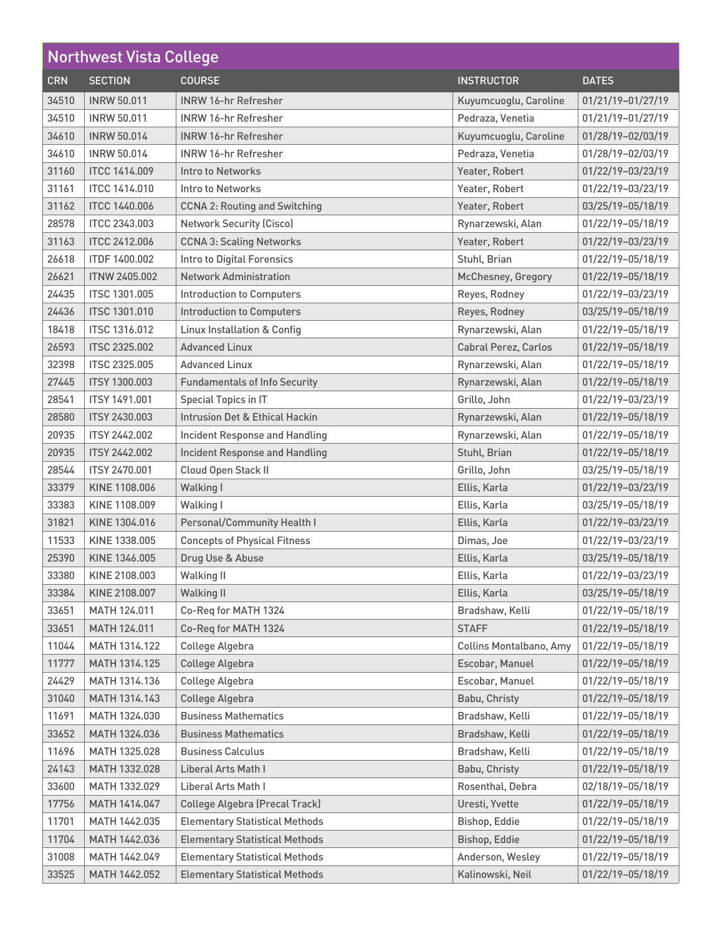| <b>Northwest Vista College</b> |                      |                                        |                           |                   |
|--------------------------------|----------------------|----------------------------------------|---------------------------|-------------------|
| <b>CRN</b>                     | <b>SECTION</b>       | <b>COURSE</b>                          | <b>INSTRUCTOR</b>         | <b>DATES</b>      |
| 34510                          | <b>INRW 50.011</b>   | <b>INRW 16-hr Refresher</b>            | Kuyumcuoglu, Caroline     | 01/21/19-01/27/19 |
| 34510                          | <b>INRW 50.011</b>   | <b>INRW 16-hr Refresher</b>            | Pedraza, Venetia          | 01/21/19-01/27/19 |
| 34610                          | <b>INRW 50.014</b>   | <b>INRW 16-hr Refresher</b>            | Kuyumcuoglu, Caroline     | 01/28/19-02/03/19 |
| 34610                          | <b>INRW 50.014</b>   | <b>INRW 16-hr Refresher</b>            | Pedraza, Venetia          | 01/28/19-02/03/19 |
| 31160                          | <b>ITCC 1414.009</b> | Intro to Networks                      | Yeater, Robert            | 01/22/19-03/23/19 |
| 31161                          | <b>ITCC 1414.010</b> | Intro to Networks                      | Yeater, Robert            | 01/22/19-03/23/19 |
| 31162                          | <b>ITCC 1440.006</b> | <b>CCNA 2: Routing and Switching</b>   | Yeater, Robert            | 03/25/19-05/18/19 |
| 28578                          | <b>ITCC 2343.003</b> | <b>Network Security (Cisco)</b>        | Rynarzewski, Alan         | 01/22/19-05/18/19 |
| 31163                          | <b>ITCC 2412.006</b> | <b>CCNA 3: Scaling Networks</b>        | Yeater, Robert            | 01/22/19-03/23/19 |
| 26618                          | <b>ITDF 1400.002</b> | <b>Intro to Digital Forensics</b>      | Stuhl, Brian              | 01/22/19-05/18/19 |
| 26621                          | <b>ITNW 2405.002</b> | <b>Network Administration</b>          | <b>McChesney, Gregory</b> | 01/22/19-05/18/19 |
| 24435                          | <b>ITSC 1301.005</b> | <b>Introduction to Computers</b>       | Reyes, Rodney             | 01/22/19-03/23/19 |
| 24436                          | <b>ITSC 1301.010</b> | <b>Introduction to Computers</b>       | Reyes, Rodney             | 03/25/19-05/18/19 |
| 18418                          | <b>ITSC 1316.012</b> | <b>Linux Installation &amp; Config</b> | Rynarzewski, Alan         | 01/22/19-05/18/19 |
| 26593                          | <b>ITSC 2325.002</b> | <b>Advanced Linux</b>                  | Cabral Perez, Carlos      | 01/22/19-05/18/19 |
| 32398                          | <b>ITSC 2325,005</b> | <b>Advanced Linux</b>                  | Rynarzewski, Alan         | 01/22/19-05/18/19 |
| 27445                          | <b>ITSY 1300.003</b> | <b>Fundamentals of Info Security</b>   | Rynarzewski, Alan         | 01/22/19-05/18/19 |
| 28541                          | <b>ITSY 1491,001</b> | Special Topics in IT                   | Grillo, John              | 01/22/19-03/23/19 |
| 28580                          | <b>ITSY 2430.003</b> | Intrusion Det & Ethical Hackin         | Rynarzewski, Alan         | 01/22/19-05/18/19 |
| 20935                          | <b>ITSY 2442.002</b> | Incident Response and Handling         | Rynarzewski, Alan         | 01/22/19-05/18/19 |
| 20935                          | <b>ITSY 2442.002</b> | <b>Incident Response and Handling</b>  | Stuhl, Brian              | 01/22/19-05/18/19 |
| 28544                          | <b>ITSY 2470.001</b> | Cloud Open Stack II                    | Grillo, John              | 03/25/19-05/18/19 |
| 33379                          | KINE 1108.006        | <b>Walking I</b>                       | Ellis, Karla              | 01/22/19-03/23/19 |
| 33383                          | KINE 1108.009        | <b>Walking I</b>                       | Ellis, Karla              | 03/25/19-05/18/19 |
| 31821                          | KINE 1304.016        | Personal/Community Health I            | Ellis, Karla              | 01/22/19-03/23/19 |
| 11533                          | KINE 1338.005        | <b>Concepts of Physical Fitness</b>    | Dimas, Joe                | 01/22/19-03/23/19 |
| 25390                          | KINE 1346.005        | Drug Use & Abuse                       | Ellis, Karla              | 03/25/19-05/18/19 |
| 33380                          | KINE 2108.003        | <b>Walking II</b>                      | Ellis, Karla              | 01/22/19-03/23/19 |
| 33384                          | KINE 2108.007        | <b>Walking II</b>                      | Ellis, Karla              | 03/25/19-05/18/19 |
| 33651                          | MATH 124.011         | Co-Req for MATH 1324                   | Bradshaw, Kelli           | 01/22/19-05/18/19 |
| 33651                          | MATH 124.011         | Co-Req for MATH 1324                   | <b>STAFF</b>              | 01/22/19-05/18/19 |
| 11044                          | MATH 1314.122        | College Algebra                        | Collins Montalbano, Amy   | 01/22/19-05/18/19 |
| 11777                          | MATH 1314.125        | College Algebra                        | Escobar, Manuel           | 01/22/19-05/18/19 |
| 24429                          | MATH 1314.136        | College Algebra                        | Escobar, Manuel           | 01/22/19-05/18/19 |
| 31040                          | MATH 1314.143        | College Algebra                        | Babu, Christy             | 01/22/19-05/18/19 |
| 11691                          | MATH 1324.030        | <b>Business Mathematics</b>            | Bradshaw, Kelli           | 01/22/19-05/18/19 |
| 33652                          | MATH 1324.036        | <b>Business Mathematics</b>            | Bradshaw, Kelli           | 01/22/19-05/18/19 |
| 11696                          | MATH 1325.028        | <b>Business Calculus</b>               | Bradshaw, Kelli           | 01/22/19-05/18/19 |
| 24143                          | MATH 1332.028        | Liberal Arts Math I                    | Babu, Christy             | 01/22/19-05/18/19 |
| 33600                          | MATH 1332.029        | Liberal Arts Math I                    | Rosenthal, Debra          | 02/18/19-05/18/19 |
| 17756                          | MATH 1414.047        | <b>College Algebra (Precal Track)</b>  | Uresti, Yvette            | 01/22/19-05/18/19 |
| 11701                          | MATH 1442.035        | <b>Elementary Statistical Methods</b>  | Bishop, Eddie             | 01/22/19-05/18/19 |
| 11704                          | MATH 1442.036        | <b>Elementary Statistical Methods</b>  | Bishop, Eddie             | 01/22/19-05/18/19 |
| 31008                          | MATH 1442.049        | <b>Elementary Statistical Methods</b>  | Anderson, Wesley          | 01/22/19-05/18/19 |
| 33525                          | MATH 1442.052        | <b>Elementary Statistical Methods</b>  | Kalinowski, Neil          | 01/22/19-05/18/19 |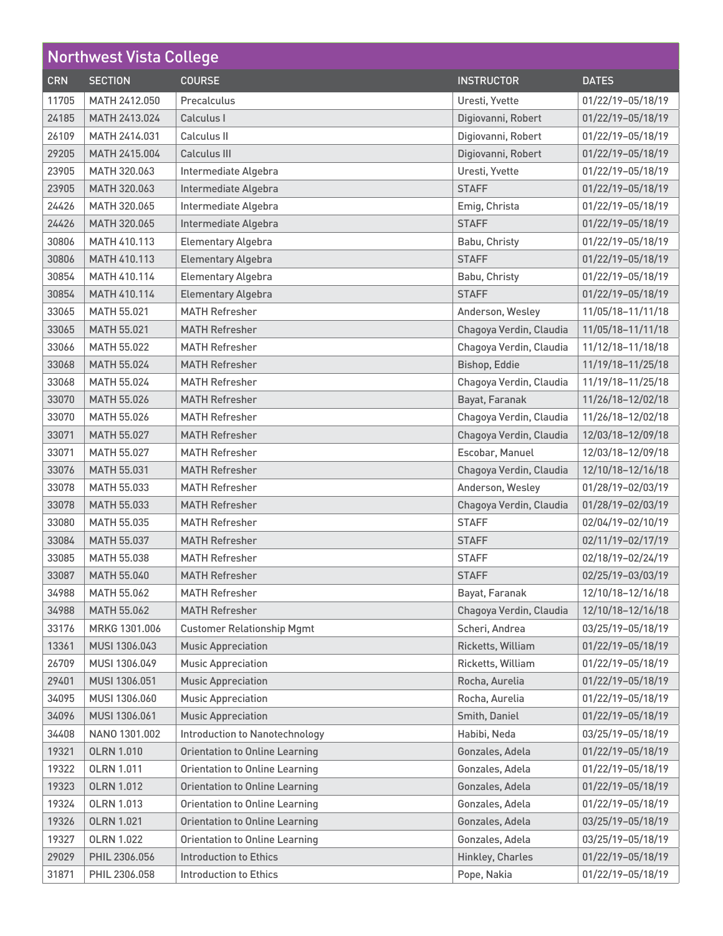| <b>Northwest Vista College</b> |                    |                                       |                         |                   |
|--------------------------------|--------------------|---------------------------------------|-------------------------|-------------------|
| <b>CRN</b>                     | <b>SECTION</b>     | <b>COURSE</b>                         | <b>INSTRUCTOR</b>       | <b>DATES</b>      |
| 11705                          | MATH 2412.050      | Precalculus                           | Uresti, Yvette          | 01/22/19-05/18/19 |
| 24185                          | MATH 2413.024      | Calculus I                            | Digiovanni, Robert      | 01/22/19-05/18/19 |
| 26109                          | MATH 2414.031      | Calculus II                           | Digiovanni, Robert      | 01/22/19-05/18/19 |
| 29205                          | MATH 2415.004      | Calculus III                          | Digiovanni, Robert      | 01/22/19-05/18/19 |
| 23905                          | MATH 320.063       | Intermediate Algebra                  | Uresti, Yvette          | 01/22/19-05/18/19 |
| 23905                          | MATH 320.063       | Intermediate Algebra                  | <b>STAFF</b>            | 01/22/19-05/18/19 |
| 24426                          | MATH 320.065       | Intermediate Algebra                  | Emig, Christa           | 01/22/19-05/18/19 |
| 24426                          | MATH 320.065       | Intermediate Algebra                  | <b>STAFF</b>            | 01/22/19-05/18/19 |
| 30806                          | MATH 410.113       | <b>Elementary Algebra</b>             | Babu, Christy           | 01/22/19-05/18/19 |
| 30806                          | MATH 410.113       | <b>Elementary Algebra</b>             | <b>STAFF</b>            | 01/22/19-05/18/19 |
| 30854                          | MATH 410.114       | <b>Elementary Algebra</b>             | Babu, Christy           | 01/22/19-05/18/19 |
| 30854                          | MATH 410.114       | <b>Elementary Algebra</b>             | <b>STAFF</b>            | 01/22/19-05/18/19 |
| 33065                          | MATH 55.021        | <b>MATH Refresher</b>                 | Anderson, Wesley        | 11/05/18-11/11/18 |
| 33065                          | <b>MATH 55.021</b> | <b>MATH Refresher</b>                 | Chagoya Verdin, Claudia | 11/05/18-11/11/18 |
| 33066                          | <b>MATH 55.022</b> | <b>MATH Refresher</b>                 | Chagoya Verdin, Claudia | 11/12/18-11/18/18 |
| 33068                          | <b>MATH 55.024</b> | <b>MATH Refresher</b>                 | Bishop, Eddie           | 11/19/18-11/25/18 |
| 33068                          | MATH 55.024        | <b>MATH Refresher</b>                 | Chagoya Verdin, Claudia | 11/19/18-11/25/18 |
| 33070                          | <b>MATH 55.026</b> | <b>MATH Refresher</b>                 | Bayat, Faranak          | 11/26/18-12/02/18 |
| 33070                          | MATH 55.026        | <b>MATH Refresher</b>                 | Chagoya Verdin, Claudia | 11/26/18-12/02/18 |
| 33071                          | MATH 55.027        | <b>MATH Refresher</b>                 | Chagoya Verdin, Claudia | 12/03/18-12/09/18 |
| 33071                          | MATH 55.027        | <b>MATH Refresher</b>                 | Escobar, Manuel         | 12/03/18-12/09/18 |
| 33076                          | <b>MATH 55.031</b> | <b>MATH Refresher</b>                 | Chagoya Verdin, Claudia | 12/10/18-12/16/18 |
| 33078                          | MATH 55.033        | <b>MATH Refresher</b>                 | Anderson, Wesley        | 01/28/19-02/03/19 |
| 33078                          | <b>MATH 55.033</b> | <b>MATH Refresher</b>                 | Chagoya Verdin, Claudia | 01/28/19-02/03/19 |
| 33080                          | <b>MATH 55.035</b> | <b>MATH Refresher</b>                 | <b>STAFF</b>            | 02/04/19-02/10/19 |
| 33084                          | MATH 55.037        | <b>MATH Refresher</b>                 | <b>STAFF</b>            | 02/11/19-02/17/19 |
| 33085                          | MATH 55.038        | <b>MATH Refresher</b>                 | <b>STAFF</b>            | 02/18/19-02/24/19 |
| 33087                          | MATH 55.040        | <b>MATH Refresher</b>                 | <b>STAFF</b>            | 02/25/19-03/03/19 |
| 34988                          | <b>MATH 55.062</b> | <b>MATH Refresher</b>                 | Bayat, Faranak          | 12/10/18-12/16/18 |
| 34988                          | <b>MATH 55.062</b> | <b>MATH Refresher</b>                 | Chagoya Verdin, Claudia | 12/10/18-12/16/18 |
| 33176                          | MRKG 1301.006      | <b>Customer Relationship Mgmt</b>     | Scheri, Andrea          | 03/25/19-05/18/19 |
| 13361                          | MUSI 1306.043      | <b>Music Appreciation</b>             | Ricketts, William       | 01/22/19-05/18/19 |
| 26709                          | MUSI 1306.049      | <b>Music Appreciation</b>             | Ricketts, William       | 01/22/19-05/18/19 |
| 29401                          | MUSI 1306.051      | <b>Music Appreciation</b>             | Rocha, Aurelia          | 01/22/19-05/18/19 |
| 34095                          | MUSI 1306.060      | <b>Music Appreciation</b>             | Rocha, Aurelia          | 01/22/19-05/18/19 |
| 34096                          | MUSI 1306.061      | <b>Music Appreciation</b>             | Smith, Daniel           | 01/22/19-05/18/19 |
| 34408                          | NANO 1301.002      | <b>Introduction to Nanotechnology</b> | Habibi, Neda            | 03/25/19-05/18/19 |
| 19321                          | <b>OLRN 1.010</b>  | <b>Orientation to Online Learning</b> | Gonzales, Adela         | 01/22/19-05/18/19 |
| 19322                          | <b>OLRN 1.011</b>  | <b>Orientation to Online Learning</b> | Gonzales, Adela         | 01/22/19-05/18/19 |
| 19323                          | <b>OLRN 1.012</b>  | <b>Orientation to Online Learning</b> | Gonzales, Adela         | 01/22/19-05/18/19 |
| 19324                          | <b>OLRN 1.013</b>  | <b>Orientation to Online Learning</b> | Gonzales, Adela         | 01/22/19-05/18/19 |
| 19326                          | <b>OLRN 1.021</b>  | <b>Orientation to Online Learning</b> | Gonzales, Adela         | 03/25/19-05/18/19 |
| 19327                          | <b>OLRN 1.022</b>  | <b>Orientation to Online Learning</b> | Gonzales, Adela         | 03/25/19-05/18/19 |
| 29029                          | PHIL 2306.056      | <b>Introduction to Ethics</b>         | Hinkley, Charles        | 01/22/19-05/18/19 |
| 31871                          | PHIL 2306.058      | <b>Introduction to Ethics</b>         | Pope, Nakia             | 01/22/19-05/18/19 |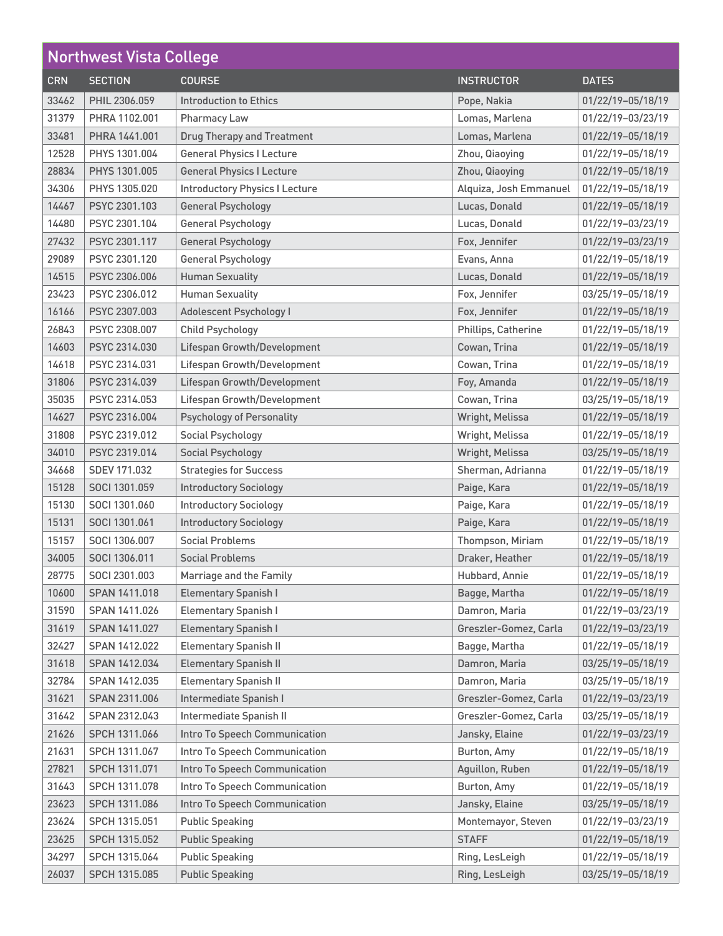| <b>Northwest Vista College</b> |                |                                       |                        |                   |
|--------------------------------|----------------|---------------------------------------|------------------------|-------------------|
| <b>CRN</b>                     | <b>SECTION</b> | <b>COURSE</b>                         | <b>INSTRUCTOR</b>      | <b>DATES</b>      |
| 33462                          | PHIL 2306.059  | <b>Introduction to Ethics</b>         | Pope, Nakia            | 01/22/19-05/18/19 |
| 31379                          | PHRA 1102.001  | Pharmacy Law                          | Lomas, Marlena         | 01/22/19-03/23/19 |
| 33481                          | PHRA 1441.001  | <b>Drug Therapy and Treatment</b>     | Lomas, Marlena         | 01/22/19-05/18/19 |
| 12528                          | PHYS 1301.004  | <b>General Physics I Lecture</b>      | Zhou, Qiaoying         | 01/22/19-05/18/19 |
| 28834                          | PHYS 1301.005  | <b>General Physics I Lecture</b>      | Zhou, Qiaoying         | 01/22/19-05/18/19 |
| 34306                          | PHYS 1305.020  | <b>Introductory Physics I Lecture</b> | Alquiza, Josh Emmanuel | 01/22/19-05/18/19 |
| 14467                          | PSYC 2301.103  | <b>General Psychology</b>             | Lucas, Donald          | 01/22/19-05/18/19 |
| 14480                          | PSYC 2301.104  | <b>General Psychology</b>             | Lucas, Donald          | 01/22/19-03/23/19 |
| 27432                          | PSYC 2301.117  | <b>General Psychology</b>             | Fox, Jennifer          | 01/22/19-03/23/19 |
| 29089                          | PSYC 2301.120  | General Psychology                    | Evans, Anna            | 01/22/19-05/18/19 |
| 14515                          | PSYC 2306.006  | <b>Human Sexuality</b>                | Lucas, Donald          | 01/22/19-05/18/19 |
| 23423                          | PSYC 2306.012  | <b>Human Sexuality</b>                | Fox, Jennifer          | 03/25/19-05/18/19 |
| 16166                          | PSYC 2307.003  | Adolescent Psychology I               | Fox, Jennifer          | 01/22/19-05/18/19 |
| 26843                          | PSYC 2308.007  | <b>Child Psychology</b>               | Phillips, Catherine    | 01/22/19-05/18/19 |
| 14603                          | PSYC 2314.030  | Lifespan Growth/Development           | Cowan, Trina           | 01/22/19-05/18/19 |
| 14618                          | PSYC 2314.031  | Lifespan Growth/Development           | Cowan, Trina           | 01/22/19-05/18/19 |
| 31806                          | PSYC 2314.039  | Lifespan Growth/Development           | Foy, Amanda            | 01/22/19-05/18/19 |
| 35035                          | PSYC 2314.053  | Lifespan Growth/Development           | Cowan, Trina           | 03/25/19-05/18/19 |
| 14627                          | PSYC 2316.004  | <b>Psychology of Personality</b>      | Wright, Melissa        | 01/22/19-05/18/19 |
| 31808                          | PSYC 2319,012  | Social Psychology                     | Wright, Melissa        | 01/22/19-05/18/19 |
| 34010                          | PSYC 2319.014  | <b>Social Psychology</b>              | Wright, Melissa        | 03/25/19-05/18/19 |
| 34668                          | SDEV 171.032   | <b>Strategies for Success</b>         | Sherman, Adrianna      | 01/22/19-05/18/19 |
| 15128                          | SOCI 1301.059  | <b>Introductory Sociology</b>         | Paige, Kara            | 01/22/19-05/18/19 |
| 15130                          | SOCI 1301,060  | <b>Introductory Sociology</b>         | Paige, Kara            | 01/22/19-05/18/19 |
| 15131                          | SOCI 1301.061  | <b>Introductory Sociology</b>         | Paige, Kara            | 01/22/19-05/18/19 |
| 15157                          | SOCI 1306.007  | <b>Social Problems</b>                | Thompson, Miriam       | 01/22/19-05/18/19 |
| 34005                          | SOCI 1306.011  | <b>Social Problems</b>                | Draker, Heather        | 01/22/19-05/18/19 |
| 28775                          | SOCI 2301.003  | Marriage and the Family               | Hubbard, Annie         | 01/22/19-05/18/19 |
| 10600                          | SPAN 1411.018  | <b>Elementary Spanish I</b>           | Bagge, Martha          | 01/22/19-05/18/19 |
| 31590                          | SPAN 1411.026  | <b>Elementary Spanish I</b>           | Damron, Maria          | 01/22/19-03/23/19 |
| 31619                          | SPAN 1411.027  | <b>Elementary Spanish I</b>           | Greszler-Gomez, Carla  | 01/22/19-03/23/19 |
| 32427                          | SPAN 1412.022  | <b>Elementary Spanish II</b>          | Bagge, Martha          | 01/22/19-05/18/19 |
| 31618                          | SPAN 1412.034  | <b>Elementary Spanish II</b>          | Damron, Maria          | 03/25/19-05/18/19 |
| 32784                          | SPAN 1412.035  | <b>Elementary Spanish II</b>          | Damron, Maria          | 03/25/19-05/18/19 |
| 31621                          | SPAN 2311.006  | Intermediate Spanish I                | Greszler-Gomez, Carla  | 01/22/19-03/23/19 |
| 31642                          | SPAN 2312.043  | Intermediate Spanish II               | Greszler-Gomez, Carla  | 03/25/19-05/18/19 |
| 21626                          | SPCH 1311.066  | Intro To Speech Communication         | Jansky, Elaine         | 01/22/19-03/23/19 |
| 21631                          | SPCH 1311.067  | Intro To Speech Communication         | Burton, Amy            | 01/22/19-05/18/19 |
| 27821                          | SPCH 1311.071  | Intro To Speech Communication         | Aguillon, Ruben        | 01/22/19-05/18/19 |
| 31643                          | SPCH 1311.078  | Intro To Speech Communication         | Burton, Amy            | 01/22/19-05/18/19 |
| 23623                          | SPCH 1311.086  | Intro To Speech Communication         | Jansky, Elaine         | 03/25/19-05/18/19 |
| 23624                          | SPCH 1315.051  | <b>Public Speaking</b>                | Montemayor, Steven     | 01/22/19-03/23/19 |
| 23625                          | SPCH 1315.052  | <b>Public Speaking</b>                | <b>STAFF</b>           | 01/22/19-05/18/19 |
| 34297                          | SPCH 1315.064  | <b>Public Speaking</b>                | Ring, LesLeigh         | 01/22/19-05/18/19 |
| 26037                          | SPCH 1315.085  | <b>Public Speaking</b>                | Ring, LesLeigh         | 03/25/19-05/18/19 |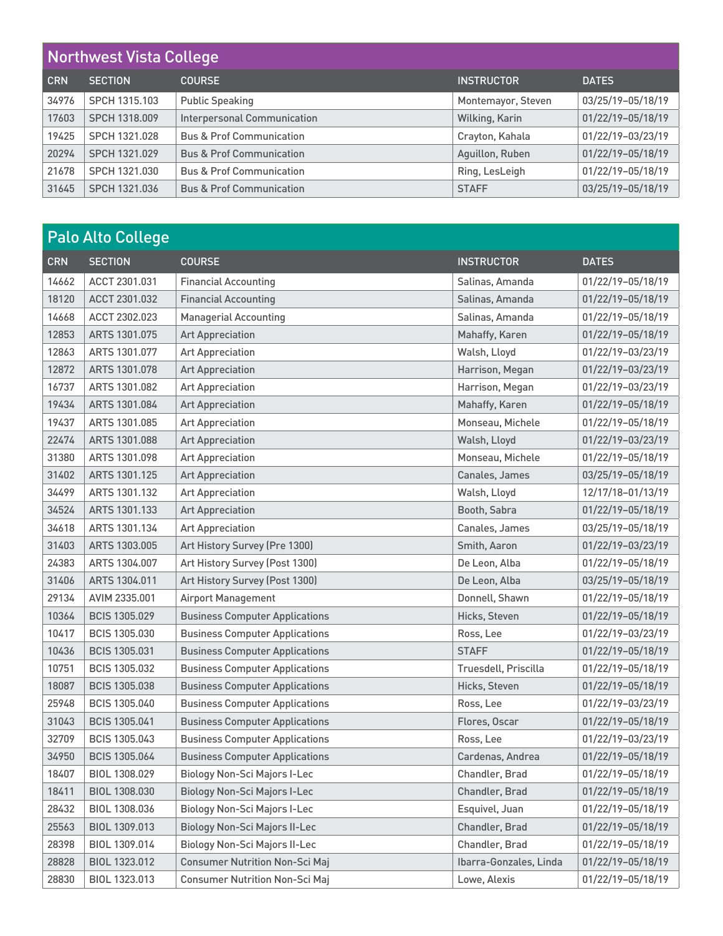| Northwest Vista College |                |                                     |                    |                   |
|-------------------------|----------------|-------------------------------------|--------------------|-------------------|
| <b>CRN</b>              | <b>SECTION</b> | <b>COURSE</b>                       | <b>INSTRUCTOR</b>  | <b>DATES</b>      |
| 34976                   | SPCH 1315.103  | <b>Public Speaking</b>              | Montemayor, Steven | 03/25/19-05/18/19 |
| 17603                   | SPCH 1318.009  | <b>Interpersonal Communication</b>  | Wilking, Karin     | 01/22/19-05/18/19 |
| 19425                   | SPCH 1321.028  | <b>Bus &amp; Prof Communication</b> | Crayton, Kahala    | 01/22/19-03/23/19 |
| 20294                   | SPCH 1321.029  | <b>Bus &amp; Prof Communication</b> | Aguillon, Ruben    | 01/22/19-05/18/19 |
| 21678                   | SPCH 1321.030  | <b>Bus &amp; Prof Communication</b> | Ring, LesLeigh     | 01/22/19-05/18/19 |
| 31645                   | SPCH 1321.036  | <b>Bus &amp; Prof Communication</b> | <b>STAFF</b>       | 03/25/19-05/18/19 |

|            | <b>Palo Alto College</b> |                                       |                        |                   |  |
|------------|--------------------------|---------------------------------------|------------------------|-------------------|--|
| <b>CRN</b> | <b>SECTION</b>           | <b>COURSE</b>                         | <b>INSTRUCTOR</b>      | <b>DATES</b>      |  |
| 14662      | ACCT 2301.031            | <b>Financial Accounting</b>           | Salinas, Amanda        | 01/22/19-05/18/19 |  |
| 18120      | ACCT 2301.032            | <b>Financial Accounting</b>           | Salinas, Amanda        | 01/22/19-05/18/19 |  |
| 14668      | ACCT 2302.023            | <b>Managerial Accounting</b>          | Salinas, Amanda        | 01/22/19-05/18/19 |  |
| 12853      | ARTS 1301.075            | <b>Art Appreciation</b>               | Mahaffy, Karen         | 01/22/19-05/18/19 |  |
| 12863      | ARTS 1301.077            | <b>Art Appreciation</b>               | Walsh, Lloyd           | 01/22/19-03/23/19 |  |
| 12872      | ARTS 1301.078            | <b>Art Appreciation</b>               | Harrison, Megan        | 01/22/19-03/23/19 |  |
| 16737      | ARTS 1301.082            | <b>Art Appreciation</b>               | Harrison, Megan        | 01/22/19-03/23/19 |  |
| 19434      | ARTS 1301.084            | <b>Art Appreciation</b>               | Mahaffy, Karen         | 01/22/19-05/18/19 |  |
| 19437      | ARTS 1301.085            | <b>Art Appreciation</b>               | Monseau, Michele       | 01/22/19-05/18/19 |  |
| 22474      | ARTS 1301.088            | <b>Art Appreciation</b>               | Walsh, Lloyd           | 01/22/19-03/23/19 |  |
| 31380      | ARTS 1301.098            | <b>Art Appreciation</b>               | Monseau, Michele       | 01/22/19-05/18/19 |  |
| 31402      | ARTS 1301.125            | <b>Art Appreciation</b>               | Canales, James         | 03/25/19-05/18/19 |  |
| 34499      | ARTS 1301.132            | <b>Art Appreciation</b>               | Walsh, Lloyd           | 12/17/18-01/13/19 |  |
| 34524      | ARTS 1301.133            | <b>Art Appreciation</b>               | Booth, Sabra           | 01/22/19-05/18/19 |  |
| 34618      | ARTS 1301.134            | <b>Art Appreciation</b>               | Canales, James         | 03/25/19-05/18/19 |  |
| 31403      | ARTS 1303.005            | Art History Survey (Pre 1300)         | Smith, Aaron           | 01/22/19-03/23/19 |  |
| 24383      | ARTS 1304.007            | Art History Survey (Post 1300)        | De Leon, Alba          | 01/22/19-05/18/19 |  |
| 31406      | ARTS 1304.011            | Art History Survey (Post 1300)        | De Leon, Alba          | 03/25/19-05/18/19 |  |
| 29134      | AVIM 2335.001            | Airport Management                    | Donnell, Shawn         | 01/22/19-05/18/19 |  |
| 10364      | <b>BCIS 1305.029</b>     | <b>Business Computer Applications</b> | Hicks, Steven          | 01/22/19-05/18/19 |  |
| 10417      | <b>BCIS 1305.030</b>     | <b>Business Computer Applications</b> | Ross, Lee              | 01/22/19-03/23/19 |  |
| 10436      | <b>BCIS 1305.031</b>     | <b>Business Computer Applications</b> | <b>STAFF</b>           | 01/22/19-05/18/19 |  |
| 10751      | <b>BCIS 1305.032</b>     | <b>Business Computer Applications</b> | Truesdell, Priscilla   | 01/22/19-05/18/19 |  |
| 18087      | <b>BCIS 1305.038</b>     | <b>Business Computer Applications</b> | Hicks, Steven          | 01/22/19-05/18/19 |  |
| 25948      | BCIS 1305.040            | <b>Business Computer Applications</b> | Ross, Lee              | 01/22/19-03/23/19 |  |
| 31043      | <b>BCIS 1305.041</b>     | <b>Business Computer Applications</b> | Flores, Oscar          | 01/22/19-05/18/19 |  |
| 32709      | BCIS 1305.043            | <b>Business Computer Applications</b> | Ross, Lee              | 01/22/19-03/23/19 |  |
| 34950      | <b>BCIS 1305.064</b>     | <b>Business Computer Applications</b> | Cardenas, Andrea       | 01/22/19-05/18/19 |  |
| 18407      | BIOL 1308.029            | <b>Biology Non-Sci Majors I-Lec</b>   | Chandler, Brad         | 01/22/19-05/18/19 |  |
| 18411      | BIOL 1308.030            | <b>Biology Non-Sci Majors I-Lec</b>   | Chandler, Brad         | 01/22/19-05/18/19 |  |
| 28432      | BIOL 1308.036            | <b>Biology Non-Sci Majors I-Lec</b>   | Esquivel, Juan         | 01/22/19-05/18/19 |  |
| 25563      | BIOL 1309.013            | <b>Biology Non-Sci Majors II-Lec</b>  | Chandler, Brad         | 01/22/19-05/18/19 |  |
| 28398      | BIOL 1309.014            | <b>Biology Non-Sci Majors II-Lec</b>  | Chandler, Brad         | 01/22/19-05/18/19 |  |
| 28828      | BIOL 1323.012            | <b>Consumer Nutrition Non-Sci Maj</b> | Ibarra-Gonzales, Linda | 01/22/19-05/18/19 |  |
| 28830      | BIOL 1323.013            | <b>Consumer Nutrition Non-Sci Maj</b> | Lowe, Alexis           | 01/22/19-05/18/19 |  |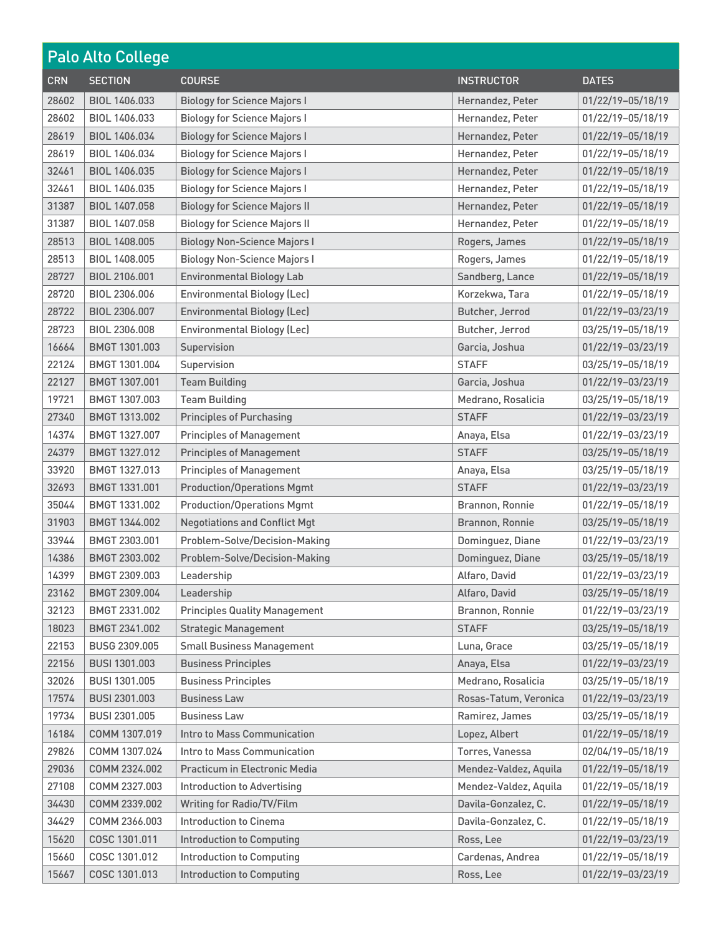|            | <b>Palo Alto College</b> |                                      |                       |                   |  |
|------------|--------------------------|--------------------------------------|-----------------------|-------------------|--|
| <b>CRN</b> | <b>SECTION</b>           | <b>COURSE</b>                        | <b>INSTRUCTOR</b>     | <b>DATES</b>      |  |
| 28602      | BIOL 1406.033            | <b>Biology for Science Majors I</b>  | Hernandez, Peter      | 01/22/19-05/18/19 |  |
| 28602      | BIOL 1406.033            | <b>Biology for Science Majors I</b>  | Hernandez, Peter      | 01/22/19-05/18/19 |  |
| 28619      | BIOL 1406.034            | <b>Biology for Science Majors I</b>  | Hernandez, Peter      | 01/22/19-05/18/19 |  |
| 28619      | BIOL 1406.034            | <b>Biology for Science Majors I</b>  | Hernandez, Peter      | 01/22/19-05/18/19 |  |
| 32461      | BIOL 1406.035            | <b>Biology for Science Majors I</b>  | Hernandez, Peter      | 01/22/19-05/18/19 |  |
| 32461      | BIOL 1406.035            | <b>Biology for Science Majors I</b>  | Hernandez, Peter      | 01/22/19-05/18/19 |  |
| 31387      | BIOL 1407.058            | <b>Biology for Science Majors II</b> | Hernandez, Peter      | 01/22/19-05/18/19 |  |
| 31387      | BIOL 1407.058            | <b>Biology for Science Majors II</b> | Hernandez, Peter      | 01/22/19-05/18/19 |  |
| 28513      | BIOL 1408.005            | <b>Biology Non-Science Majors I</b>  | Rogers, James         | 01/22/19-05/18/19 |  |
| 28513      | BIOL 1408.005            | <b>Biology Non-Science Majors I</b>  | Rogers, James         | 01/22/19-05/18/19 |  |
| 28727      | BIOL 2106.001            | <b>Environmental Biology Lab</b>     | Sandberg, Lance       | 01/22/19-05/18/19 |  |
| 28720      | BIOL 2306.006            | <b>Environmental Biology (Lec)</b>   | Korzekwa, Tara        | 01/22/19-05/18/19 |  |
| 28722      | BIOL 2306.007            | <b>Environmental Biology (Lec)</b>   | Butcher, Jerrod       | 01/22/19-03/23/19 |  |
| 28723      | BIOL 2306.008            | <b>Environmental Biology (Lec)</b>   | Butcher, Jerrod       | 03/25/19-05/18/19 |  |
| 16664      | BMGT 1301.003            | Supervision                          | Garcia, Joshua        | 01/22/19-03/23/19 |  |
| 22124      | BMGT 1301.004            | Supervision                          | <b>STAFF</b>          | 03/25/19-05/18/19 |  |
| 22127      | BMGT 1307.001            | <b>Team Building</b>                 | Garcia, Joshua        | 01/22/19-03/23/19 |  |
| 19721      | BMGT 1307.003            | <b>Team Building</b>                 | Medrano, Rosalicia    | 03/25/19-05/18/19 |  |
| 27340      | BMGT 1313.002            | <b>Principles of Purchasing</b>      | <b>STAFF</b>          | 01/22/19-03/23/19 |  |
| 14374      | BMGT 1327.007            | <b>Principles of Management</b>      | Anaya, Elsa           | 01/22/19-03/23/19 |  |
| 24379      | BMGT 1327.012            | <b>Principles of Management</b>      | <b>STAFF</b>          | 03/25/19-05/18/19 |  |
| 33920      | BMGT 1327.013            | <b>Principles of Management</b>      | Anaya, Elsa           | 03/25/19-05/18/19 |  |
| 32693      | BMGT 1331.001            | <b>Production/Operations Mgmt</b>    | <b>STAFF</b>          | 01/22/19-03/23/19 |  |
| 35044      | BMGT 1331.002            | <b>Production/Operations Mgmt</b>    | Brannon, Ronnie       | 01/22/19-05/18/19 |  |
| 31903      | BMGT 1344.002            | <b>Negotiations and Conflict Mgt</b> | Brannon, Ronnie       | 03/25/19-05/18/19 |  |
| 33944      | BMGT 2303.001            | Problem-Solve/Decision-Making        | Dominguez, Diane      | 01/22/19-03/23/19 |  |
| 14386      | BMGT 2303.002            | Problem-Solve/Decision-Making        | Dominguez, Diane      | 03/25/19-05/18/19 |  |
| 14399      | BMGT 2309.003            | Leadership                           | Alfaro, David         | 01/22/19-03/23/19 |  |
| 23162      | BMGT 2309.004            | Leadership                           | Alfaro, David         | 03/25/19-05/18/19 |  |
| 32123      | BMGT 2331.002            | <b>Principles Quality Management</b> | Brannon, Ronnie       | 01/22/19-03/23/19 |  |
| 18023      | BMGT 2341.002            | <b>Strategic Management</b>          | <b>STAFF</b>          | 03/25/19-05/18/19 |  |
| 22153      | BUSG 2309.005            | <b>Small Business Management</b>     | Luna, Grace           | 03/25/19-05/18/19 |  |
| 22156      | BUSI 1301.003            | <b>Business Principles</b>           | Anaya, Elsa           | 01/22/19-03/23/19 |  |
| 32026      | BUSI 1301.005            | <b>Business Principles</b>           | Medrano, Rosalicia    | 03/25/19-05/18/19 |  |
| 17574      | BUSI 2301.003            | <b>Business Law</b>                  | Rosas-Tatum, Veronica | 01/22/19-03/23/19 |  |
| 19734      | BUSI 2301.005            | <b>Business Law</b>                  | Ramirez, James        | 03/25/19-05/18/19 |  |
| 16184      | COMM 1307.019            | Intro to Mass Communication          | Lopez, Albert         | 01/22/19-05/18/19 |  |
| 29826      | COMM 1307.024            | Intro to Mass Communication          | Torres, Vanessa       | 02/04/19-05/18/19 |  |
| 29036      | COMM 2324.002            | Practicum in Electronic Media        | Mendez-Valdez, Aquila | 01/22/19-05/18/19 |  |
| 27108      | COMM 2327.003            | <b>Introduction to Advertising</b>   | Mendez-Valdez, Aquila | 01/22/19-05/18/19 |  |
| 34430      | COMM 2339.002            | Writing for Radio/TV/Film            | Davila-Gonzalez, C.   | 01/22/19-05/18/19 |  |
| 34429      | COMM 2366.003            | <b>Introduction to Cinema</b>        | Davila-Gonzalez, C.   | 01/22/19-05/18/19 |  |
| 15620      | COSC 1301.011            | <b>Introduction to Computing</b>     | Ross, Lee             | 01/22/19-03/23/19 |  |
| 15660      | COSC 1301.012            | <b>Introduction to Computing</b>     | Cardenas, Andrea      | 01/22/19-05/18/19 |  |
| 15667      | COSC 1301.013            | <b>Introduction to Computing</b>     | Ross, Lee             | 01/22/19-03/23/19 |  |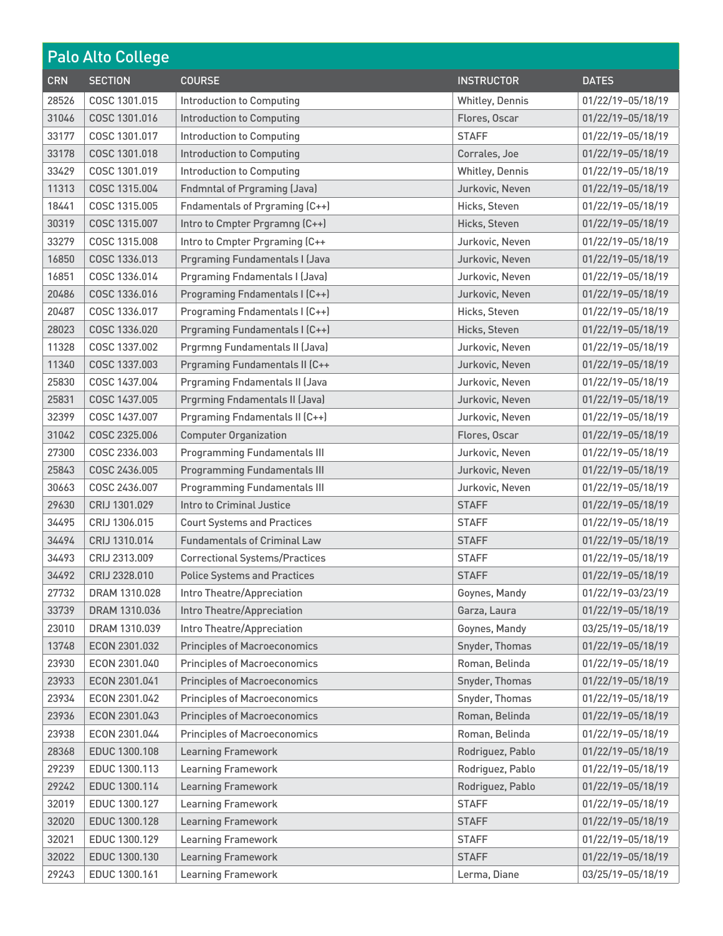| <b>Palo Alto College</b> |                |                                       |                   |                   |
|--------------------------|----------------|---------------------------------------|-------------------|-------------------|
| <b>CRN</b>               | <b>SECTION</b> | <b>COURSE</b>                         | <b>INSTRUCTOR</b> | <b>DATES</b>      |
| 28526                    | COSC 1301.015  | <b>Introduction to Computing</b>      | Whitley, Dennis   | 01/22/19-05/18/19 |
| 31046                    | COSC 1301.016  | <b>Introduction to Computing</b>      | Flores, Oscar     | 01/22/19-05/18/19 |
| 33177                    | COSC 1301.017  | <b>Introduction to Computing</b>      | <b>STAFF</b>      | 01/22/19-05/18/19 |
| 33178                    | COSC 1301.018  | <b>Introduction to Computing</b>      | Corrales, Joe     | 01/22/19-05/18/19 |
| 33429                    | COSC 1301.019  | <b>Introduction to Computing</b>      | Whitley, Dennis   | 01/22/19-05/18/19 |
| 11313                    | COSC 1315.004  | <b>Fndmntal of Prgraming (Java)</b>   | Jurkovic, Neven   | 01/22/19-05/18/19 |
| 18441                    | COSC 1315,005  | Fndamentals of Prgraming (C++)        | Hicks, Steven     | 01/22/19-05/18/19 |
| 30319                    | COSC 1315.007  | Intro to Cmpter Prgramng (C++)        | Hicks, Steven     | 01/22/19-05/18/19 |
| 33279                    | COSC 1315.008  | Intro to Cmpter Prgraming (C++        | Jurkovic, Neven   | 01/22/19-05/18/19 |
| 16850                    | COSC 1336.013  | <b>Prgraming Fundamentals I (Java</b> | Jurkovic, Neven   | 01/22/19-05/18/19 |
| 16851                    | COSC 1336.014  | <b>Prgraming Fndamentals I (Java)</b> | Jurkovic, Neven   | 01/22/19-05/18/19 |
| 20486                    | COSC 1336.016  | Programing Fndamentals I (C++)        | Jurkovic, Neven   | 01/22/19-05/18/19 |
| 20487                    | COSC 1336.017  | Programing Fndamentals I (C++)        | Hicks, Steven     | 01/22/19-05/18/19 |
| 28023                    | COSC 1336.020  | Prgraming Fundamentals I (C++)        | Hicks, Steven     | 01/22/19-05/18/19 |
| 11328                    | COSC 1337.002  | Prgrmng Fundamentals II (Java)        | Jurkovic, Neven   | 01/22/19-05/18/19 |
| 11340                    | COSC 1337.003  | Prgraming Fundamentals II (C++        | Jurkovic, Neven   | 01/22/19-05/18/19 |
| 25830                    | COSC 1437.004  | <b>Prgraming Fndamentals II (Java</b> | Jurkovic, Neven   | 01/22/19-05/18/19 |
| 25831                    | COSC 1437.005  | Prgrming Fndamentals II (Java)        | Jurkovic, Neven   | 01/22/19-05/18/19 |
| 32399                    | COSC 1437.007  | Prgraming Fndamentals II (C++)        | Jurkovic, Neven   | 01/22/19-05/18/19 |
| 31042                    | COSC 2325.006  | <b>Computer Organization</b>          | Flores, Oscar     | 01/22/19-05/18/19 |
| 27300                    | COSC 2336.003  | <b>Programming Fundamentals III</b>   | Jurkovic, Neven   | 01/22/19-05/18/19 |
| 25843                    | COSC 2436.005  | <b>Programming Fundamentals III</b>   | Jurkovic, Neven   | 01/22/19-05/18/19 |
| 30663                    | COSC 2436.007  | <b>Programming Fundamentals III</b>   | Jurkovic, Neven   | 01/22/19-05/18/19 |
| 29630                    | CRIJ 1301.029  | Intro to Criminal Justice             | <b>STAFF</b>      | 01/22/19-05/18/19 |
| 34495                    | CRIJ 1306.015  | <b>Court Systems and Practices</b>    | <b>STAFF</b>      | 01/22/19-05/18/19 |
| 34494                    | CRIJ 1310.014  | <b>Fundamentals of Criminal Law</b>   | <b>STAFF</b>      | 01/22/19-05/18/19 |
| 34493                    | CRIJ 2313,009  | <b>Correctional Systems/Practices</b> | <b>STAFF</b>      | 01/22/19-05/18/19 |
| 34492                    | CRIJ 2328.010  | <b>Police Systems and Practices</b>   | <b>STAFF</b>      | 01/22/19-05/18/19 |
| 27732                    | DRAM 1310.028  | Intro Theatre/Appreciation            | Goynes, Mandy     | 01/22/19-03/23/19 |
| 33739                    | DRAM 1310.036  | Intro Theatre/Appreciation            | Garza, Laura      | 01/22/19-05/18/19 |
| 23010                    | DRAM 1310.039  | Intro Theatre/Appreciation            | Goynes, Mandy     | 03/25/19-05/18/19 |
| 13748                    | ECON 2301.032  | <b>Principles of Macroeconomics</b>   | Snyder, Thomas    | 01/22/19-05/18/19 |
| 23930                    | ECON 2301.040  | <b>Principles of Macroeconomics</b>   | Roman, Belinda    | 01/22/19-05/18/19 |
| 23933                    | ECON 2301.041  | <b>Principles of Macroeconomics</b>   | Snyder, Thomas    | 01/22/19-05/18/19 |
| 23934                    | ECON 2301.042  | <b>Principles of Macroeconomics</b>   | Snyder, Thomas    | 01/22/19-05/18/19 |
| 23936                    | ECON 2301.043  | <b>Principles of Macroeconomics</b>   | Roman, Belinda    | 01/22/19-05/18/19 |
| 23938                    | ECON 2301.044  | <b>Principles of Macroeconomics</b>   | Roman, Belinda    | 01/22/19-05/18/19 |
| 28368                    | EDUC 1300.108  | <b>Learning Framework</b>             | Rodriguez, Pablo  | 01/22/19-05/18/19 |
| 29239                    | EDUC 1300.113  | <b>Learning Framework</b>             | Rodriguez, Pablo  | 01/22/19-05/18/19 |
| 29242                    | EDUC 1300.114  | Learning Framework                    | Rodriguez, Pablo  | 01/22/19-05/18/19 |
| 32019                    | EDUC 1300.127  | <b>Learning Framework</b>             | <b>STAFF</b>      | 01/22/19-05/18/19 |
| 32020                    | EDUC 1300.128  | Learning Framework                    | <b>STAFF</b>      | 01/22/19-05/18/19 |
| 32021                    | EDUC 1300.129  | <b>Learning Framework</b>             | <b>STAFF</b>      | 01/22/19-05/18/19 |
| 32022                    | EDUC 1300.130  | <b>Learning Framework</b>             | <b>STAFF</b>      | 01/22/19-05/18/19 |
| 29243                    | EDUC 1300.161  | <b>Learning Framework</b>             | Lerma, Diane      | 03/25/19-05/18/19 |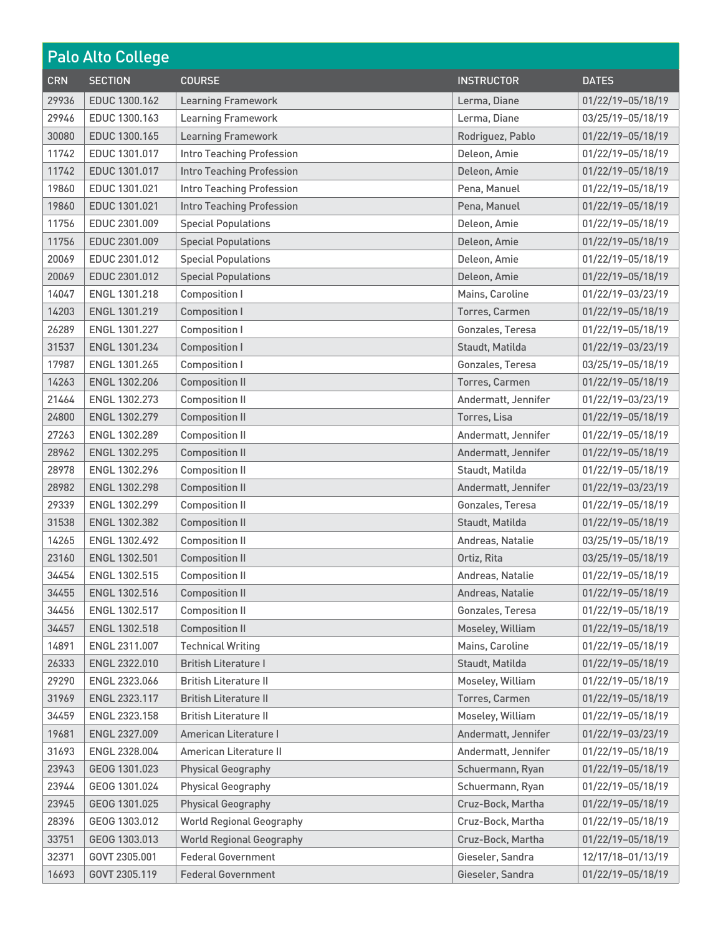| <b>Palo Alto College</b> |                      |                                  |                     |                   |
|--------------------------|----------------------|----------------------------------|---------------------|-------------------|
| <b>CRN</b>               | <b>SECTION</b>       | <b>COURSE</b>                    | <b>INSTRUCTOR</b>   | <b>DATES</b>      |
| 29936                    | EDUC 1300.162        | <b>Learning Framework</b>        | Lerma, Diane        | 01/22/19-05/18/19 |
| 29946                    | EDUC 1300.163        | Learning Framework               | Lerma, Diane        | 03/25/19-05/18/19 |
| 30080                    | EDUC 1300.165        | <b>Learning Framework</b>        | Rodriguez, Pablo    | 01/22/19-05/18/19 |
| 11742                    | EDUC 1301.017        | <b>Intro Teaching Profession</b> | Deleon, Amie        | 01/22/19-05/18/19 |
| 11742                    | EDUC 1301.017        | <b>Intro Teaching Profession</b> | Deleon, Amie        | 01/22/19-05/18/19 |
| 19860                    | EDUC 1301.021        | <b>Intro Teaching Profession</b> | Pena, Manuel        | 01/22/19-05/18/19 |
| 19860                    | EDUC 1301.021        | <b>Intro Teaching Profession</b> | Pena, Manuel        | 01/22/19-05/18/19 |
| 11756                    | EDUC 2301.009        | <b>Special Populations</b>       | Deleon, Amie        | 01/22/19-05/18/19 |
| 11756                    | EDUC 2301.009        | <b>Special Populations</b>       | Deleon, Amie        | 01/22/19-05/18/19 |
| 20069                    | EDUC 2301.012        | <b>Special Populations</b>       | Deleon, Amie        | 01/22/19-05/18/19 |
| 20069                    | EDUC 2301.012        | <b>Special Populations</b>       | Deleon, Amie        | 01/22/19-05/18/19 |
| 14047                    | ENGL 1301.218        | <b>Composition I</b>             | Mains, Caroline     | 01/22/19-03/23/19 |
| 14203                    | ENGL 1301.219        | <b>Composition I</b>             | Torres, Carmen      | 01/22/19-05/18/19 |
| 26289                    | ENGL 1301.227        | <b>Composition I</b>             | Gonzales, Teresa    | 01/22/19-05/18/19 |
| 31537                    | ENGL 1301.234        | <b>Composition I</b>             | Staudt, Matilda     | 01/22/19-03/23/19 |
| 17987                    | ENGL 1301.265        | <b>Composition I</b>             | Gonzales, Teresa    | 03/25/19-05/18/19 |
| 14263                    | ENGL 1302.206        | <b>Composition II</b>            | Torres, Carmen      | 01/22/19-05/18/19 |
| 21464                    | ENGL 1302.273        | <b>Composition II</b>            | Andermatt, Jennifer | 01/22/19-03/23/19 |
| 24800                    | ENGL 1302.279        | <b>Composition II</b>            | Torres, Lisa        | 01/22/19-05/18/19 |
| 27263                    | ENGL 1302.289        | <b>Composition II</b>            | Andermatt, Jennifer | 01/22/19-05/18/19 |
| 28962                    | ENGL 1302.295        | <b>Composition II</b>            | Andermatt, Jennifer | 01/22/19-05/18/19 |
| 28978                    | ENGL 1302.296        | <b>Composition II</b>            | Staudt, Matilda     | 01/22/19-05/18/19 |
| 28982                    | ENGL 1302.298        | <b>Composition II</b>            | Andermatt, Jennifer | 01/22/19-03/23/19 |
| 29339                    | <b>ENGL 1302.299</b> | <b>Composition II</b>            | Gonzales, Teresa    | 01/22/19-05/18/19 |
| 31538                    | ENGL 1302.382        | <b>Composition II</b>            | Staudt, Matilda     | 01/22/19-05/18/19 |
| 14265                    | ENGL 1302.492        | <b>Composition II</b>            | Andreas, Natalie    | 03/25/19-05/18/19 |
| 23160                    | ENGL 1302.501        | <b>Composition II</b>            | Ortiz, Rita         | 03/25/19-05/18/19 |
| 34454                    | ENGL 1302.515        | <b>Composition II</b>            | Andreas, Natalie    | 01/22/19-05/18/19 |
| 34455                    | ENGL 1302.516        | <b>Composition II</b>            | Andreas, Natalie    | 01/22/19-05/18/19 |
| 34456                    | ENGL 1302.517        | <b>Composition II</b>            | Gonzales, Teresa    | 01/22/19-05/18/19 |
| 34457                    | ENGL 1302.518        | <b>Composition II</b>            | Moseley, William    | 01/22/19-05/18/19 |
| 14891                    | ENGL 2311.007        | <b>Technical Writing</b>         | Mains, Caroline     | 01/22/19-05/18/19 |
| 26333                    | ENGL 2322.010        | <b>British Literature I</b>      | Staudt, Matilda     | 01/22/19-05/18/19 |
| 29290                    | ENGL 2323.066        | <b>British Literature II</b>     | Moseley, William    | 01/22/19-05/18/19 |
| 31969                    | ENGL 2323.117        | <b>British Literature II</b>     | Torres, Carmen      | 01/22/19-05/18/19 |
| 34459                    | ENGL 2323.158        | <b>British Literature II</b>     | Moseley, William    | 01/22/19-05/18/19 |
| 19681                    | ENGL 2327.009        | American Literature I            | Andermatt, Jennifer | 01/22/19-03/23/19 |
| 31693                    | ENGL 2328.004        | American Literature II           | Andermatt, Jennifer | 01/22/19-05/18/19 |
| 23943                    | GEOG 1301.023        | <b>Physical Geography</b>        | Schuermann, Ryan    | 01/22/19-05/18/19 |
| 23944                    | GEOG 1301.024        | <b>Physical Geography</b>        | Schuermann, Ryan    | 01/22/19-05/18/19 |
| 23945                    | GEOG 1301.025        | <b>Physical Geography</b>        | Cruz-Bock, Martha   | 01/22/19-05/18/19 |
| 28396                    | GEOG 1303.012        | <b>World Regional Geography</b>  | Cruz-Bock, Martha   | 01/22/19-05/18/19 |
| 33751                    | GEOG 1303.013        | <b>World Regional Geography</b>  | Cruz-Bock, Martha   | 01/22/19-05/18/19 |
| 32371                    | GOVT 2305.001        | <b>Federal Government</b>        | Gieseler, Sandra    | 12/17/18-01/13/19 |
| 16693                    | GOVT 2305.119        | <b>Federal Government</b>        | Gieseler, Sandra    | 01/22/19-05/18/19 |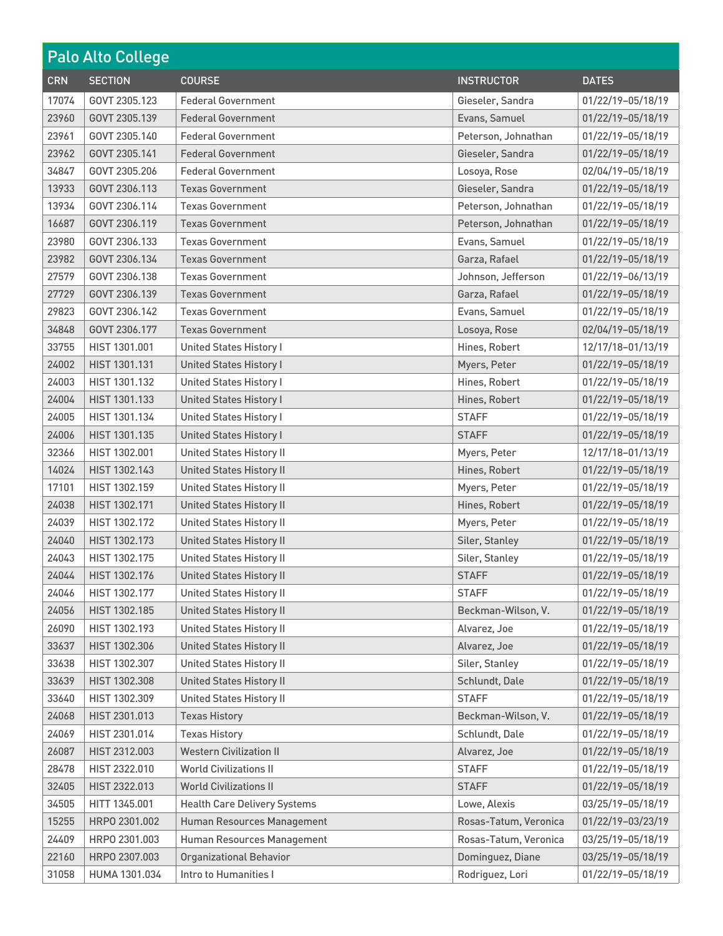| <b>Palo Alto College</b> |                |                                     |                       |                   |
|--------------------------|----------------|-------------------------------------|-----------------------|-------------------|
| <b>CRN</b>               | <b>SECTION</b> | <b>COURSE</b>                       | <b>INSTRUCTOR</b>     | <b>DATES</b>      |
| 17074                    | GOVT 2305.123  | <b>Federal Government</b>           | Gieseler, Sandra      | 01/22/19-05/18/19 |
| 23960                    | GOVT 2305.139  | <b>Federal Government</b>           | Evans, Samuel         | 01/22/19-05/18/19 |
| 23961                    | GOVT 2305.140  | <b>Federal Government</b>           | Peterson, Johnathan   | 01/22/19-05/18/19 |
| 23962                    | GOVT 2305.141  | <b>Federal Government</b>           | Gieseler, Sandra      | 01/22/19-05/18/19 |
| 34847                    | GOVT 2305.206  | <b>Federal Government</b>           | Losoya, Rose          | 02/04/19-05/18/19 |
| 13933                    | GOVT 2306.113  | <b>Texas Government</b>             | Gieseler, Sandra      | 01/22/19-05/18/19 |
| 13934                    | GOVT 2306.114  | <b>Texas Government</b>             | Peterson, Johnathan   | 01/22/19-05/18/19 |
| 16687                    | GOVT 2306.119  | <b>Texas Government</b>             | Peterson, Johnathan   | 01/22/19-05/18/19 |
| 23980                    | GOVT 2306.133  | <b>Texas Government</b>             | Evans, Samuel         | 01/22/19-05/18/19 |
| 23982                    | GOVT 2306.134  | <b>Texas Government</b>             | Garza, Rafael         | 01/22/19-05/18/19 |
| 27579                    | GOVT 2306.138  | <b>Texas Government</b>             | Johnson, Jefferson    | 01/22/19-06/13/19 |
| 27729                    | GOVT 2306.139  | <b>Texas Government</b>             | Garza, Rafael         | 01/22/19-05/18/19 |
| 29823                    | GOVT 2306.142  | <b>Texas Government</b>             | Evans, Samuel         | 01/22/19-05/18/19 |
| 34848                    | GOVT 2306.177  | <b>Texas Government</b>             | Losoya, Rose          | 02/04/19-05/18/19 |
| 33755                    | HIST 1301.001  | <b>United States History I</b>      | Hines, Robert         | 12/17/18-01/13/19 |
| 24002                    | HIST 1301.131  | <b>United States History I</b>      | Myers, Peter          | 01/22/19-05/18/19 |
| 24003                    | HIST 1301.132  | <b>United States History I</b>      | Hines, Robert         | 01/22/19-05/18/19 |
| 24004                    | HIST 1301.133  | <b>United States History I</b>      | Hines, Robert         | 01/22/19-05/18/19 |
| 24005                    | HIST 1301.134  | <b>United States History I</b>      | <b>STAFF</b>          | 01/22/19-05/18/19 |
| 24006                    | HIST 1301.135  | <b>United States History I</b>      | <b>STAFF</b>          | 01/22/19-05/18/19 |
| 32366                    | HIST 1302.001  | <b>United States History II</b>     | Myers, Peter          | 12/17/18-01/13/19 |
| 14024                    | HIST 1302.143  | <b>United States History II</b>     | Hines, Robert         | 01/22/19-05/18/19 |
| 17101                    | HIST 1302.159  | <b>United States History II</b>     | Myers, Peter          | 01/22/19-05/18/19 |
| 24038                    | HIST 1302.171  | <b>United States History II</b>     | Hines, Robert         | 01/22/19-05/18/19 |
| 24039                    | HIST 1302.172  | <b>United States History II</b>     | Myers, Peter          | 01/22/19-05/18/19 |
| 24040                    | HIST 1302.173  | <b>United States History II</b>     | Siler, Stanley        | 01/22/19-05/18/19 |
| 24043                    | HIST 1302.175  | <b>United States History II</b>     | Siler, Stanley        | 01/22/19-05/18/19 |
| 24044                    | HIST 1302.176  | <b>United States History II</b>     | <b>STAFF</b>          | 01/22/19-05/18/19 |
| 24046                    | HIST 1302.177  | <b>United States History II</b>     | <b>STAFF</b>          | 01/22/19-05/18/19 |
| 24056                    | HIST 1302.185  | <b>United States History II</b>     | Beckman-Wilson, V.    | 01/22/19-05/18/19 |
| 26090                    | HIST 1302.193  | <b>United States History II</b>     | Alvarez, Joe          | 01/22/19-05/18/19 |
| 33637                    | HIST 1302.306  | <b>United States History II</b>     | Alvarez, Joe          | 01/22/19-05/18/19 |
| 33638                    | HIST 1302.307  | <b>United States History II</b>     | Siler, Stanley        | 01/22/19-05/18/19 |
| 33639                    | HIST 1302.308  | <b>United States History II</b>     | Schlundt, Dale        | 01/22/19-05/18/19 |
| 33640                    | HIST 1302.309  | <b>United States History II</b>     | <b>STAFF</b>          | 01/22/19-05/18/19 |
| 24068                    | HIST 2301.013  | <b>Texas History</b>                | Beckman-Wilson, V.    | 01/22/19-05/18/19 |
| 24069                    | HIST 2301.014  | <b>Texas History</b>                | Schlundt, Dale        | 01/22/19-05/18/19 |
| 26087                    | HIST 2312.003  | <b>Western Civilization II</b>      | Alvarez, Joe          | 01/22/19-05/18/19 |
| 28478                    | HIST 2322.010  | <b>World Civilizations II</b>       | <b>STAFF</b>          | 01/22/19-05/18/19 |
| 32405                    | HIST 2322.013  | <b>World Civilizations II</b>       | <b>STAFF</b>          | 01/22/19-05/18/19 |
| 34505                    | HITT 1345.001  | <b>Health Care Delivery Systems</b> | Lowe, Alexis          | 03/25/19-05/18/19 |
| 15255                    | HRP0 2301.002  | Human Resources Management          | Rosas-Tatum, Veronica | 01/22/19-03/23/19 |
| 24409                    | HRP0 2301.003  | Human Resources Management          | Rosas-Tatum, Veronica | 03/25/19-05/18/19 |
| 22160                    | HRP0 2307.003  | <b>Organizational Behavior</b>      | Dominguez, Diane      | 03/25/19-05/18/19 |
| 31058                    | HUMA 1301.034  | Intro to Humanities I               | Rodriguez, Lori       | 01/22/19-05/18/19 |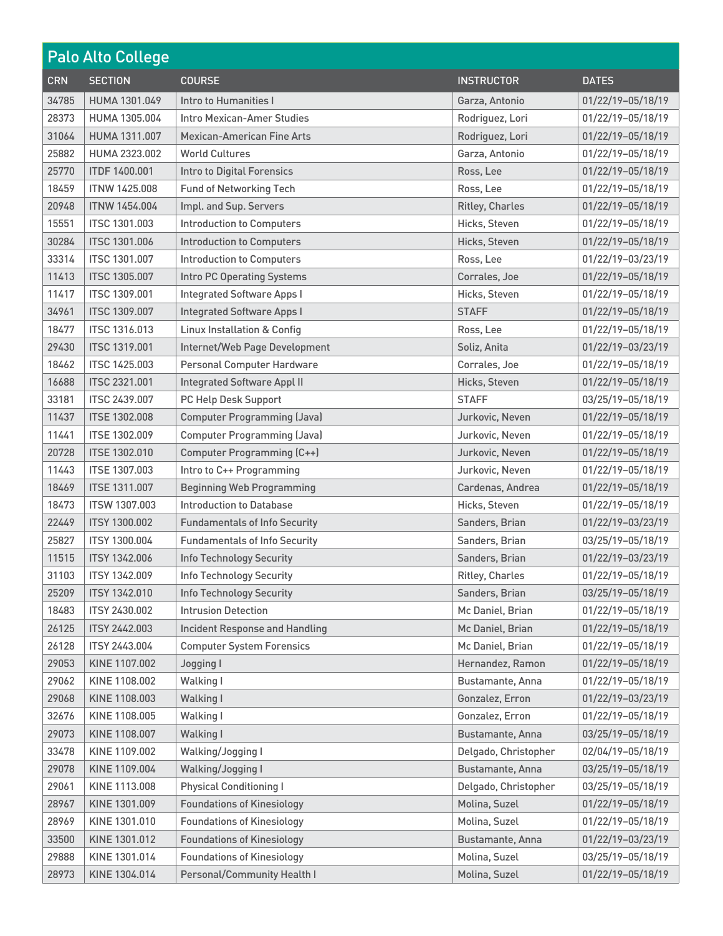| <b>Palo Alto College</b> |                      |                                        |                        |                   |
|--------------------------|----------------------|----------------------------------------|------------------------|-------------------|
| <b>CRN</b>               | <b>SECTION</b>       | <b>COURSE</b>                          | <b>INSTRUCTOR</b>      | <b>DATES</b>      |
| 34785                    | HUMA 1301.049        | Intro to Humanities I                  | Garza, Antonio         | 01/22/19-05/18/19 |
| 28373                    | HUMA 1305.004        | Intro Mexican-Amer Studies             | Rodriguez, Lori        | 01/22/19-05/18/19 |
| 31064                    | HUMA 1311.007        | <b>Mexican-American Fine Arts</b>      | Rodriguez, Lori        | 01/22/19-05/18/19 |
| 25882                    | HUMA 2323.002        | <b>World Cultures</b>                  | Garza, Antonio         | 01/22/19-05/18/19 |
| 25770                    | <b>ITDF 1400.001</b> | <b>Intro to Digital Forensics</b>      | Ross, Lee              | 01/22/19-05/18/19 |
| 18459                    | <b>ITNW 1425.008</b> | <b>Fund of Networking Tech</b>         | Ross, Lee              | 01/22/19-05/18/19 |
| 20948                    | <b>ITNW 1454.004</b> | Impl. and Sup. Servers                 | <b>Ritley, Charles</b> | 01/22/19-05/18/19 |
| 15551                    | <b>ITSC 1301.003</b> | <b>Introduction to Computers</b>       | Hicks, Steven          | 01/22/19-05/18/19 |
| 30284                    | <b>ITSC 1301.006</b> | <b>Introduction to Computers</b>       | Hicks, Steven          | 01/22/19-05/18/19 |
| 33314                    | <b>ITSC 1301.007</b> | <b>Introduction to Computers</b>       | Ross, Lee              | 01/22/19-03/23/19 |
| 11413                    | <b>ITSC 1305.007</b> | Intro PC Operating Systems             | Corrales, Joe          | 01/22/19-05/18/19 |
| 11417                    | <b>ITSC 1309.001</b> | <b>Integrated Software Apps I</b>      | Hicks, Steven          | 01/22/19-05/18/19 |
| 34961                    | <b>ITSC 1309.007</b> | <b>Integrated Software Apps I</b>      | <b>STAFF</b>           | 01/22/19-05/18/19 |
| 18477                    | <b>ITSC 1316.013</b> | <b>Linux Installation &amp; Config</b> | Ross, Lee              | 01/22/19-05/18/19 |
| 29430                    | <b>ITSC 1319.001</b> | Internet/Web Page Development          | Soliz, Anita           | 01/22/19-03/23/19 |
| 18462                    | <b>ITSC 1425.003</b> | Personal Computer Hardware             | Corrales, Joe          | 01/22/19-05/18/19 |
| 16688                    | <b>ITSC 2321.001</b> | <b>Integrated Software Appl II</b>     | Hicks, Steven          | 01/22/19-05/18/19 |
| 33181                    | <b>ITSC 2439.007</b> | PC Help Desk Support                   | <b>STAFF</b>           | 03/25/19-05/18/19 |
| 11437                    | <b>ITSE 1302.008</b> | <b>Computer Programming (Java)</b>     | Jurkovic, Neven        | 01/22/19-05/18/19 |
| 11441                    | <b>ITSE 1302.009</b> | <b>Computer Programming (Java)</b>     | Jurkovic, Neven        | 01/22/19-05/18/19 |
| 20728                    | <b>ITSE 1302.010</b> | <b>Computer Programming (C++)</b>      | Jurkovic, Neven        | 01/22/19-05/18/19 |
| 11443                    | <b>ITSE 1307.003</b> | Intro to C++ Programming               | Jurkovic, Neven        | 01/22/19-05/18/19 |
| 18469                    | <b>ITSE 1311.007</b> | <b>Beginning Web Programming</b>       | Cardenas, Andrea       | 01/22/19-05/18/19 |
| 18473                    | <b>ITSW 1307.003</b> | Introduction to Database               | Hicks, Steven          | 01/22/19-05/18/19 |
| 22449                    | <b>ITSY 1300.002</b> | <b>Fundamentals of Info Security</b>   | Sanders, Brian         | 01/22/19-03/23/19 |
| 25827                    | <b>ITSY 1300.004</b> | <b>Fundamentals of Info Security</b>   | Sanders, Brian         | 03/25/19-05/18/19 |
| 11515                    | <b>ITSY 1342.006</b> | Info Technology Security               | Sanders, Brian         | 01/22/19-03/23/19 |
| 31103                    | ITSY 1342.009        | Info Technology Security               | Ritley, Charles        | 01/22/19-05/18/19 |
| 25209                    | <b>ITSY 1342.010</b> | <b>Info Technology Security</b>        | Sanders, Brian         | 03/25/19-05/18/19 |
| 18483                    | ITSY 2430.002        | <b>Intrusion Detection</b>             | Mc Daniel, Brian       | 01/22/19-05/18/19 |
| 26125                    | <b>ITSY 2442.003</b> | Incident Response and Handling         | Mc Daniel, Brian       | 01/22/19-05/18/19 |
| 26128                    | ITSY 2443.004        | <b>Computer System Forensics</b>       | Mc Daniel, Brian       | 01/22/19-05/18/19 |
| 29053                    | KINE 1107.002        | Jogging I                              | Hernandez, Ramon       | 01/22/19-05/18/19 |
| 29062                    | KINE 1108.002        | Walking I                              | Bustamante, Anna       | 01/22/19-05/18/19 |
| 29068                    | KINE 1108.003        | Walking I                              | Gonzalez, Erron        | 01/22/19-03/23/19 |
| 32676                    | KINE 1108,005        | Walking I                              | Gonzalez, Erron        | 01/22/19-05/18/19 |
| 29073                    | KINE 1108.007        | Walking I                              | Bustamante, Anna       | 03/25/19-05/18/19 |
| 33478                    | KINE 1109.002        | Walking/Jogging I                      | Delgado, Christopher   | 02/04/19-05/18/19 |
| 29078                    | KINE 1109.004        | Walking/Jogging I                      | Bustamante, Anna       | 03/25/19-05/18/19 |
| 29061                    | KINE 1113.008        | <b>Physical Conditioning I</b>         | Delgado, Christopher   | 03/25/19-05/18/19 |
| 28967                    | KINE 1301.009        | <b>Foundations of Kinesiology</b>      | Molina, Suzel          | 01/22/19-05/18/19 |
| 28969                    | KINE 1301.010        | <b>Foundations of Kinesiology</b>      | Molina, Suzel          | 01/22/19-05/18/19 |
| 33500                    | KINE 1301.012        | <b>Foundations of Kinesiology</b>      | Bustamante, Anna       | 01/22/19-03/23/19 |
| 29888                    | KINE 1301.014        | <b>Foundations of Kinesiology</b>      | Molina, Suzel          | 03/25/19-05/18/19 |
| 28973                    | KINE 1304.014        | Personal/Community Health I            | Molina, Suzel          | 01/22/19-05/18/19 |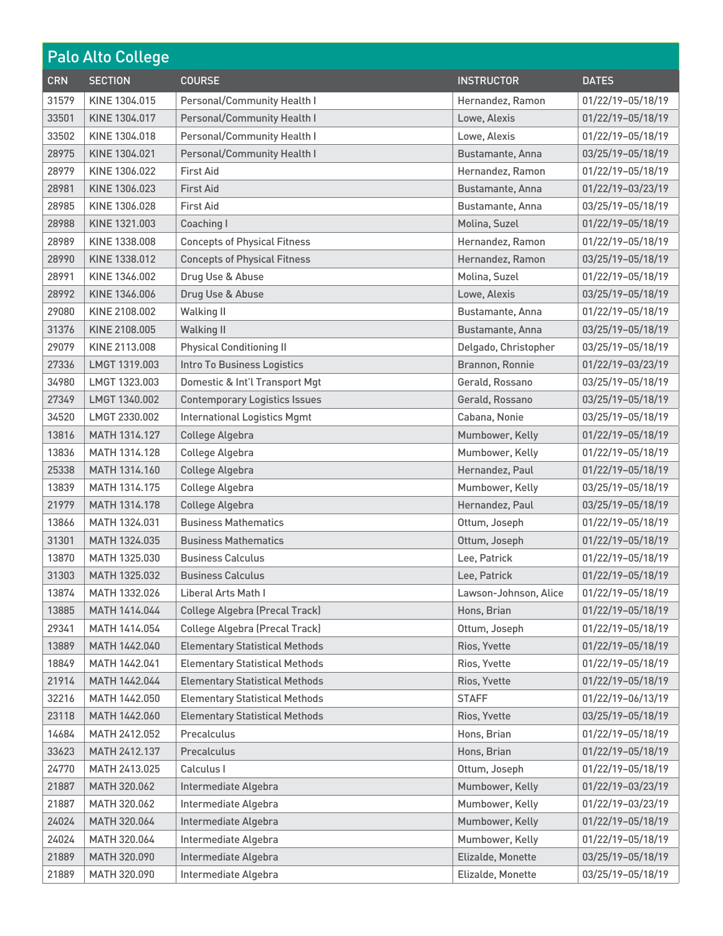| <b>Palo Alto College</b> |                |                                       |                       |                   |
|--------------------------|----------------|---------------------------------------|-----------------------|-------------------|
| <b>CRN</b>               | <b>SECTION</b> | <b>COURSE</b>                         | <b>INSTRUCTOR</b>     | <b>DATES</b>      |
| 31579                    | KINE 1304.015  | Personal/Community Health I           | Hernandez, Ramon      | 01/22/19-05/18/19 |
| 33501                    | KINE 1304.017  | <b>Personal/Community Health I</b>    | Lowe, Alexis          | 01/22/19-05/18/19 |
| 33502                    | KINE 1304.018  | Personal/Community Health I           | Lowe, Alexis          | 01/22/19-05/18/19 |
| 28975                    | KINE 1304.021  | <b>Personal/Community Health I</b>    | Bustamante, Anna      | 03/25/19-05/18/19 |
| 28979                    | KINE 1306.022  | <b>First Aid</b>                      | Hernandez, Ramon      | 01/22/19-05/18/19 |
| 28981                    | KINE 1306.023  | <b>First Aid</b>                      | Bustamante, Anna      | 01/22/19-03/23/19 |
| 28985                    | KINE 1306.028  | <b>First Aid</b>                      | Bustamante, Anna      | 03/25/19-05/18/19 |
| 28988                    | KINE 1321.003  | Coaching I                            | Molina, Suzel         | 01/22/19-05/18/19 |
| 28989                    | KINE 1338.008  | <b>Concepts of Physical Fitness</b>   | Hernandez, Ramon      | 01/22/19-05/18/19 |
| 28990                    | KINE 1338.012  | <b>Concepts of Physical Fitness</b>   | Hernandez, Ramon      | 03/25/19-05/18/19 |
| 28991                    | KINE 1346.002  | Drug Use & Abuse                      | Molina, Suzel         | 01/22/19-05/18/19 |
| 28992                    | KINE 1346.006  | Drug Use & Abuse                      | Lowe, Alexis          | 03/25/19-05/18/19 |
| 29080                    | KINE 2108.002  | <b>Walking II</b>                     | Bustamante, Anna      | 01/22/19-05/18/19 |
| 31376                    | KINE 2108.005  | <b>Walking II</b>                     | Bustamante, Anna      | 03/25/19-05/18/19 |
| 29079                    | KINE 2113,008  | <b>Physical Conditioning II</b>       | Delgado, Christopher  | 03/25/19-05/18/19 |
| 27336                    | LMGT 1319.003  | Intro To Business Logistics           | Brannon, Ronnie       | 01/22/19-03/23/19 |
| 34980                    | LMGT 1323.003  | Domestic & Int'l Transport Mgt        | Gerald, Rossano       | 03/25/19-05/18/19 |
| 27349                    | LMGT 1340.002  | <b>Contemporary Logistics Issues</b>  | Gerald, Rossano       | 03/25/19-05/18/19 |
| 34520                    | LMGT 2330.002  | <b>International Logistics Mgmt</b>   | Cabana, Nonie         | 03/25/19-05/18/19 |
| 13816                    | MATH 1314.127  | College Algebra                       | Mumbower, Kelly       | 01/22/19-05/18/19 |
| 13836                    | MATH 1314.128  | College Algebra                       | Mumbower, Kelly       | 01/22/19-05/18/19 |
| 25338                    | MATH 1314.160  | College Algebra                       | Hernandez, Paul       | 01/22/19-05/18/19 |
| 13839                    | MATH 1314.175  | College Algebra                       | Mumbower, Kelly       | 03/25/19-05/18/19 |
| 21979                    | MATH 1314.178  | College Algebra                       | Hernandez, Paul       | 03/25/19-05/18/19 |
| 13866                    | MATH 1324.031  | <b>Business Mathematics</b>           | Ottum, Joseph         | 01/22/19-05/18/19 |
| 31301                    | MATH 1324.035  | <b>Business Mathematics</b>           | Ottum, Joseph         | 01/22/19-05/18/19 |
| 13870                    | MATH 1325.030  | <b>Business Calculus</b>              | Lee, Patrick          | 01/22/19-05/18/19 |
| 31303                    | MATH 1325.032  | <b>Business Calculus</b>              | Lee, Patrick          | 01/22/19-05/18/19 |
| 13874                    | MATH 1332.026  | Liberal Arts Math I                   | Lawson-Johnson, Alice | 01/22/19-05/18/19 |
| 13885                    | MATH 1414.044  | <b>College Algebra (Precal Track)</b> | Hons, Brian           | 01/22/19-05/18/19 |
| 29341                    | MATH 1414.054  | <b>College Algebra (Precal Track)</b> | Ottum, Joseph         | 01/22/19-05/18/19 |
| 13889                    | MATH 1442.040  | <b>Elementary Statistical Methods</b> | Rios, Yvette          | 01/22/19-05/18/19 |
| 18849                    | MATH 1442.041  | <b>Elementary Statistical Methods</b> | Rios, Yvette          | 01/22/19-05/18/19 |
| 21914                    | MATH 1442.044  | <b>Elementary Statistical Methods</b> | Rios, Yvette          | 01/22/19-05/18/19 |
| 32216                    | MATH 1442.050  | <b>Elementary Statistical Methods</b> | <b>STAFF</b>          | 01/22/19-06/13/19 |
| 23118                    | MATH 1442.060  | <b>Elementary Statistical Methods</b> | Rios, Yvette          | 03/25/19-05/18/19 |
| 14684                    | MATH 2412.052  | Precalculus                           | Hons, Brian           | 01/22/19-05/18/19 |
| 33623                    | MATH 2412.137  | Precalculus                           | Hons, Brian           | 01/22/19-05/18/19 |
| 24770                    | MATH 2413.025  | Calculus I                            | Ottum, Joseph         | 01/22/19-05/18/19 |
| 21887                    | MATH 320.062   | Intermediate Algebra                  | Mumbower, Kelly       | 01/22/19-03/23/19 |
| 21887                    | MATH 320.062   | Intermediate Algebra                  | Mumbower, Kelly       | 01/22/19-03/23/19 |
| 24024                    | MATH 320.064   | Intermediate Algebra                  | Mumbower, Kelly       | 01/22/19-05/18/19 |
| 24024                    | MATH 320.064   | Intermediate Algebra                  | Mumbower, Kelly       | 01/22/19-05/18/19 |
| 21889                    | MATH 320.090   | Intermediate Algebra                  | Elizalde, Monette     | 03/25/19-05/18/19 |
| 21889                    | MATH 320.090   | Intermediate Algebra                  | Elizalde, Monette     | 03/25/19-05/18/19 |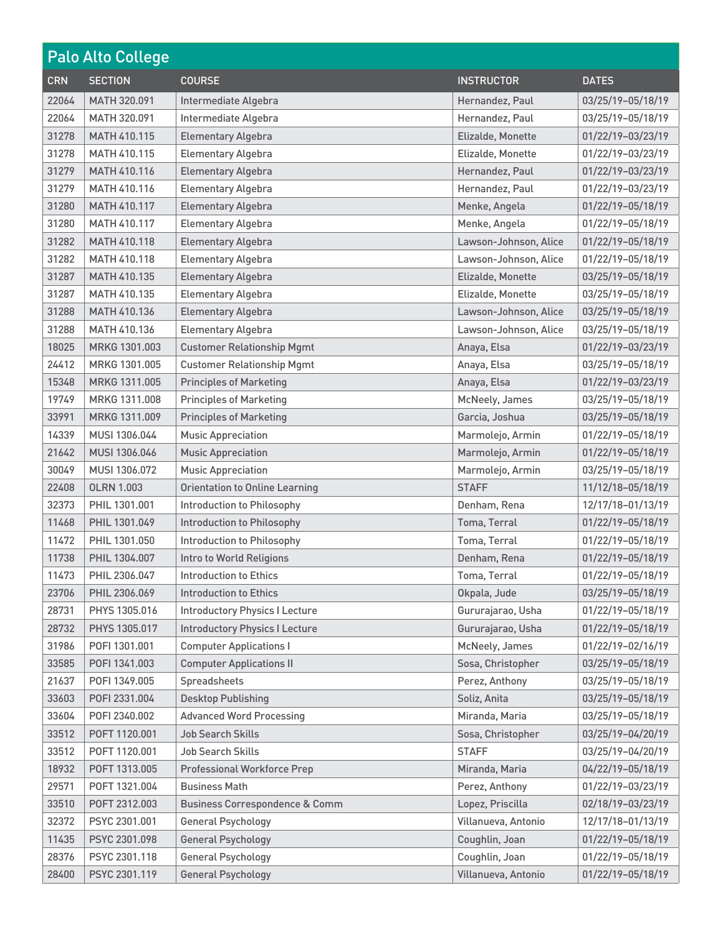| <b>Palo Alto College</b> |                     |                                           |                       |                   |
|--------------------------|---------------------|-------------------------------------------|-----------------------|-------------------|
| <b>CRN</b>               | <b>SECTION</b>      | <b>COURSE</b>                             | <b>INSTRUCTOR</b>     | <b>DATES</b>      |
| 22064                    | MATH 320.091        | Intermediate Algebra                      | Hernandez, Paul       | 03/25/19-05/18/19 |
| 22064                    | MATH 320,091        | Intermediate Algebra                      | Hernandez, Paul       | 03/25/19-05/18/19 |
| 31278                    | <b>MATH 410.115</b> | <b>Elementary Algebra</b>                 | Elizalde, Monette     | 01/22/19-03/23/19 |
| 31278                    | MATH 410.115        | <b>Elementary Algebra</b>                 | Elizalde, Monette     | 01/22/19-03/23/19 |
| 31279                    | <b>MATH 410.116</b> | <b>Elementary Algebra</b>                 | Hernandez, Paul       | 01/22/19-03/23/19 |
| 31279                    | MATH 410.116        | <b>Elementary Algebra</b>                 | Hernandez, Paul       | 01/22/19-03/23/19 |
| 31280                    | MATH 410.117        | <b>Elementary Algebra</b>                 | Menke, Angela         | 01/22/19-05/18/19 |
| 31280                    | MATH 410.117        | <b>Elementary Algebra</b>                 | Menke, Angela         | 01/22/19-05/18/19 |
| 31282                    | MATH 410.118        | <b>Elementary Algebra</b>                 | Lawson-Johnson, Alice | 01/22/19-05/18/19 |
| 31282                    | MATH 410.118        | <b>Elementary Algebra</b>                 | Lawson-Johnson, Alice | 01/22/19-05/18/19 |
| 31287                    | MATH 410.135        | <b>Elementary Algebra</b>                 | Elizalde, Monette     | 03/25/19-05/18/19 |
| 31287                    | <b>MATH 410.135</b> | <b>Elementary Algebra</b>                 | Elizalde, Monette     | 03/25/19-05/18/19 |
| 31288                    | MATH 410.136        | <b>Elementary Algebra</b>                 | Lawson-Johnson, Alice | 03/25/19-05/18/19 |
| 31288                    | MATH 410.136        | <b>Elementary Algebra</b>                 | Lawson-Johnson, Alice | 03/25/19-05/18/19 |
| 18025                    | MRKG 1301.003       | <b>Customer Relationship Mgmt</b>         | Anaya, Elsa           | 01/22/19-03/23/19 |
| 24412                    | MRKG 1301.005       | <b>Customer Relationship Mgmt</b>         | Anaya, Elsa           | 03/25/19-05/18/19 |
| 15348                    | MRKG 1311.005       | <b>Principles of Marketing</b>            | Anaya, Elsa           | 01/22/19-03/23/19 |
| 19749                    | MRKG 1311.008       | <b>Principles of Marketing</b>            | McNeely, James        | 03/25/19-05/18/19 |
| 33991                    | MRKG 1311.009       | <b>Principles of Marketing</b>            | Garcia, Joshua        | 03/25/19-05/18/19 |
| 14339                    | MUSI 1306.044       | <b>Music Appreciation</b>                 | Marmolejo, Armin      | 01/22/19-05/18/19 |
| 21642                    | MUSI 1306.046       | <b>Music Appreciation</b>                 | Marmolejo, Armin      | 01/22/19-05/18/19 |
| 30049                    | MUSI 1306.072       | <b>Music Appreciation</b>                 | Marmolejo, Armin      | 03/25/19-05/18/19 |
| 22408                    | <b>OLRN 1.003</b>   | <b>Orientation to Online Learning</b>     | <b>STAFF</b>          | 11/12/18-05/18/19 |
| 32373                    | PHIL 1301.001       | Introduction to Philosophy                | Denham, Rena          | 12/17/18-01/13/19 |
| 11468                    | PHIL 1301.049       | Introduction to Philosophy                | Toma, Terral          | 01/22/19-05/18/19 |
| 11472                    | PHIL 1301.050       | Introduction to Philosophy                | Toma, Terral          | 01/22/19-05/18/19 |
| 11738                    | PHIL 1304.007       | Intro to World Religions                  | Denham, Rena          | 01/22/19-05/18/19 |
| 11473                    | PHIL 2306.047       | Introduction to Ethics                    | Toma, Terral          | 01/22/19-05/18/19 |
| 23706                    | PHIL 2306.069       | <b>Introduction to Ethics</b>             | Okpala, Jude          | 03/25/19-05/18/19 |
| 28731                    | PHYS 1305.016       | <b>Introductory Physics I Lecture</b>     | Gururajarao, Usha     | 01/22/19-05/18/19 |
| 28732                    | PHYS 1305.017       | <b>Introductory Physics I Lecture</b>     | Gururajarao, Usha     | 01/22/19-05/18/19 |
| 31986                    | POFI 1301.001       | <b>Computer Applications I</b>            | McNeely, James        | 01/22/19-02/16/19 |
| 33585                    | POFI 1341.003       | <b>Computer Applications II</b>           | Sosa, Christopher     | 03/25/19-05/18/19 |
| 21637                    | POFI 1349.005       | Spreadsheets                              | Perez, Anthony        | 03/25/19-05/18/19 |
| 33603                    | POFI 2331.004       | <b>Desktop Publishing</b>                 | Soliz, Anita          | 03/25/19-05/18/19 |
| 33604                    | P0FI 2340.002       | <b>Advanced Word Processing</b>           | Miranda, Maria        | 03/25/19-05/18/19 |
| 33512                    | POFT 1120.001       | Job Search Skills                         | Sosa, Christopher     | 03/25/19-04/20/19 |
| 33512                    | POFT 1120.001       | Job Search Skills                         | <b>STAFF</b>          | 03/25/19-04/20/19 |
| 18932                    | POFT 1313.005       | <b>Professional Workforce Prep</b>        | Miranda, Maria        | 04/22/19-05/18/19 |
| 29571                    | POFT 1321.004       | <b>Business Math</b>                      | Perez, Anthony        | 01/22/19-03/23/19 |
| 33510                    | POFT 2312.003       | <b>Business Correspondence &amp; Comm</b> | Lopez, Priscilla      | 02/18/19-03/23/19 |
| 32372                    | PSYC 2301.001       | <b>General Psychology</b>                 | Villanueva, Antonio   | 12/17/18-01/13/19 |
| 11435                    | PSYC 2301.098       | <b>General Psychology</b>                 | Coughlin, Joan        | 01/22/19-05/18/19 |
| 28376                    | PSYC 2301.118       | <b>General Psychology</b>                 | Coughlin, Joan        | 01/22/19-05/18/19 |
| 28400                    | PSYC 2301.119       | <b>General Psychology</b>                 | Villanueva, Antonio   | 01/22/19-05/18/19 |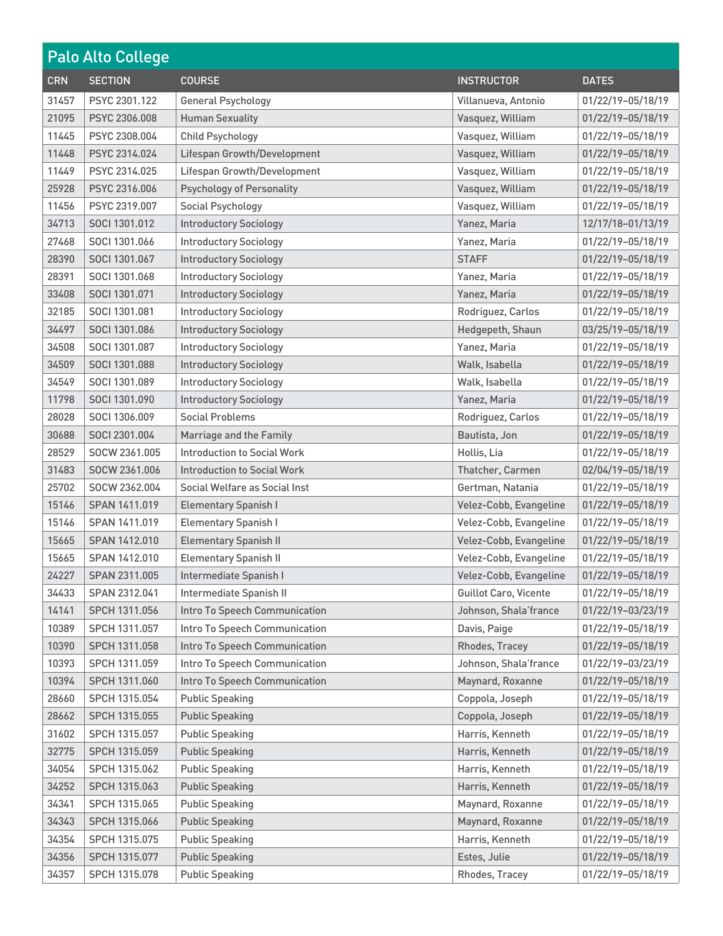| Palo Alto College |                |                                    |                              |                   |
|-------------------|----------------|------------------------------------|------------------------------|-------------------|
| <b>CRN</b>        | <b>SECTION</b> | <b>COURSE</b>                      | <b>INSTRUCTOR</b>            | <b>DATES</b>      |
| 31457             | PSYC 2301.122  | <b>General Psychology</b>          | Villanueva, Antonio          | 01/22/19-05/18/19 |
| 21095             | PSYC 2306,008  | <b>Human Sexuality</b>             | Vasquez, William             | 01/22/19-05/18/19 |
| 11445             | PSYC 2308,004  | <b>Child Psychology</b>            | Vasquez, William             | 01/22/19-05/18/19 |
| 11448             | PSYC 2314.024  | Lifespan Growth/Development        | Vasquez, William             | 01/22/19-05/18/19 |
| 11449             | PSYC 2314.025  | Lifespan Growth/Development        | Vasquez, William             | 01/22/19-05/18/19 |
| 25928             | PSYC 2316.006  | <b>Psychology of Personality</b>   | Vasquez, William             | 01/22/19-05/18/19 |
| 11456             | PSYC 2319.007  | Social Psychology                  | Vasquez, William             | 01/22/19-05/18/19 |
| 34713             | SOCI 1301.012  | <b>Introductory Sociology</b>      | Yanez, Maria                 | 12/17/18-01/13/19 |
| 27468             | SOCI 1301.066  | <b>Introductory Sociology</b>      | Yanez, Maria                 | 01/22/19-05/18/19 |
| 28390             | SOCI 1301.067  | <b>Introductory Sociology</b>      | <b>STAFF</b>                 | 01/22/19-05/18/19 |
| 28391             | SOCI 1301.068  | <b>Introductory Sociology</b>      | Yanez, Maria                 | 01/22/19-05/18/19 |
| 33408             | SOCI 1301.071  | <b>Introductory Sociology</b>      | Yanez, Maria                 | 01/22/19-05/18/19 |
| 32185             | SOCI 1301.081  | <b>Introductory Sociology</b>      | Rodriguez, Carlos            | 01/22/19-05/18/19 |
| 34497             | SOCI 1301.086  | <b>Introductory Sociology</b>      | Hedgepeth, Shaun             | 03/25/19-05/18/19 |
| 34508             | SOCI 1301.087  | <b>Introductory Sociology</b>      | Yanez, Maria                 | 01/22/19-05/18/19 |
| 34509             | SOCI 1301.088  | <b>Introductory Sociology</b>      | Walk, Isabella               | 01/22/19-05/18/19 |
| 34549             | SOCI 1301.089  | <b>Introductory Sociology</b>      | Walk, Isabella               | 01/22/19-05/18/19 |
| 11798             | SOCI 1301.090  | <b>Introductory Sociology</b>      | Yanez, Maria                 | 01/22/19-05/18/19 |
| 28028             | SOCI 1306.009  | <b>Social Problems</b>             | Rodriguez, Carlos            | 01/22/19-05/18/19 |
| 30688             | SOCI 2301.004  | Marriage and the Family            | Bautista, Jon                | 01/22/19-05/18/19 |
| 28529             | SOCW 2361,005  | Introduction to Social Work        | Hollis, Lia                  | 01/22/19-05/18/19 |
| 31483             | SOCW 2361.006  | <b>Introduction to Social Work</b> | Thatcher, Carmen             | 02/04/19-05/18/19 |
| 25702             | SOCW 2362.004  | Social Welfare as Social Inst      | Gertman, Natania             | 01/22/19-05/18/19 |
| 15146             | SPAN 1411.019  | <b>Elementary Spanish I</b>        | Velez-Cobb, Evangeline       | 01/22/19-05/18/19 |
| 15146             | SPAN 1411.019  | <b>Elementary Spanish I</b>        | Velez-Cobb, Evangeline       | 01/22/19-05/18/19 |
| 15665             | SPAN 1412.010  | <b>Elementary Spanish II</b>       | Velez-Cobb, Evangeline       | 01/22/19-05/18/19 |
| 15665             | SPAN 1412.010  | <b>Elementary Spanish II</b>       | Velez-Cobb, Evangeline       | 01/22/19-05/18/19 |
| 24227             | SPAN 2311.005  | Intermediate Spanish I             | Velez-Cobb, Evangeline       | 01/22/19-05/18/19 |
| 34433             | SPAN 2312.041  | Intermediate Spanish II            | <b>Guillot Caro, Vicente</b> | 01/22/19-05/18/19 |
| 14141             | SPCH 1311.056  | Intro To Speech Communication      | Johnson, Shala'france        | 01/22/19-03/23/19 |
| 10389             | SPCH 1311.057  | Intro To Speech Communication      | Davis, Paige                 | 01/22/19-05/18/19 |
| 10390             | SPCH 1311.058  | Intro To Speech Communication      | Rhodes, Tracey               | 01/22/19-05/18/19 |
| 10393             | SPCH 1311.059  | Intro To Speech Communication      | Johnson, Shala'france        | 01/22/19-03/23/19 |
| 10394             | SPCH 1311.060  | Intro To Speech Communication      | Maynard, Roxanne             | 01/22/19-05/18/19 |
| 28660             | SPCH 1315.054  | <b>Public Speaking</b>             | Coppola, Joseph              | 01/22/19-05/18/19 |
| 28662             | SPCH 1315.055  | <b>Public Speaking</b>             | Coppola, Joseph              | 01/22/19-05/18/19 |
| 31602             | SPCH 1315.057  | <b>Public Speaking</b>             | Harris, Kenneth              | 01/22/19-05/18/19 |
| 32775             | SPCH 1315.059  | <b>Public Speaking</b>             | Harris, Kenneth              | 01/22/19-05/18/19 |
| 34054             | SPCH 1315.062  | <b>Public Speaking</b>             | Harris, Kenneth              | 01/22/19-05/18/19 |
| 34252             | SPCH 1315.063  | <b>Public Speaking</b>             | Harris, Kenneth              | 01/22/19-05/18/19 |
| 34341             | SPCH 1315.065  | <b>Public Speaking</b>             | Maynard, Roxanne             | 01/22/19-05/18/19 |
| 34343             | SPCH 1315.066  | <b>Public Speaking</b>             | Maynard, Roxanne             | 01/22/19-05/18/19 |
| 34354             | SPCH 1315.075  | <b>Public Speaking</b>             | Harris, Kenneth              | 01/22/19-05/18/19 |
| 34356             | SPCH 1315.077  | <b>Public Speaking</b>             | Estes, Julie                 | 01/22/19-05/18/19 |
| 34357             | SPCH 1315.078  | <b>Public Speaking</b>             | Rhodes, Tracey               | 01/22/19-05/18/19 |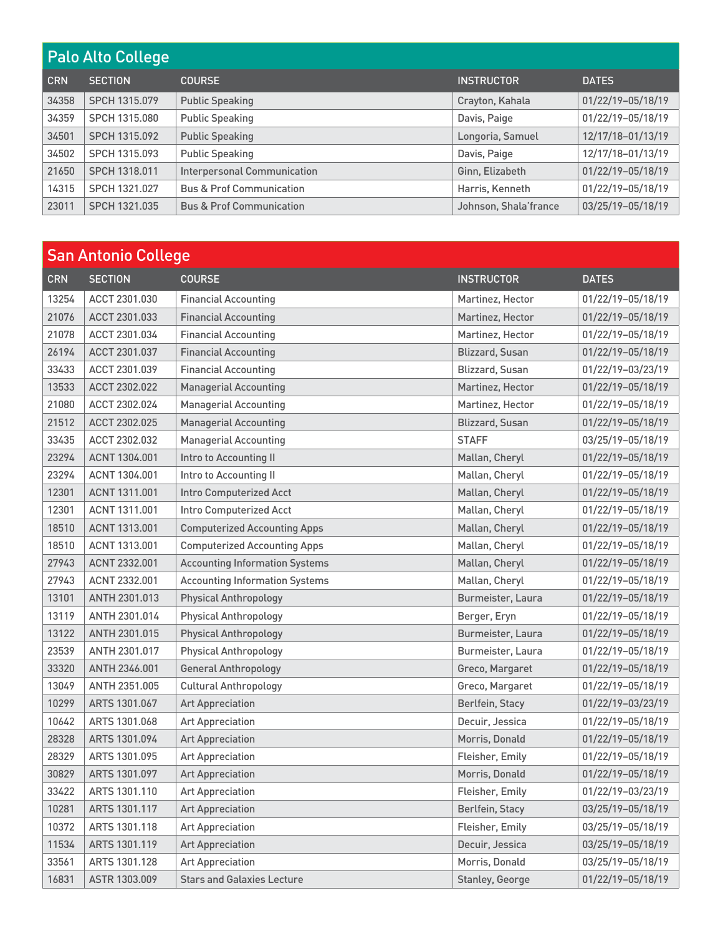| <b>Palo Alto College</b> |                |                                     |                       |                   |
|--------------------------|----------------|-------------------------------------|-----------------------|-------------------|
| <b>CRN</b>               | <b>SECTION</b> | <b>COURSE</b>                       | <b>INSTRUCTOR</b>     | <b>DATES</b>      |
| 34358                    | SPCH 1315.079  | <b>Public Speaking</b>              | Crayton, Kahala       | 01/22/19-05/18/19 |
| 34359                    | SPCH 1315.080  | <b>Public Speaking</b>              | Davis, Paige          | 01/22/19-05/18/19 |
| 34501                    | SPCH 1315.092  | <b>Public Speaking</b>              | Longoria, Samuel      | 12/17/18-01/13/19 |
| 34502                    | SPCH 1315.093  | <b>Public Speaking</b>              | Davis, Paige          | 12/17/18-01/13/19 |
| 21650                    | SPCH 1318.011  | <b>Interpersonal Communication</b>  | Ginn, Elizabeth       | 01/22/19-05/18/19 |
| 14315                    | SPCH 1321.027  | <b>Bus &amp; Prof Communication</b> | Harris, Kenneth       | 01/22/19-05/18/19 |
| 23011                    | SPCH 1321.035  | <b>Bus &amp; Prof Communication</b> | Johnson, Shala'france | 03/25/19-05/18/19 |

| <b>San Antonio College</b> |                |                                       |                        |                   |
|----------------------------|----------------|---------------------------------------|------------------------|-------------------|
| <b>CRN</b>                 | <b>SECTION</b> | <b>COURSE</b>                         | <b>INSTRUCTOR</b>      | <b>DATES</b>      |
| 13254                      | ACCT 2301.030  | <b>Financial Accounting</b>           | Martinez, Hector       | 01/22/19-05/18/19 |
| 21076                      | ACCT 2301.033  | <b>Financial Accounting</b>           | Martinez, Hector       | 01/22/19-05/18/19 |
| 21078                      | ACCT 2301.034  | <b>Financial Accounting</b>           | Martinez, Hector       | 01/22/19-05/18/19 |
| 26194                      | ACCT 2301.037  | <b>Financial Accounting</b>           | <b>Blizzard, Susan</b> | 01/22/19-05/18/19 |
| 33433                      | ACCT 2301.039  | <b>Financial Accounting</b>           | <b>Blizzard, Susan</b> | 01/22/19-03/23/19 |
| 13533                      | ACCT 2302.022  | <b>Managerial Accounting</b>          | Martinez, Hector       | 01/22/19-05/18/19 |
| 21080                      | ACCT 2302.024  | <b>Managerial Accounting</b>          | Martinez, Hector       | 01/22/19-05/18/19 |
| 21512                      | ACCT 2302.025  | <b>Managerial Accounting</b>          | <b>Blizzard, Susan</b> | 01/22/19-05/18/19 |
| 33435                      | ACCT 2302.032  | <b>Managerial Accounting</b>          | <b>STAFF</b>           | 03/25/19-05/18/19 |
| 23294                      | ACNT 1304.001  | Intro to Accounting II                | Mallan, Cheryl         | 01/22/19-05/18/19 |
| 23294                      | ACNT 1304.001  | Intro to Accounting II                | Mallan, Cheryl         | 01/22/19-05/18/19 |
| 12301                      | ACNT 1311.001  | <b>Intro Computerized Acct</b>        | Mallan, Cheryl         | 01/22/19-05/18/19 |
| 12301                      | ACNT 1311.001  | <b>Intro Computerized Acct</b>        | Mallan, Cheryl         | 01/22/19-05/18/19 |
| 18510                      | ACNT 1313.001  | <b>Computerized Accounting Apps</b>   | Mallan, Cheryl         | 01/22/19-05/18/19 |
| 18510                      | ACNT 1313,001  | <b>Computerized Accounting Apps</b>   | Mallan, Cheryl         | 01/22/19-05/18/19 |
| 27943                      | ACNT 2332.001  | <b>Accounting Information Systems</b> | Mallan, Cheryl         | 01/22/19-05/18/19 |
| 27943                      | ACNT 2332.001  | <b>Accounting Information Systems</b> | Mallan, Cheryl         | 01/22/19-05/18/19 |
| 13101                      | ANTH 2301.013  | <b>Physical Anthropology</b>          | Burmeister, Laura      | 01/22/19-05/18/19 |
| 13119                      | ANTH 2301.014  | <b>Physical Anthropology</b>          | Berger, Eryn           | 01/22/19-05/18/19 |
| 13122                      | ANTH 2301.015  | <b>Physical Anthropology</b>          | Burmeister, Laura      | 01/22/19-05/18/19 |
| 23539                      | ANTH 2301.017  | <b>Physical Anthropology</b>          | Burmeister, Laura      | 01/22/19-05/18/19 |
| 33320                      | ANTH 2346.001  | <b>General Anthropology</b>           | Greco, Margaret        | 01/22/19-05/18/19 |
| 13049                      | ANTH 2351.005  | <b>Cultural Anthropology</b>          | Greco, Margaret        | 01/22/19-05/18/19 |
| 10299                      | ARTS 1301.067  | <b>Art Appreciation</b>               | Berlfein, Stacy        | 01/22/19-03/23/19 |
| 10642                      | ARTS 1301.068  | <b>Art Appreciation</b>               | Decuir, Jessica        | 01/22/19-05/18/19 |
| 28328                      | ARTS 1301.094  | <b>Art Appreciation</b>               | Morris, Donald         | 01/22/19-05/18/19 |
| 28329                      | ARTS 1301.095  | <b>Art Appreciation</b>               | Fleisher, Emily        | 01/22/19-05/18/19 |
| 30829                      | ARTS 1301.097  | <b>Art Appreciation</b>               | Morris, Donald         | 01/22/19-05/18/19 |
| 33422                      | ARTS 1301.110  | <b>Art Appreciation</b>               | Fleisher, Emily        | 01/22/19-03/23/19 |
| 10281                      | ARTS 1301.117  | <b>Art Appreciation</b>               | Berlfein, Stacy        | 03/25/19-05/18/19 |
| 10372                      | ARTS 1301.118  | <b>Art Appreciation</b>               | Fleisher, Emily        | 03/25/19-05/18/19 |
| 11534                      | ARTS 1301.119  | <b>Art Appreciation</b>               | Decuir, Jessica        | 03/25/19-05/18/19 |
| 33561                      | ARTS 1301.128  | <b>Art Appreciation</b>               | Morris, Donald         | 03/25/19-05/18/19 |
| 16831                      | ASTR 1303.009  | <b>Stars and Galaxies Lecture</b>     | Stanley, George        | 01/22/19-05/18/19 |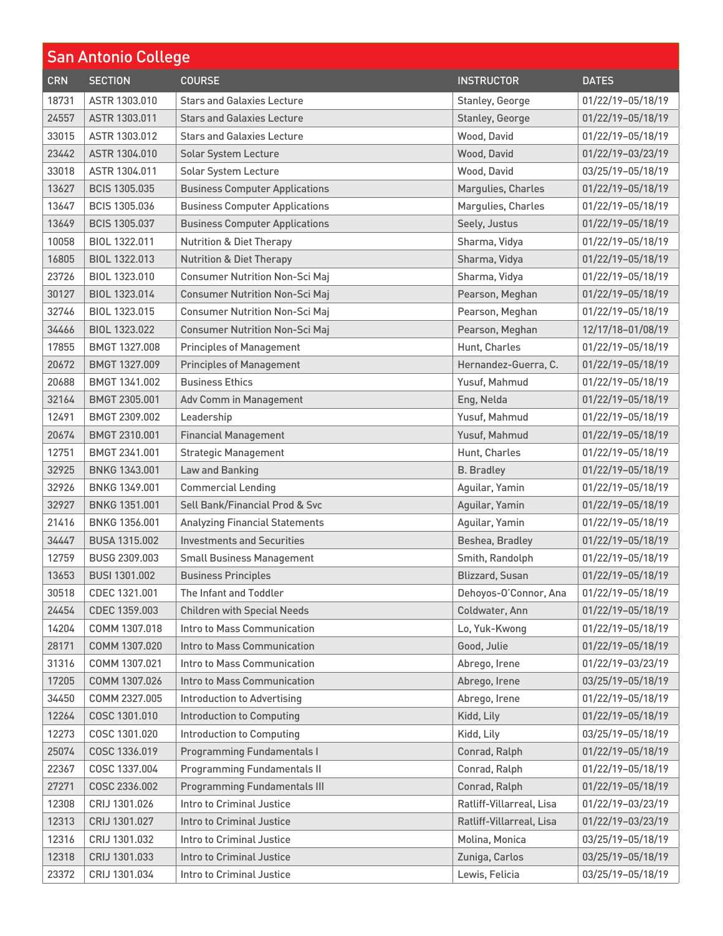| <b>San Antonio College</b> |                      |                                       |                          |                   |
|----------------------------|----------------------|---------------------------------------|--------------------------|-------------------|
| <b>CRN</b>                 | <b>SECTION</b>       | <b>COURSE</b>                         | <b>INSTRUCTOR</b>        | <b>DATES</b>      |
| 18731                      | ASTR 1303,010        | <b>Stars and Galaxies Lecture</b>     | Stanley, George          | 01/22/19-05/18/19 |
| 24557                      | ASTR 1303.011        | <b>Stars and Galaxies Lecture</b>     | Stanley, George          | 01/22/19-05/18/19 |
| 33015                      | ASTR 1303.012        | <b>Stars and Galaxies Lecture</b>     | Wood, David              | 01/22/19-05/18/19 |
| 23442                      | ASTR 1304.010        | <b>Solar System Lecture</b>           | Wood, David              | 01/22/19-03/23/19 |
| 33018                      | ASTR 1304.011        | <b>Solar System Lecture</b>           | Wood, David              | 03/25/19-05/18/19 |
| 13627                      | <b>BCIS 1305.035</b> | <b>Business Computer Applications</b> | Margulies, Charles       | 01/22/19-05/18/19 |
| 13647                      | <b>BCIS 1305.036</b> | <b>Business Computer Applications</b> | Margulies, Charles       | 01/22/19-05/18/19 |
| 13649                      | <b>BCIS 1305.037</b> | <b>Business Computer Applications</b> | Seely, Justus            | 01/22/19-05/18/19 |
| 10058                      | BIOL 1322.011        | <b>Nutrition &amp; Diet Therapy</b>   | Sharma, Vidya            | 01/22/19-05/18/19 |
| 16805                      | BIOL 1322.013        | <b>Nutrition &amp; Diet Therapy</b>   | Sharma, Vidya            | 01/22/19-05/18/19 |
| 23726                      | BIOL 1323.010        | <b>Consumer Nutrition Non-Sci Maj</b> | Sharma, Vidya            | 01/22/19-05/18/19 |
| 30127                      | BIOL 1323.014        | <b>Consumer Nutrition Non-Sci Maj</b> | Pearson, Meghan          | 01/22/19-05/18/19 |
| 32746                      | BIOL 1323.015        | <b>Consumer Nutrition Non-Sci Maj</b> | Pearson, Meghan          | 01/22/19-05/18/19 |
| 34466                      | <b>BIOL 1323.022</b> | <b>Consumer Nutrition Non-Sci Maj</b> | Pearson, Meghan          | 12/17/18-01/08/19 |
| 17855                      | BMGT 1327.008        | <b>Principles of Management</b>       | Hunt, Charles            | 01/22/19-05/18/19 |
| 20672                      | BMGT 1327.009        | <b>Principles of Management</b>       | Hernandez-Guerra, C.     | 01/22/19-05/18/19 |
| 20688                      | BMGT 1341.002        | <b>Business Ethics</b>                | Yusuf, Mahmud            | 01/22/19-05/18/19 |
| 32164                      | BMGT 2305.001        | Adv Comm in Management                | Eng, Nelda               | 01/22/19-05/18/19 |
| 12491                      | BMGT 2309.002        | Leadership                            | Yusuf, Mahmud            | 01/22/19-05/18/19 |
| 20674                      | BMGT 2310.001        | <b>Financial Management</b>           | Yusuf, Mahmud            | 01/22/19-05/18/19 |
| 12751                      | BMGT 2341.001        | <b>Strategic Management</b>           | Hunt, Charles            | 01/22/19-05/18/19 |
| 32925                      | <b>BNKG 1343.001</b> | Law and Banking                       | <b>B.</b> Bradley        | 01/22/19-05/18/19 |
| 32926                      | BNKG 1349.001        | <b>Commercial Lending</b>             | Aguilar, Yamin           | 01/22/19-05/18/19 |
| 32927                      | <b>BNKG 1351,001</b> | Sell Bank/Financial Prod & Svc        | Aguilar, Yamin           | 01/22/19-05/18/19 |
| 21416                      | <b>BNKG 1356.001</b> | <b>Analyzing Financial Statements</b> | Aguilar, Yamin           | 01/22/19-05/18/19 |
| 34447                      | <b>BUSA 1315,002</b> | <b>Investments and Securities</b>     | Beshea, Bradley          | 01/22/19-05/18/19 |
| 12759                      | BUSG 2309,003        | <b>Small Business Management</b>      | Smith, Randolph          | 01/22/19-05/18/19 |
| 13653                      | BUSI 1301.002        | <b>Business Principles</b>            | <b>Blizzard, Susan</b>   | 01/22/19-05/18/19 |
| 30518                      | CDEC 1321.001        | The Infant and Toddler                | Dehoyos-O'Connor, Ana    | 01/22/19-05/18/19 |
| 24454                      | CDEC 1359.003        | <b>Children with Special Needs</b>    | Coldwater, Ann           | 01/22/19-05/18/19 |
| 14204                      | COMM 1307.018        | Intro to Mass Communication           | Lo, Yuk-Kwong            | 01/22/19-05/18/19 |
| 28171                      | COMM 1307.020        | Intro to Mass Communication           | Good, Julie              | 01/22/19-05/18/19 |
| 31316                      | COMM 1307.021        | Intro to Mass Communication           | Abrego, Irene            | 01/22/19-03/23/19 |
| 17205                      | COMM 1307.026        | Intro to Mass Communication           | Abrego, Irene            | 03/25/19-05/18/19 |
| 34450                      | COMM 2327.005        | <b>Introduction to Advertising</b>    | Abrego, Irene            | 01/22/19-05/18/19 |
| 12264                      | COSC 1301.010        | <b>Introduction to Computing</b>      | Kidd, Lily               | 01/22/19-05/18/19 |
| 12273                      | COSC 1301.020        | <b>Introduction to Computing</b>      | Kidd, Lily               | 03/25/19-05/18/19 |
| 25074                      | COSC 1336.019        | <b>Programming Fundamentals I</b>     | Conrad, Ralph            | 01/22/19-05/18/19 |
| 22367                      | COSC 1337.004        | <b>Programming Fundamentals II</b>    | Conrad, Ralph            | 01/22/19-05/18/19 |
| 27271                      | COSC 2336.002        | <b>Programming Fundamentals III</b>   | Conrad, Ralph            | 01/22/19-05/18/19 |
| 12308                      | CRIJ 1301.026        | <b>Intro to Criminal Justice</b>      | Ratliff-Villarreal, Lisa | 01/22/19-03/23/19 |
| 12313                      | CRIJ 1301.027        | <b>Intro to Criminal Justice</b>      | Ratliff-Villarreal, Lisa | 01/22/19-03/23/19 |
| 12316                      | CRIJ 1301.032        | <b>Intro to Criminal Justice</b>      | Molina, Monica           | 03/25/19-05/18/19 |
| 12318                      | CRIJ 1301.033        | <b>Intro to Criminal Justice</b>      | Zuniga, Carlos           | 03/25/19-05/18/19 |
| 23372                      | CRIJ 1301.034        | Intro to Criminal Justice             | Lewis, Felicia           | 03/25/19-05/18/19 |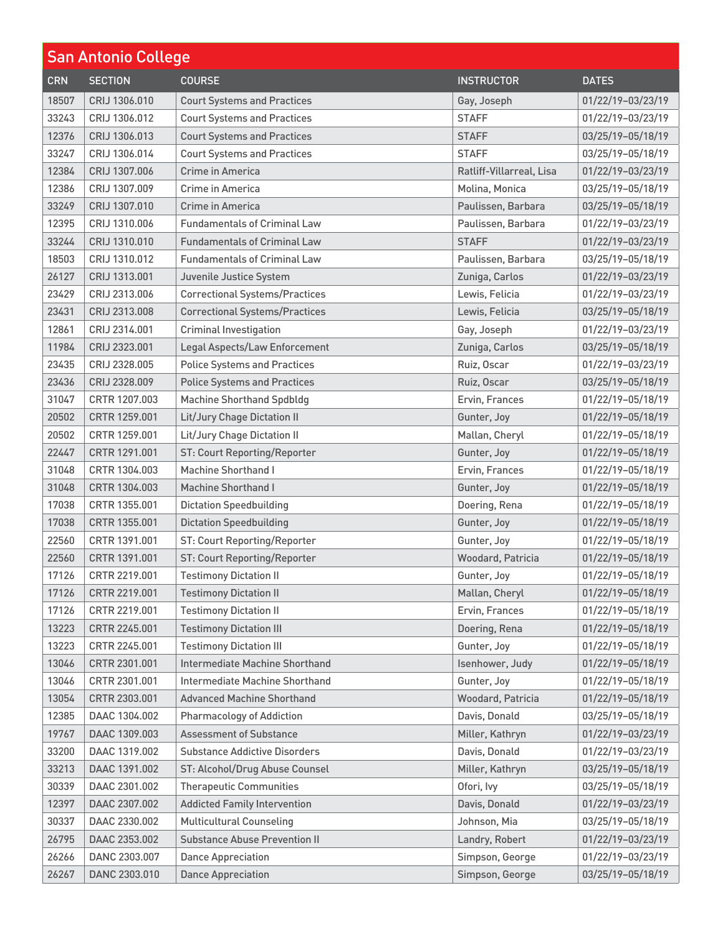| <b>San Antonio College</b> |                |                                       |                          |                   |
|----------------------------|----------------|---------------------------------------|--------------------------|-------------------|
| <b>CRN</b>                 | <b>SECTION</b> | <b>COURSE</b>                         | <b>INSTRUCTOR</b>        | <b>DATES</b>      |
| 18507                      | CRIJ 1306.010  | <b>Court Systems and Practices</b>    | Gay, Joseph              | 01/22/19-03/23/19 |
| 33243                      | CRIJ 1306.012  | <b>Court Systems and Practices</b>    | <b>STAFF</b>             | 01/22/19-03/23/19 |
| 12376                      | CRIJ 1306.013  | <b>Court Systems and Practices</b>    | <b>STAFF</b>             | 03/25/19-05/18/19 |
| 33247                      | CRIJ 1306.014  | <b>Court Systems and Practices</b>    | <b>STAFF</b>             | 03/25/19-05/18/19 |
| 12384                      | CRIJ 1307.006  | Crime in America                      | Ratliff-Villarreal, Lisa | 01/22/19-03/23/19 |
| 12386                      | CRIJ 1307.009  | Crime in America                      | Molina, Monica           | 03/25/19-05/18/19 |
| 33249                      | CRIJ 1307.010  | Crime in America                      | Paulissen, Barbara       | 03/25/19-05/18/19 |
| 12395                      | CRIJ 1310.006  | <b>Fundamentals of Criminal Law</b>   | Paulissen, Barbara       | 01/22/19-03/23/19 |
| 33244                      | CRIJ 1310.010  | <b>Fundamentals of Criminal Law</b>   | <b>STAFF</b>             | 01/22/19-03/23/19 |
| 18503                      | CRIJ 1310.012  | <b>Fundamentals of Criminal Law</b>   | Paulissen, Barbara       | 03/25/19-05/18/19 |
| 26127                      | CRIJ 1313.001  | Juvenile Justice System               | Zuniga, Carlos           | 01/22/19-03/23/19 |
| 23429                      | CRIJ 2313,006  | <b>Correctional Systems/Practices</b> | Lewis, Felicia           | 01/22/19-03/23/19 |
| 23431                      | CRIJ 2313.008  | <b>Correctional Systems/Practices</b> | Lewis, Felicia           | 03/25/19-05/18/19 |
| 12861                      | CRIJ 2314.001  | <b>Criminal Investigation</b>         | Gay, Joseph              | 01/22/19-03/23/19 |
| 11984                      | CRIJ 2323.001  | Legal Aspects/Law Enforcement         | Zuniga, Carlos           | 03/25/19-05/18/19 |
| 23435                      | CRIJ 2328.005  | <b>Police Systems and Practices</b>   | Ruiz, Oscar              | 01/22/19-03/23/19 |
| 23436                      | CRIJ 2328.009  | <b>Police Systems and Practices</b>   | Ruiz, Oscar              | 03/25/19-05/18/19 |
| 31047                      | CRTR 1207.003  | <b>Machine Shorthand Spdbldg</b>      | Ervin, Frances           | 01/22/19-05/18/19 |
| 20502                      | CRTR 1259.001  | Lit/Jury Chage Dictation II           | Gunter, Joy              | 01/22/19-05/18/19 |
| 20502                      | CRTR 1259.001  | Lit/Jury Chage Dictation II           | Mallan, Cheryl           | 01/22/19-05/18/19 |
| 22447                      | CRTR 1291.001  | <b>ST: Court Reporting/Reporter</b>   | Gunter, Joy              | 01/22/19-05/18/19 |
| 31048                      | CRTR 1304.003  | <b>Machine Shorthand I</b>            | Ervin, Frances           | 01/22/19-05/18/19 |
| 31048                      | CRTR 1304.003  | <b>Machine Shorthand I</b>            | Gunter, Joy              | 01/22/19-05/18/19 |
| 17038                      | CRTR 1355.001  | <b>Dictation Speedbuilding</b>        | Doering, Rena            | 01/22/19-05/18/19 |
| 17038                      | CRTR 1355.001  | <b>Dictation Speedbuilding</b>        | Gunter, Joy              | 01/22/19-05/18/19 |
| 22560                      | CRTR 1391.001  | <b>ST: Court Reporting/Reporter</b>   | Gunter, Joy              | 01/22/19-05/18/19 |
| 22560                      | CRTR 1391.001  | <b>ST: Court Reporting/Reporter</b>   | Woodard, Patricia        | 01/22/19-05/18/19 |
| 17126                      | CRTR 2219.001  | <b>Testimony Dictation II</b>         | Gunter, Joy              | 01/22/19-05/18/19 |
| 17126                      | CRTR 2219.001  | <b>Testimony Dictation II</b>         | Mallan, Cheryl           | 01/22/19-05/18/19 |
| 17126                      | CRTR 2219.001  | <b>Testimony Dictation II</b>         | Ervin, Frances           | 01/22/19-05/18/19 |
| 13223                      | CRTR 2245.001  | <b>Testimony Dictation III</b>        | Doering, Rena            | 01/22/19-05/18/19 |
| 13223                      | CRTR 2245.001  | <b>Testimony Dictation III</b>        | Gunter, Joy              | 01/22/19-05/18/19 |
| 13046                      | CRTR 2301.001  | Intermediate Machine Shorthand        | Isenhower, Judy          | 01/22/19-05/18/19 |
| 13046                      | CRTR 2301.001  | Intermediate Machine Shorthand        | Gunter, Joy              | 01/22/19-05/18/19 |
| 13054                      | CRTR 2303.001  | <b>Advanced Machine Shorthand</b>     | Woodard, Patricia        | 01/22/19-05/18/19 |
| 12385                      | DAAC 1304.002  | <b>Pharmacology of Addiction</b>      | Davis, Donald            | 03/25/19-05/18/19 |
| 19767                      | DAAC 1309.003  | <b>Assessment of Substance</b>        | Miller, Kathryn          | 01/22/19-03/23/19 |
| 33200                      | DAAC 1319.002  | <b>Substance Addictive Disorders</b>  | Davis, Donald            | 01/22/19-03/23/19 |
| 33213                      | DAAC 1391.002  | ST: Alcohol/Drug Abuse Counsel        | Miller, Kathryn          | 03/25/19-05/18/19 |
| 30339                      | DAAC 2301.002  | <b>Therapeutic Communities</b>        | Ofori, lvy               | 03/25/19-05/18/19 |
| 12397                      | DAAC 2307.002  | <b>Addicted Family Intervention</b>   | Davis, Donald            | 01/22/19-03/23/19 |
| 30337                      | DAAC 2330.002  | <b>Multicultural Counseling</b>       | Johnson, Mia             | 03/25/19-05/18/19 |
| 26795                      | DAAC 2353.002  | <b>Substance Abuse Prevention II</b>  | Landry, Robert           | 01/22/19-03/23/19 |
| 26266                      | DANC 2303.007  | <b>Dance Appreciation</b>             | Simpson, George          | 01/22/19-03/23/19 |
| 26267                      | DANC 2303.010  | <b>Dance Appreciation</b>             | Simpson, George          | 03/25/19-05/18/19 |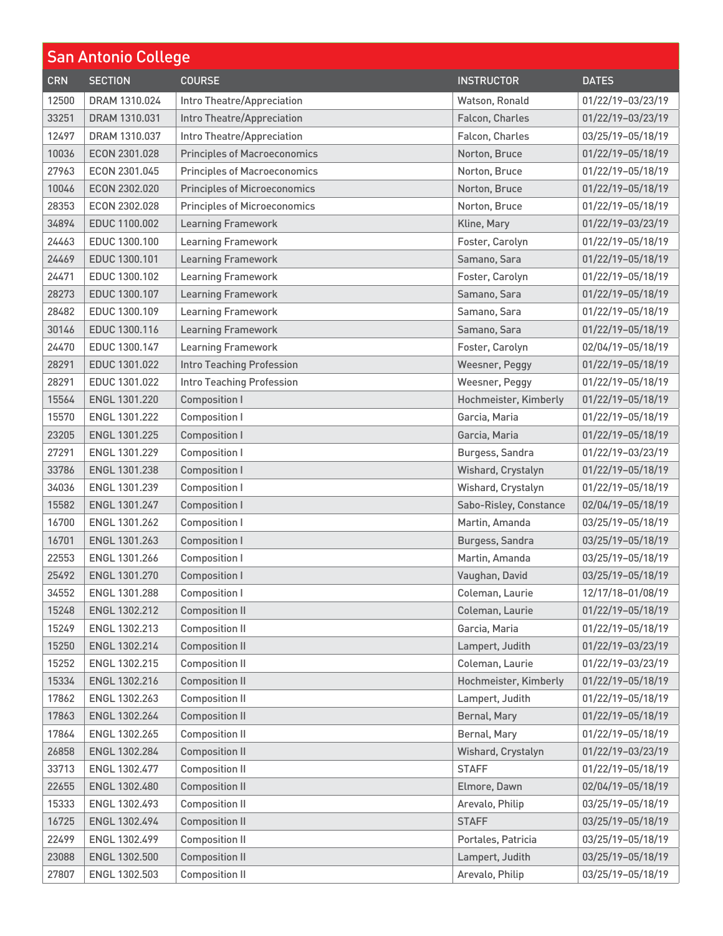| <b>San Antonio College</b> |                |                                     |                        |                   |
|----------------------------|----------------|-------------------------------------|------------------------|-------------------|
| <b>CRN</b>                 | <b>SECTION</b> | <b>COURSE</b>                       | <b>INSTRUCTOR</b>      | <b>DATES</b>      |
| 12500                      | DRAM 1310.024  | Intro Theatre/Appreciation          | Watson, Ronald         | 01/22/19-03/23/19 |
| 33251                      | DRAM 1310.031  | Intro Theatre/Appreciation          | Falcon, Charles        | 01/22/19-03/23/19 |
| 12497                      | DRAM 1310.037  | Intro Theatre/Appreciation          | Falcon, Charles        | 03/25/19-05/18/19 |
| 10036                      | ECON 2301.028  | <b>Principles of Macroeconomics</b> | Norton, Bruce          | 01/22/19-05/18/19 |
| 27963                      | ECON 2301.045  | <b>Principles of Macroeconomics</b> | Norton, Bruce          | 01/22/19-05/18/19 |
| 10046                      | ECON 2302.020  | <b>Principles of Microeconomics</b> | Norton, Bruce          | 01/22/19-05/18/19 |
| 28353                      | ECON 2302.028  | <b>Principles of Microeconomics</b> | Norton, Bruce          | 01/22/19-05/18/19 |
| 34894                      | EDUC 1100.002  | <b>Learning Framework</b>           | Kline, Mary            | 01/22/19-03/23/19 |
| 24463                      | EDUC 1300.100  | <b>Learning Framework</b>           | Foster, Carolyn        | 01/22/19-05/18/19 |
| 24469                      | EDUC 1300.101  | <b>Learning Framework</b>           | Samano, Sara           | 01/22/19-05/18/19 |
| 24471                      | EDUC 1300.102  | <b>Learning Framework</b>           | Foster, Carolyn        | 01/22/19-05/18/19 |
| 28273                      | EDUC 1300.107  | <b>Learning Framework</b>           | Samano, Sara           | 01/22/19-05/18/19 |
| 28482                      | EDUC 1300.109  | <b>Learning Framework</b>           | Samano, Sara           | 01/22/19-05/18/19 |
| 30146                      | EDUC 1300.116  | <b>Learning Framework</b>           | Samano, Sara           | 01/22/19-05/18/19 |
| 24470                      | EDUC 1300.147  | <b>Learning Framework</b>           | Foster, Carolyn        | 02/04/19-05/18/19 |
| 28291                      | EDUC 1301.022  | <b>Intro Teaching Profession</b>    | Weesner, Peggy         | 01/22/19-05/18/19 |
| 28291                      | EDUC 1301.022  | Intro Teaching Profession           | Weesner, Peggy         | 01/22/19-05/18/19 |
| 15564                      | ENGL 1301.220  | <b>Composition I</b>                | Hochmeister, Kimberly  | 01/22/19-05/18/19 |
| 15570                      | ENGL 1301.222  | <b>Composition I</b>                | Garcia, Maria          | 01/22/19-05/18/19 |
| 23205                      | ENGL 1301.225  | <b>Composition I</b>                | Garcia, Maria          | 01/22/19-05/18/19 |
| 27291                      | ENGL 1301.229  | <b>Composition I</b>                | Burgess, Sandra        | 01/22/19-03/23/19 |
| 33786                      | ENGL 1301.238  | <b>Composition I</b>                | Wishard, Crystalyn     | 01/22/19-05/18/19 |
| 34036                      | ENGL 1301.239  | <b>Composition I</b>                | Wishard, Crystalyn     | 01/22/19-05/18/19 |
| 15582                      | ENGL 1301.247  | <b>Composition I</b>                | Sabo-Risley, Constance | 02/04/19-05/18/19 |
| 16700                      | ENGL 1301.262  | <b>Composition I</b>                | Martin, Amanda         | 03/25/19-05/18/19 |
| 16701                      | ENGL 1301.263  | <b>Composition I</b>                | Burgess, Sandra        | 03/25/19-05/18/19 |
| 22553                      | ENGL 1301.266  | <b>Composition I</b>                | Martin, Amanda         | 03/25/19-05/18/19 |
| 25492                      | ENGL 1301.270  | <b>Composition I</b>                | Vaughan, David         | 03/25/19-05/18/19 |
| 34552                      | ENGL 1301.288  | Composition I                       | Coleman, Laurie        | 12/17/18-01/08/19 |
| 15248                      | ENGL 1302.212  | <b>Composition II</b>               | Coleman, Laurie        | 01/22/19-05/18/19 |
| 15249                      | ENGL 1302.213  | <b>Composition II</b>               | Garcia, Maria          | 01/22/19-05/18/19 |
| 15250                      | ENGL 1302.214  | <b>Composition II</b>               | Lampert, Judith        | 01/22/19-03/23/19 |
| 15252                      | ENGL 1302.215  | <b>Composition II</b>               | Coleman, Laurie        | 01/22/19-03/23/19 |
| 15334                      | ENGL 1302.216  | <b>Composition II</b>               | Hochmeister, Kimberly  | 01/22/19-05/18/19 |
| 17862                      | ENGL 1302.263  | <b>Composition II</b>               | Lampert, Judith        | 01/22/19-05/18/19 |
| 17863                      | ENGL 1302.264  | <b>Composition II</b>               | Bernal, Mary           | 01/22/19-05/18/19 |
| 17864                      | ENGL 1302.265  | <b>Composition II</b>               | Bernal, Mary           | 01/22/19-05/18/19 |
| 26858                      | ENGL 1302.284  | <b>Composition II</b>               | Wishard, Crystalyn     | 01/22/19-03/23/19 |
| 33713                      | ENGL 1302.477  | <b>Composition II</b>               | <b>STAFF</b>           | 01/22/19-05/18/19 |
| 22655                      | ENGL 1302.480  | <b>Composition II</b>               | Elmore, Dawn           | 02/04/19-05/18/19 |
| 15333                      | ENGL 1302.493  | <b>Composition II</b>               | Arevalo, Philip        | 03/25/19-05/18/19 |
| 16725                      | ENGL 1302.494  | <b>Composition II</b>               | <b>STAFF</b>           | 03/25/19-05/18/19 |
| 22499                      | ENGL 1302.499  | <b>Composition II</b>               | Portales, Patricia     | 03/25/19-05/18/19 |
| 23088                      | ENGL 1302.500  | <b>Composition II</b>               | Lampert, Judith        | 03/25/19-05/18/19 |
| 27807                      | ENGL 1302.503  | <b>Composition II</b>               | Arevalo, Philip        | 03/25/19-05/18/19 |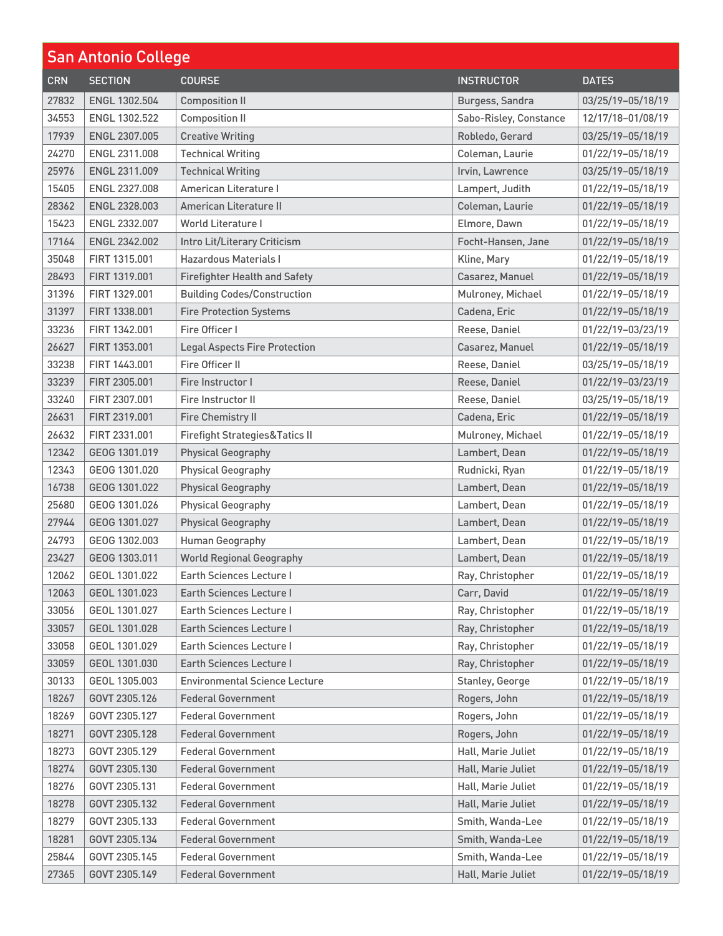| <b>San Antonio College</b> |                |                                           |                        |                   |
|----------------------------|----------------|-------------------------------------------|------------------------|-------------------|
| <b>CRN</b>                 | <b>SECTION</b> | <b>COURSE</b>                             | <b>INSTRUCTOR</b>      | <b>DATES</b>      |
| 27832                      | ENGL 1302.504  | <b>Composition II</b>                     | Burgess, Sandra        | 03/25/19-05/18/19 |
| 34553                      | ENGL 1302.522  | <b>Composition II</b>                     | Sabo-Risley, Constance | 12/17/18-01/08/19 |
| 17939                      | ENGL 2307.005  | <b>Creative Writing</b>                   | Robledo, Gerard        | 03/25/19-05/18/19 |
| 24270                      | ENGL 2311.008  | <b>Technical Writing</b>                  | Coleman, Laurie        | 01/22/19-05/18/19 |
| 25976                      | ENGL 2311.009  | <b>Technical Writing</b>                  | Irvin, Lawrence        | 03/25/19-05/18/19 |
| 15405                      | ENGL 2327.008  | American Literature I                     | Lampert, Judith        | 01/22/19-05/18/19 |
| 28362                      | ENGL 2328.003  | American Literature II                    | Coleman, Laurie        | 01/22/19-05/18/19 |
| 15423                      | ENGL 2332.007  | <b>World Literature I</b>                 | Elmore, Dawn           | 01/22/19-05/18/19 |
| 17164                      | ENGL 2342.002  | Intro Lit/Literary Criticism              | Focht-Hansen, Jane     | 01/22/19-05/18/19 |
| 35048                      | FIRT 1315.001  | <b>Hazardous Materials I</b>              | Kline, Mary            | 01/22/19-05/18/19 |
| 28493                      | FIRT 1319,001  | <b>Firefighter Health and Safety</b>      | Casarez, Manuel        | 01/22/19-05/18/19 |
| 31396                      | FIRT 1329.001  | <b>Building Codes/Construction</b>        | Mulroney, Michael      | 01/22/19-05/18/19 |
| 31397                      | FIRT 1338.001  | <b>Fire Protection Systems</b>            | Cadena, Eric           | 01/22/19-05/18/19 |
| 33236                      | FIRT 1342.001  | Fire Officer I                            | Reese, Daniel          | 01/22/19-03/23/19 |
| 26627                      | FIRT 1353.001  | <b>Legal Aspects Fire Protection</b>      | Casarez, Manuel        | 01/22/19-05/18/19 |
| 33238                      | FIRT 1443.001  | Fire Officer II                           | Reese, Daniel          | 03/25/19-05/18/19 |
| 33239                      | FIRT 2305.001  | Fire Instructor I                         | Reese, Daniel          | 01/22/19-03/23/19 |
| 33240                      | FIRT 2307.001  | Fire Instructor II                        | Reese, Daniel          | 03/25/19-05/18/19 |
| 26631                      | FIRT 2319.001  | <b>Fire Chemistry II</b>                  | Cadena, Eric           | 01/22/19-05/18/19 |
| 26632                      | FIRT 2331,001  | <b>Firefight Strategies&amp;Tatics II</b> | Mulroney, Michael      | 01/22/19-05/18/19 |
| 12342                      | GEOG 1301.019  | <b>Physical Geography</b>                 | Lambert, Dean          | 01/22/19-05/18/19 |
| 12343                      | GEOG 1301.020  | <b>Physical Geography</b>                 | Rudnicki, Ryan         | 01/22/19-05/18/19 |
| 16738                      | GEOG 1301.022  | <b>Physical Geography</b>                 | Lambert, Dean          | 01/22/19-05/18/19 |
| 25680                      | GEOG 1301.026  | <b>Physical Geography</b>                 | Lambert, Dean          | 01/22/19-05/18/19 |
| 27944                      | GEOG 1301.027  | <b>Physical Geography</b>                 | Lambert, Dean          | 01/22/19-05/18/19 |
| 24793                      | GEOG 1302.003  | <b>Human Geography</b>                    | Lambert, Dean          | 01/22/19-05/18/19 |
| 23427                      | GEOG 1303.011  | <b>World Regional Geography</b>           | Lambert, Dean          | 01/22/19-05/18/19 |
| 12062                      | GEOL 1301.022  | Earth Sciences Lecture I                  | Ray, Christopher       | 01/22/19-05/18/19 |
| 12063                      | GEOL 1301.023  | <b>Earth Sciences Lecture I</b>           | Carr, David            | 01/22/19-05/18/19 |
| 33056                      | GEOL 1301.027  | <b>Earth Sciences Lecture I</b>           | Ray, Christopher       | 01/22/19-05/18/19 |
| 33057                      | GEOL 1301.028  | <b>Earth Sciences Lecture I</b>           | Ray, Christopher       | 01/22/19-05/18/19 |
| 33058                      | GEOL 1301.029  | Earth Sciences Lecture I                  | Ray, Christopher       | 01/22/19-05/18/19 |
| 33059                      | GEOL 1301.030  | <b>Earth Sciences Lecture I</b>           | Ray, Christopher       | 01/22/19-05/18/19 |
| 30133                      | GEOL 1305.003  | <b>Environmental Science Lecture</b>      | Stanley, George        | 01/22/19-05/18/19 |
| 18267                      | GOVT 2305.126  | <b>Federal Government</b>                 | Rogers, John           | 01/22/19-05/18/19 |
| 18269                      | GOVT 2305.127  | <b>Federal Government</b>                 | Rogers, John           | 01/22/19-05/18/19 |
| 18271                      | GOVT 2305.128  | <b>Federal Government</b>                 | Rogers, John           | 01/22/19-05/18/19 |
| 18273                      | GOVT 2305.129  | <b>Federal Government</b>                 | Hall, Marie Juliet     | 01/22/19-05/18/19 |
| 18274                      | GOVT 2305.130  | <b>Federal Government</b>                 | Hall, Marie Juliet     | 01/22/19-05/18/19 |
| 18276                      | GOVT 2305.131  | <b>Federal Government</b>                 | Hall, Marie Juliet     | 01/22/19-05/18/19 |
| 18278                      | GOVT 2305.132  | <b>Federal Government</b>                 | Hall, Marie Juliet     | 01/22/19-05/18/19 |
| 18279                      | GOVT 2305.133  | <b>Federal Government</b>                 | Smith, Wanda-Lee       | 01/22/19-05/18/19 |
| 18281                      | GOVT 2305.134  | <b>Federal Government</b>                 | Smith, Wanda-Lee       | 01/22/19-05/18/19 |
| 25844                      | GOVT 2305.145  | <b>Federal Government</b>                 | Smith, Wanda-Lee       | 01/22/19-05/18/19 |
| 27365                      | GOVT 2305.149  | <b>Federal Government</b>                 | Hall, Marie Juliet     | 01/22/19-05/18/19 |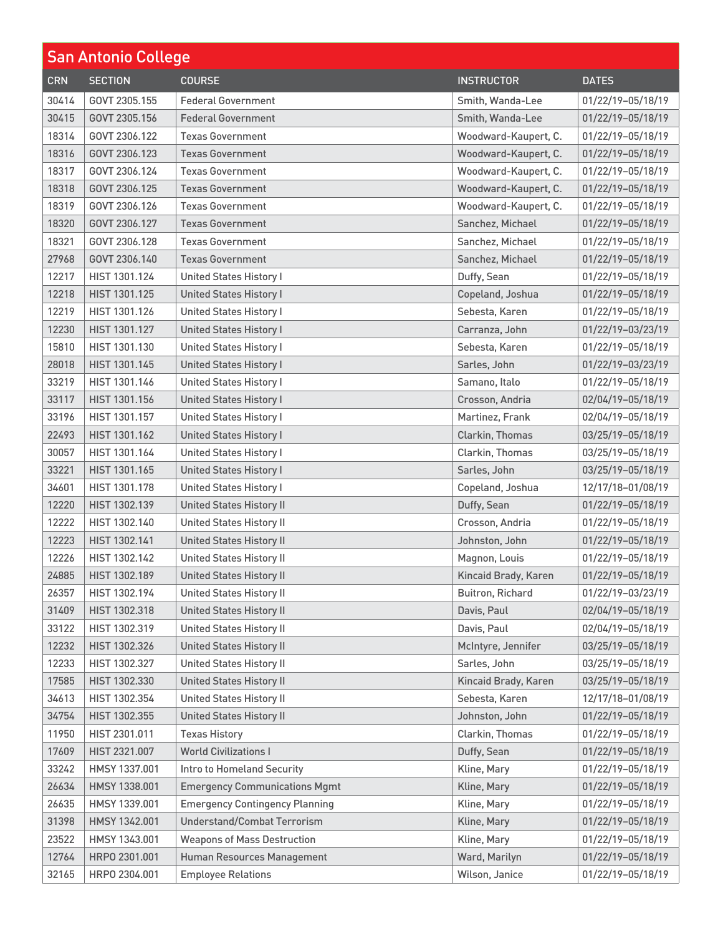| <b>San Antonio College</b> |                |                                       |                      |                   |
|----------------------------|----------------|---------------------------------------|----------------------|-------------------|
| <b>CRN</b>                 | <b>SECTION</b> | <b>COURSE</b>                         | <b>INSTRUCTOR</b>    | <b>DATES</b>      |
| 30414                      | GOVT 2305.155  | <b>Federal Government</b>             | Smith, Wanda-Lee     | 01/22/19-05/18/19 |
| 30415                      | GOVT 2305.156  | <b>Federal Government</b>             | Smith, Wanda-Lee     | 01/22/19-05/18/19 |
| 18314                      | GOVT 2306.122  | <b>Texas Government</b>               | Woodward-Kaupert, C. | 01/22/19-05/18/19 |
| 18316                      | GOVT 2306.123  | <b>Texas Government</b>               | Woodward-Kaupert, C. | 01/22/19-05/18/19 |
| 18317                      | GOVT 2306.124  | <b>Texas Government</b>               | Woodward-Kaupert, C. | 01/22/19-05/18/19 |
| 18318                      | GOVT 2306.125  | <b>Texas Government</b>               | Woodward-Kaupert, C. | 01/22/19-05/18/19 |
| 18319                      | GOVT 2306.126  | <b>Texas Government</b>               | Woodward-Kaupert, C. | 01/22/19-05/18/19 |
| 18320                      | GOVT 2306.127  | <b>Texas Government</b>               | Sanchez, Michael     | 01/22/19-05/18/19 |
| 18321                      | GOVT 2306.128  | <b>Texas Government</b>               | Sanchez, Michael     | 01/22/19-05/18/19 |
| 27968                      | GOVT 2306.140  | <b>Texas Government</b>               | Sanchez, Michael     | 01/22/19-05/18/19 |
| 12217                      | HIST 1301.124  | <b>United States History I</b>        | Duffy, Sean          | 01/22/19-05/18/19 |
| 12218                      | HIST 1301.125  | <b>United States History I</b>        | Copeland, Joshua     | 01/22/19-05/18/19 |
| 12219                      | HIST 1301.126  | <b>United States History I</b>        | Sebesta, Karen       | 01/22/19-05/18/19 |
| 12230                      | HIST 1301.127  | <b>United States History I</b>        | Carranza, John       | 01/22/19-03/23/19 |
| 15810                      | HIST 1301.130  | <b>United States History I</b>        | Sebesta, Karen       | 01/22/19-05/18/19 |
| 28018                      | HIST 1301.145  | <b>United States History I</b>        | Sarles, John         | 01/22/19-03/23/19 |
| 33219                      | HIST 1301.146  | <b>United States History I</b>        | Samano, Italo        | 01/22/19-05/18/19 |
| 33117                      | HIST 1301.156  | <b>United States History I</b>        | Crosson, Andria      | 02/04/19-05/18/19 |
| 33196                      | HIST 1301.157  | <b>United States History I</b>        | Martinez, Frank      | 02/04/19-05/18/19 |
| 22493                      | HIST 1301.162  | <b>United States History I</b>        | Clarkin, Thomas      | 03/25/19-05/18/19 |
| 30057                      | HIST 1301.164  | <b>United States History I</b>        | Clarkin, Thomas      | 03/25/19-05/18/19 |
| 33221                      | HIST 1301.165  | <b>United States History I</b>        | Sarles, John         | 03/25/19-05/18/19 |
| 34601                      | HIST 1301.178  | <b>United States History I</b>        | Copeland, Joshua     | 12/17/18-01/08/19 |
| 12220                      | HIST 1302.139  | <b>United States History II</b>       | Duffy, Sean          | 01/22/19-05/18/19 |
| 12222                      | HIST 1302.140  | <b>United States History II</b>       | Crosson, Andria      | 01/22/19-05/18/19 |
| 12223                      | HIST 1302.141  | <b>United States History II</b>       | Johnston, John       | 01/22/19-05/18/19 |
| 12226                      | HIST 1302.142  | <b>United States History II</b>       | Magnon, Louis        | 01/22/19-05/18/19 |
| 24885                      | HIST 1302.189  | <b>United States History II</b>       | Kincaid Brady, Karen | 01/22/19-05/18/19 |
| 26357                      | HIST 1302.194  | <b>United States History II</b>       | Buitron, Richard     | 01/22/19-03/23/19 |
| 31409                      | HIST 1302.318  | <b>United States History II</b>       | Davis, Paul          | 02/04/19-05/18/19 |
| 33122                      | HIST 1302.319  | <b>United States History II</b>       | Davis, Paul          | 02/04/19-05/18/19 |
| 12232                      | HIST 1302.326  | <b>United States History II</b>       | McIntyre, Jennifer   | 03/25/19-05/18/19 |
| 12233                      | HIST 1302.327  | <b>United States History II</b>       | Sarles, John         | 03/25/19-05/18/19 |
| 17585                      | HIST 1302.330  | <b>United States History II</b>       | Kincaid Brady, Karen | 03/25/19-05/18/19 |
| 34613                      | HIST 1302.354  | <b>United States History II</b>       | Sebesta, Karen       | 12/17/18-01/08/19 |
| 34754                      | HIST 1302.355  | <b>United States History II</b>       | Johnston, John       | 01/22/19-05/18/19 |
| 11950                      | HIST 2301.011  | <b>Texas History</b>                  | Clarkin, Thomas      | 01/22/19-05/18/19 |
| 17609                      | HIST 2321.007  | <b>World Civilizations I</b>          | Duffy, Sean          | 01/22/19-05/18/19 |
| 33242                      | HMSY 1337.001  | Intro to Homeland Security            | Kline, Mary          | 01/22/19-05/18/19 |
| 26634                      | HMSY 1338.001  | <b>Emergency Communications Mgmt</b>  | Kline, Mary          | 01/22/19-05/18/19 |
| 26635                      | HMSY 1339.001  | <b>Emergency Contingency Planning</b> | Kline, Mary          | 01/22/19-05/18/19 |
| 31398                      | HMSY 1342.001  | <b>Understand/Combat Terrorism</b>    | Kline, Mary          | 01/22/19-05/18/19 |
| 23522                      | HMSY 1343.001  | <b>Weapons of Mass Destruction</b>    | Kline, Mary          | 01/22/19-05/18/19 |
| 12764                      | HRP0 2301.001  | Human Resources Management            | Ward, Marilyn        | 01/22/19-05/18/19 |
| 32165                      | HRP0 2304.001  | <b>Employee Relations</b>             | Wilson, Janice       | 01/22/19-05/18/19 |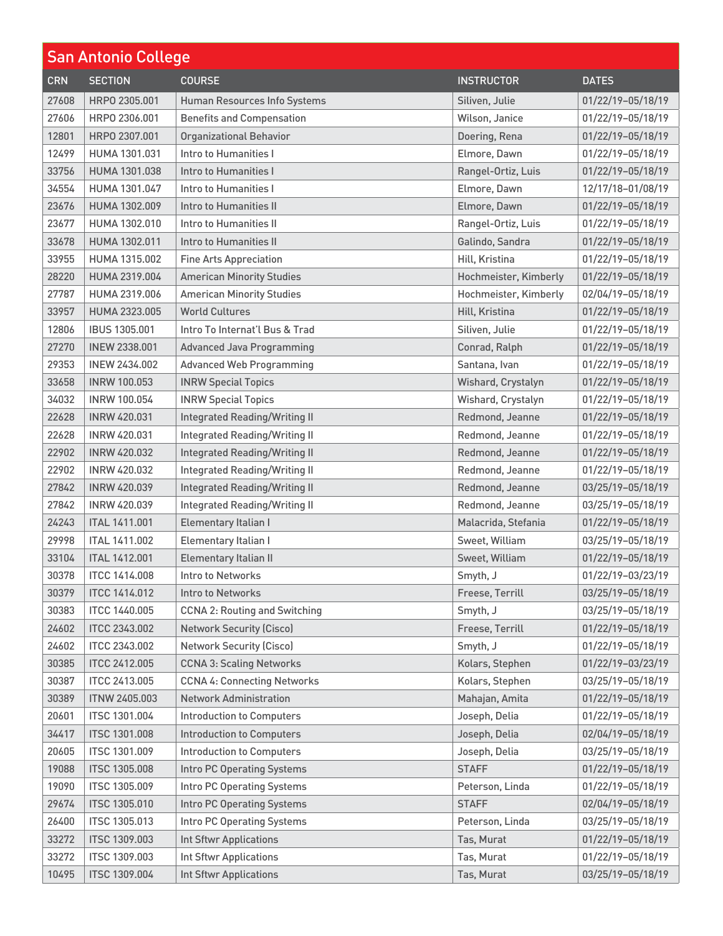| <b>San Antonio College</b> |                      |                                      |                       |                   |
|----------------------------|----------------------|--------------------------------------|-----------------------|-------------------|
| <b>CRN</b>                 | <b>SECTION</b>       | <b>COURSE</b>                        | <b>INSTRUCTOR</b>     | <b>DATES</b>      |
| 27608                      | HRP0 2305.001        | Human Resources Info Systems         | Siliven, Julie        | 01/22/19-05/18/19 |
| 27606                      | HRP0 2306,001        | <b>Benefits and Compensation</b>     | Wilson, Janice        | 01/22/19-05/18/19 |
| 12801                      | HRP0 2307.001        | <b>Organizational Behavior</b>       | Doering, Rena         | 01/22/19-05/18/19 |
| 12499                      | HUMA 1301.031        | Intro to Humanities I                | Elmore, Dawn          | 01/22/19-05/18/19 |
| 33756                      | HUMA 1301.038        | Intro to Humanities I                | Rangel-Ortiz, Luis    | 01/22/19-05/18/19 |
| 34554                      | HUMA 1301.047        | Intro to Humanities I                | Elmore, Dawn          | 12/17/18-01/08/19 |
| 23676                      | HUMA 1302.009        | Intro to Humanities II               | Elmore, Dawn          | 01/22/19-05/18/19 |
| 23677                      | HUMA 1302.010        | Intro to Humanities II               | Rangel-Ortiz, Luis    | 01/22/19-05/18/19 |
| 33678                      | HUMA 1302.011        | Intro to Humanities II               | Galindo, Sandra       | 01/22/19-05/18/19 |
| 33955                      | HUMA 1315.002        | <b>Fine Arts Appreciation</b>        | Hill, Kristina        | 01/22/19-05/18/19 |
| 28220                      | HUMA 2319,004        | <b>American Minority Studies</b>     | Hochmeister, Kimberly | 01/22/19-05/18/19 |
| 27787                      | <b>HUMA 2319,006</b> | <b>American Minority Studies</b>     | Hochmeister, Kimberly | 02/04/19-05/18/19 |
| 33957                      | HUMA 2323.005        | <b>World Cultures</b>                | Hill, Kristina        | 01/22/19-05/18/19 |
| 12806                      | <b>IBUS 1305.001</b> | Intro To Internat'l Bus & Trad       | Siliven, Julie        | 01/22/19-05/18/19 |
| 27270                      | <b>INEW 2338.001</b> | <b>Advanced Java Programming</b>     | Conrad, Ralph         | 01/22/19-05/18/19 |
| 29353                      | <b>INEW 2434.002</b> | <b>Advanced Web Programming</b>      | Santana, Ivan         | 01/22/19-05/18/19 |
| 33658                      | <b>INRW 100.053</b>  | <b>INRW Special Topics</b>           | Wishard, Crystalyn    | 01/22/19-05/18/19 |
| 34032                      | <b>INRW 100.054</b>  | <b>INRW Special Topics</b>           | Wishard, Crystalyn    | 01/22/19-05/18/19 |
| 22628                      | <b>INRW 420.031</b>  | <b>Integrated Reading/Writing II</b> | Redmond, Jeanne       | 01/22/19-05/18/19 |
| 22628                      | <b>INRW 420.031</b>  | <b>Integrated Reading/Writing II</b> | Redmond, Jeanne       | 01/22/19-05/18/19 |
| 22902                      | <b>INRW 420.032</b>  | <b>Integrated Reading/Writing II</b> | Redmond, Jeanne       | 01/22/19-05/18/19 |
| 22902                      | <b>INRW 420.032</b>  | <b>Integrated Reading/Writing II</b> | Redmond, Jeanne       | 01/22/19-05/18/19 |
| 27842                      | <b>INRW 420.039</b>  | <b>Integrated Reading/Writing II</b> | Redmond, Jeanne       | 03/25/19-05/18/19 |
| 27842                      | <b>INRW 420.039</b>  | <b>Integrated Reading/Writing II</b> | Redmond, Jeanne       | 03/25/19-05/18/19 |
| 24243                      | <b>ITAL 1411.001</b> | Elementary Italian I                 | Malacrida, Stefania   | 01/22/19-05/18/19 |
| 29998                      | <b>ITAL 1411.002</b> | Elementary Italian I                 | Sweet, William        | 03/25/19-05/18/19 |
| 33104                      | <b>ITAL 1412.001</b> | Elementary Italian II                | Sweet, William        | 01/22/19-05/18/19 |
| 30378                      | <b>ITCC 1414.008</b> | Intro to Networks                    | Smyth, J              | 01/22/19-03/23/19 |
| 30379                      | <b>ITCC 1414.012</b> | Intro to Networks                    | Freese, Terrill       | 03/25/19-05/18/19 |
| 30383                      | <b>ITCC 1440.005</b> | <b>CCNA 2: Routing and Switching</b> | Smyth, J              | 03/25/19-05/18/19 |
| 24602                      | <b>ITCC 2343.002</b> | <b>Network Security (Cisco)</b>      | Freese, Terrill       | 01/22/19-05/18/19 |
| 24602                      | <b>ITCC 2343.002</b> | <b>Network Security (Cisco)</b>      | Smyth, J              | 01/22/19-05/18/19 |
| 30385                      | <b>ITCC 2412.005</b> | <b>CCNA 3: Scaling Networks</b>      | Kolars, Stephen       | 01/22/19-03/23/19 |
| 30387                      | <b>ITCC 2413.005</b> | <b>CCNA 4: Connecting Networks</b>   | Kolars, Stephen       | 03/25/19-05/18/19 |
| 30389                      | <b>ITNW 2405.003</b> | <b>Network Administration</b>        | Mahajan, Amita        | 01/22/19-05/18/19 |
| 20601                      | <b>ITSC 1301.004</b> | <b>Introduction to Computers</b>     | Joseph, Delia         | 01/22/19-05/18/19 |
| 34417                      | <b>ITSC 1301.008</b> | <b>Introduction to Computers</b>     | Joseph, Delia         | 02/04/19-05/18/19 |
| 20605                      | <b>ITSC 1301.009</b> | <b>Introduction to Computers</b>     | Joseph, Delia         | 03/25/19-05/18/19 |
| 19088                      | <b>ITSC 1305.008</b> | <b>Intro PC Operating Systems</b>    | <b>STAFF</b>          | 01/22/19-05/18/19 |
| 19090                      | <b>ITSC 1305.009</b> | Intro PC Operating Systems           | Peterson, Linda       | 01/22/19-05/18/19 |
| 29674                      | <b>ITSC 1305.010</b> | Intro PC Operating Systems           | <b>STAFF</b>          | 02/04/19-05/18/19 |
| 26400                      | <b>ITSC 1305.013</b> | Intro PC Operating Systems           | Peterson, Linda       | 03/25/19-05/18/19 |
| 33272                      | <b>ITSC 1309.003</b> | <b>Int Sftwr Applications</b>        | Tas, Murat            | 01/22/19-05/18/19 |
| 33272                      | <b>ITSC 1309.003</b> | <b>Int Sftwr Applications</b>        | Tas, Murat            | 01/22/19-05/18/19 |
| 10495                      | <b>ITSC 1309.004</b> | <b>Int Sftwr Applications</b>        | Tas, Murat            | 03/25/19-05/18/19 |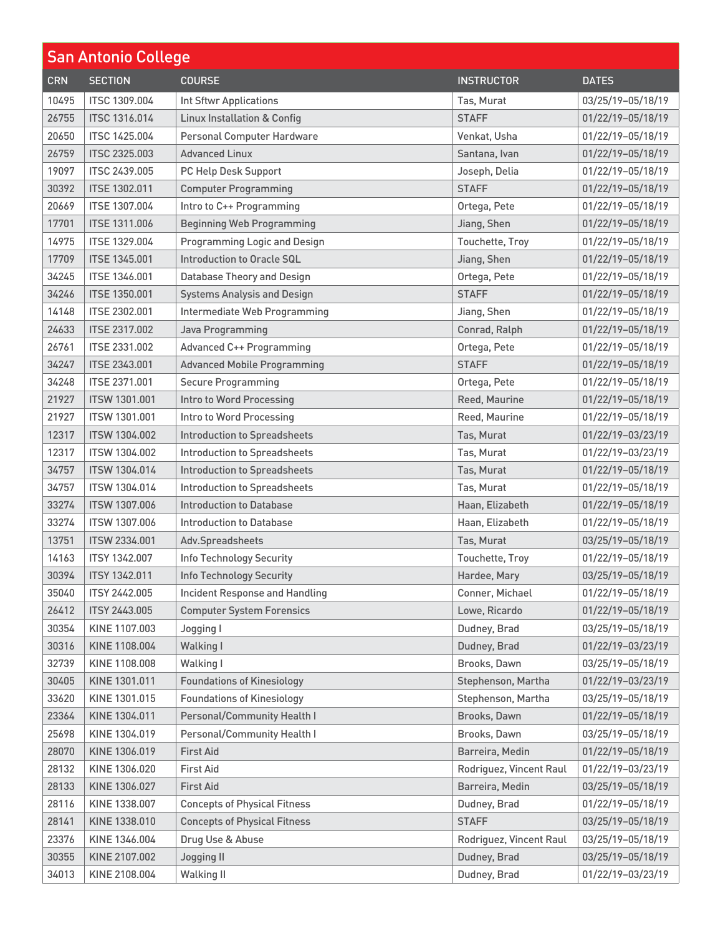| <b>San Antonio College</b> |                      |                                        |                         |                   |
|----------------------------|----------------------|----------------------------------------|-------------------------|-------------------|
| <b>CRN</b>                 | <b>SECTION</b>       | <b>COURSE</b>                          | <b>INSTRUCTOR</b>       | <b>DATES</b>      |
| 10495                      | <b>ITSC 1309.004</b> | <b>Int Sftwr Applications</b>          | Tas, Murat              | 03/25/19-05/18/19 |
| 26755                      | <b>ITSC 1316.014</b> | <b>Linux Installation &amp; Config</b> | <b>STAFF</b>            | 01/22/19-05/18/19 |
| 20650                      | <b>ITSC 1425,004</b> | Personal Computer Hardware             | Venkat, Usha            | 01/22/19-05/18/19 |
| 26759                      | <b>ITSC 2325.003</b> | <b>Advanced Linux</b>                  | Santana, Ivan           | 01/22/19-05/18/19 |
| 19097                      | <b>ITSC 2439.005</b> | PC Help Desk Support                   | Joseph, Delia           | 01/22/19-05/18/19 |
| 30392                      | <b>ITSE 1302.011</b> | <b>Computer Programming</b>            | <b>STAFF</b>            | 01/22/19-05/18/19 |
| 20669                      | <b>ITSE 1307.004</b> | Intro to C++ Programming               | Ortega, Pete            | 01/22/19-05/18/19 |
| 17701                      | <b>ITSE 1311.006</b> | <b>Beginning Web Programming</b>       | Jiang, Shen             | 01/22/19-05/18/19 |
| 14975                      | <b>ITSE 1329.004</b> | <b>Programming Logic and Design</b>    | Touchette, Troy         | 01/22/19-05/18/19 |
| 17709                      | <b>ITSE 1345.001</b> | Introduction to Oracle SQL             | Jiang, Shen             | 01/22/19-05/18/19 |
| 34245                      | <b>ITSE 1346.001</b> | <b>Database Theory and Design</b>      | Ortega, Pete            | 01/22/19-05/18/19 |
| 34246                      | <b>ITSE 1350.001</b> | <b>Systems Analysis and Design</b>     | <b>STAFF</b>            | 01/22/19-05/18/19 |
| 14148                      | ITSE 2302.001        | Intermediate Web Programming           | Jiang, Shen             | 01/22/19-05/18/19 |
| 24633                      | <b>ITSE 2317.002</b> | Java Programming                       | Conrad, Ralph           | 01/22/19-05/18/19 |
| 26761                      | <b>ITSE 2331.002</b> | <b>Advanced C++ Programming</b>        | Ortega, Pete            | 01/22/19-05/18/19 |
| 34247                      | <b>ITSE 2343.001</b> | <b>Advanced Mobile Programming</b>     | <b>STAFF</b>            | 01/22/19-05/18/19 |
| 34248                      | ITSE 2371.001        | <b>Secure Programming</b>              | Ortega, Pete            | 01/22/19-05/18/19 |
| 21927                      | <b>ITSW 1301.001</b> | Intro to Word Processing               | Reed, Maurine           | 01/22/19-05/18/19 |
| 21927                      | ITSW 1301.001        | Intro to Word Processing               | Reed, Maurine           | 01/22/19-05/18/19 |
| 12317                      | <b>ITSW 1304.002</b> | <b>Introduction to Spreadsheets</b>    | Tas, Murat              | 01/22/19-03/23/19 |
| 12317                      | ITSW 1304.002        | <b>Introduction to Spreadsheets</b>    | Tas, Murat              | 01/22/19-03/23/19 |
| 34757                      | <b>ITSW 1304.014</b> | <b>Introduction to Spreadsheets</b>    | Tas, Murat              | 01/22/19-05/18/19 |
| 34757                      | ITSW 1304.014        | <b>Introduction to Spreadsheets</b>    | Tas, Murat              | 01/22/19-05/18/19 |
| 33274                      | <b>ITSW 1307,006</b> | Introduction to Database               | Haan, Elizabeth         | 01/22/19-05/18/19 |
| 33274                      | <b>ITSW 1307.006</b> | Introduction to Database               | Haan, Elizabeth         | 01/22/19-05/18/19 |
| 13751                      | ITSW 2334.001        | Adv.Spreadsheets                       | Tas, Murat              | 03/25/19-05/18/19 |
| 14163                      | <b>ITSY 1342.007</b> | Info Technology Security               | Touchette, Troy         | 01/22/19-05/18/19 |
| 30394                      | ITSY 1342.011        | <b>Info Technology Security</b>        | Hardee, Mary            | 03/25/19-05/18/19 |
| 35040                      | <b>ITSY 2442.005</b> | <b>Incident Response and Handling</b>  | Conner, Michael         | 01/22/19-05/18/19 |
| 26412                      | <b>ITSY 2443.005</b> | <b>Computer System Forensics</b>       | Lowe, Ricardo           | 01/22/19-05/18/19 |
| 30354                      | KINE 1107.003        | Jogging I                              | Dudney, Brad            | 03/25/19-05/18/19 |
| 30316                      | KINE 1108.004        | Walking I                              | Dudney, Brad            | 01/22/19-03/23/19 |
| 32739                      | KINE 1108.008        | Walking I                              | Brooks, Dawn            | 03/25/19-05/18/19 |
| 30405                      | KINE 1301.011        | <b>Foundations of Kinesiology</b>      | Stephenson, Martha      | 01/22/19-03/23/19 |
| 33620                      | KINE 1301.015        | <b>Foundations of Kinesiology</b>      | Stephenson, Martha      | 03/25/19-05/18/19 |
| 23364                      | KINE 1304.011        | Personal/Community Health I            | Brooks, Dawn            | 01/22/19-05/18/19 |
| 25698                      | KINE 1304.019        | Personal/Community Health I            | Brooks, Dawn            | 03/25/19-05/18/19 |
| 28070                      | KINE 1306.019        | <b>First Aid</b>                       | Barreira, Medin         | 01/22/19-05/18/19 |
| 28132                      | KINE 1306.020        | <b>First Aid</b>                       | Rodriguez, Vincent Raul | 01/22/19-03/23/19 |
| 28133                      | KINE 1306.027        | <b>First Aid</b>                       | Barreira, Medin         | 03/25/19-05/18/19 |
| 28116                      | KINE 1338.007        | <b>Concepts of Physical Fitness</b>    | Dudney, Brad            | 01/22/19-05/18/19 |
| 28141                      | KINE 1338.010        | <b>Concepts of Physical Fitness</b>    | <b>STAFF</b>            | 03/25/19-05/18/19 |
| 23376                      | KINE 1346.004        | Drug Use & Abuse                       | Rodriguez, Vincent Raul | 03/25/19-05/18/19 |
| 30355                      | KINE 2107.002        | <b>Jogging II</b>                      | Dudney, Brad            | 03/25/19-05/18/19 |
| 34013                      | KINE 2108.004        | <b>Walking II</b>                      | Dudney, Brad            | 01/22/19-03/23/19 |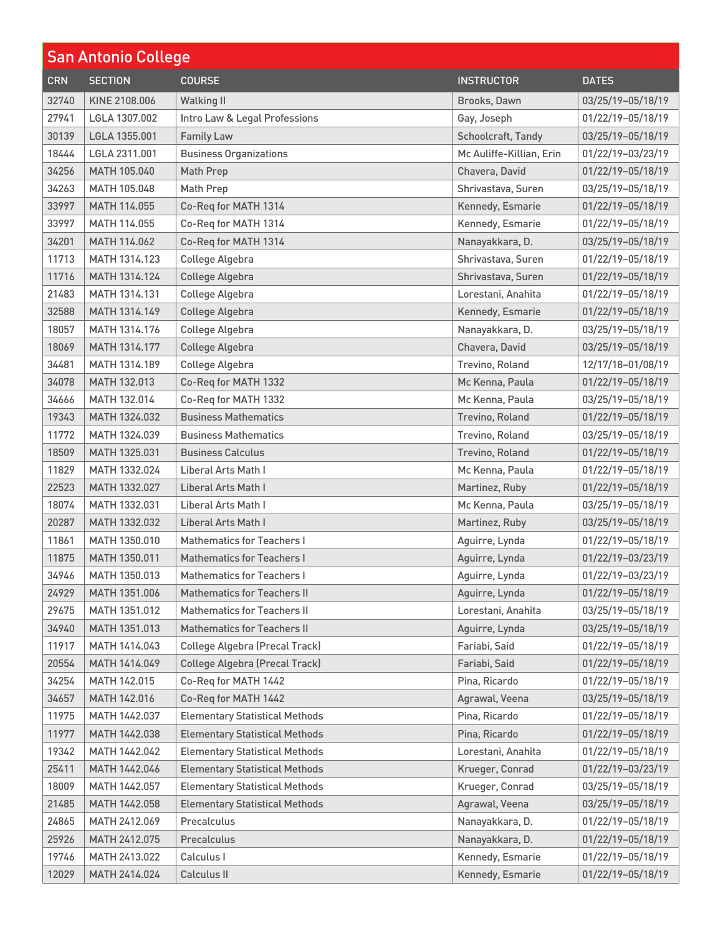| <b>San Antonio College</b> |                      |                                       |                          |                   |
|----------------------------|----------------------|---------------------------------------|--------------------------|-------------------|
| <b>CRN</b>                 | <b>SECTION</b>       | <b>COURSE</b>                         | <b>INSTRUCTOR</b>        | <b>DATES</b>      |
| 32740                      | KINE 2108.006        | <b>Walking II</b>                     | Brooks, Dawn             | 03/25/19-05/18/19 |
| 27941                      | LGLA 1307.002        | Intro Law & Legal Professions         | Gay, Joseph              | 01/22/19-05/18/19 |
| 30139                      | LGLA 1355.001        | <b>Family Law</b>                     | Schoolcraft, Tandy       | 03/25/19-05/18/19 |
| 18444                      | LGLA 2311.001        | <b>Business Organizations</b>         | Mc Auliffe-Killian, Erin | 01/22/19-03/23/19 |
| 34256                      | MATH 105.040         | <b>Math Prep</b>                      | Chavera, David           | 01/22/19-05/18/19 |
| 34263                      | MATH 105.048         | Math Prep                             | Shrivastava, Suren       | 03/25/19-05/18/19 |
| 33997                      | MATH 114.055         | Co-Req for MATH 1314                  | Kennedy, Esmarie         | 01/22/19-05/18/19 |
| 33997                      | MATH 114.055         | Co-Req for MATH 1314                  | Kennedy, Esmarie         | 01/22/19-05/18/19 |
| 34201                      | MATH 114.062         | Co-Req for MATH 1314                  | Nanayakkara, D.          | 03/25/19-05/18/19 |
| 11713                      | MATH 1314.123        | College Algebra                       | Shrivastava, Suren       | 01/22/19-05/18/19 |
| 11716                      | MATH 1314.124        | College Algebra                       | Shrivastava, Suren       | 01/22/19-05/18/19 |
| 21483                      | MATH 1314.131        | College Algebra                       | Lorestani, Anahita       | 01/22/19-05/18/19 |
| 32588                      | MATH 1314.149        | College Algebra                       | Kennedy, Esmarie         | 01/22/19-05/18/19 |
| 18057                      | <b>MATH 1314.176</b> | College Algebra                       | Nanayakkara, D.          | 03/25/19-05/18/19 |
| 18069                      | MATH 1314.177        | College Algebra                       | Chavera, David           | 03/25/19-05/18/19 |
| 34481                      | MATH 1314.189        | College Algebra                       | Trevino, Roland          | 12/17/18-01/08/19 |
| 34078                      | MATH 132.013         | Co-Req for MATH 1332                  | Mc Kenna, Paula          | 01/22/19-05/18/19 |
| 34666                      | MATH 132.014         | Co-Req for MATH 1332                  | Mc Kenna, Paula          | 03/25/19-05/18/19 |
| 19343                      | MATH 1324.032        | <b>Business Mathematics</b>           | Trevino, Roland          | 01/22/19-05/18/19 |
| 11772                      | MATH 1324.039        | <b>Business Mathematics</b>           | Trevino, Roland          | 03/25/19-05/18/19 |
| 18509                      | MATH 1325.031        | <b>Business Calculus</b>              | Trevino, Roland          | 01/22/19-05/18/19 |
| 11829                      | MATH 1332.024        | <b>Liberal Arts Math I</b>            | Mc Kenna, Paula          | 01/22/19-05/18/19 |
| 22523                      | MATH 1332.027        | Liberal Arts Math I                   | Martinez, Ruby           | 01/22/19-05/18/19 |
| 18074                      | MATH 1332.031        | <b>Liberal Arts Math I</b>            | Mc Kenna, Paula          | 03/25/19-05/18/19 |
| 20287                      | MATH 1332.032        | Liberal Arts Math I                   | Martinez, Ruby           | 03/25/19-05/18/19 |
| 11861                      | MATH 1350.010        | <b>Mathematics for Teachers I</b>     | Aguirre, Lynda           | 01/22/19-05/18/19 |
| 11875                      | MATH 1350.011        | <b>Mathematics for Teachers I</b>     | Aguirre, Lynda           | 01/22/19-03/23/19 |
| 34946                      | MATH 1350.013        | <b>Mathematics for Teachers I</b>     | Aguirre, Lynda           | 01/22/19-03/23/19 |
| 24929                      | MATH 1351.006        | <b>Mathematics for Teachers II</b>    | Aquirre, Lynda           | 01/22/19-05/18/19 |
| 29675                      | MATH 1351.012        | <b>Mathematics for Teachers II</b>    | Lorestani, Anahita       | 03/25/19-05/18/19 |
| 34940                      | MATH 1351.013        | <b>Mathematics for Teachers II</b>    | Aguirre, Lynda           | 03/25/19-05/18/19 |
| 11917                      | MATH 1414.043        | <b>College Algebra (Precal Track)</b> | Fariabi, Said            | 01/22/19-05/18/19 |
| 20554                      | MATH 1414.049        | <b>College Algebra (Precal Track)</b> | Fariabi, Said            | 01/22/19-05/18/19 |
| 34254                      | MATH 142.015         | Co-Reg for MATH 1442                  | Pina, Ricardo            | 01/22/19-05/18/19 |
| 34657                      | MATH 142.016         | Co-Req for MATH 1442                  | Agrawal, Veena           | 03/25/19-05/18/19 |
| 11975                      | MATH 1442.037        | <b>Elementary Statistical Methods</b> | Pina, Ricardo            | 01/22/19-05/18/19 |
| 11977                      | MATH 1442.038        | <b>Elementary Statistical Methods</b> | Pina, Ricardo            | 01/22/19-05/18/19 |
| 19342                      | MATH 1442.042        | <b>Elementary Statistical Methods</b> | Lorestani, Anahita       | 01/22/19-05/18/19 |
| 25411                      | MATH 1442.046        | <b>Elementary Statistical Methods</b> | Krueger, Conrad          | 01/22/19-03/23/19 |
| 18009                      | MATH 1442.057        | <b>Elementary Statistical Methods</b> | Krueger, Conrad          | 03/25/19-05/18/19 |
| 21485                      | MATH 1442.058        | <b>Elementary Statistical Methods</b> | Agrawal, Veena           | 03/25/19-05/18/19 |
| 24865                      | MATH 2412.069        | Precalculus                           | Nanayakkara, D.          | 01/22/19-05/18/19 |
| 25926                      | MATH 2412.075        | Precalculus                           | Nanayakkara, D.          | 01/22/19-05/18/19 |
| 19746                      | MATH 2413.022        | Calculus I                            | Kennedy, Esmarie         | 01/22/19-05/18/19 |
| 12029                      | MATH 2414.024        | Calculus II                           | Kennedy, Esmarie         | 01/22/19-05/18/19 |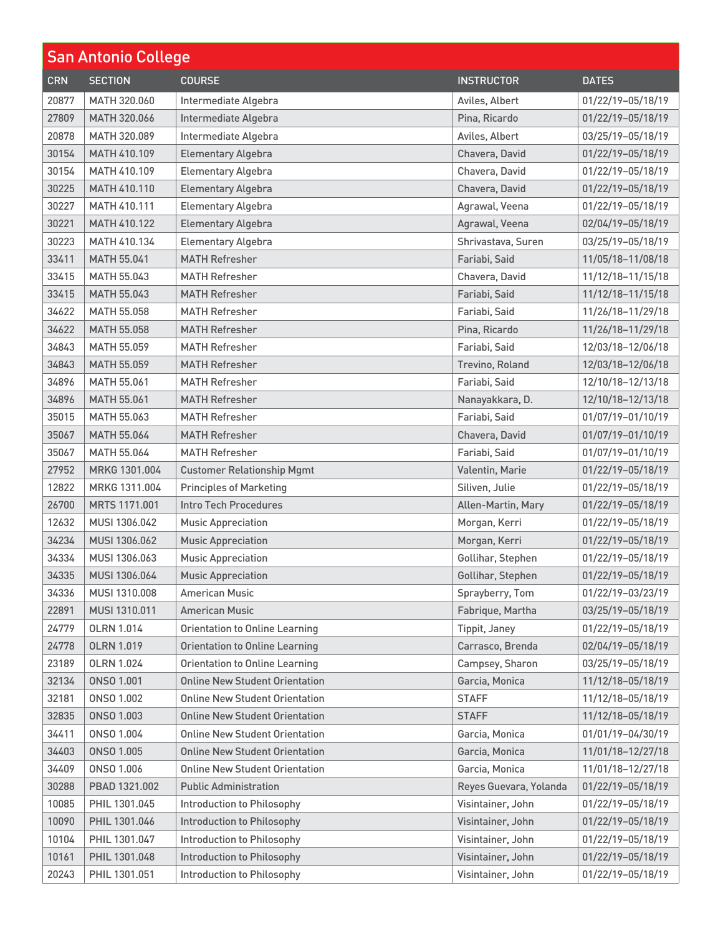| <b>San Antonio College</b> |                     |                                       |                        |                   |
|----------------------------|---------------------|---------------------------------------|------------------------|-------------------|
| <b>CRN</b>                 | <b>SECTION</b>      | <b>COURSE</b>                         | <b>INSTRUCTOR</b>      | <b>DATES</b>      |
| 20877                      | MATH 320,060        | Intermediate Algebra                  | Aviles, Albert         | 01/22/19-05/18/19 |
| 27809                      | MATH 320.066        | Intermediate Algebra                  | Pina, Ricardo          | 01/22/19-05/18/19 |
| 20878                      | MATH 320,089        | Intermediate Algebra                  | Aviles, Albert         | 03/25/19-05/18/19 |
| 30154                      | MATH 410.109        | <b>Elementary Algebra</b>             | Chavera, David         | 01/22/19-05/18/19 |
| 30154                      | MATH 410.109        | <b>Elementary Algebra</b>             | Chavera, David         | 01/22/19-05/18/19 |
| 30225                      | MATH 410.110        | <b>Elementary Algebra</b>             | Chavera, David         | 01/22/19-05/18/19 |
| 30227                      | MATH 410.111        | <b>Elementary Algebra</b>             | Agrawal, Veena         | 01/22/19-05/18/19 |
| 30221                      | <b>MATH 410.122</b> | <b>Elementary Algebra</b>             | Agrawal, Veena         | 02/04/19-05/18/19 |
| 30223                      | MATH 410.134        | <b>Elementary Algebra</b>             | Shrivastava, Suren     | 03/25/19-05/18/19 |
| 33411                      | <b>MATH 55.041</b>  | <b>MATH Refresher</b>                 | Fariabi, Said          | 11/05/18-11/08/18 |
| 33415                      | MATH 55.043         | <b>MATH Refresher</b>                 | Chavera, David         | 11/12/18-11/15/18 |
| 33415                      | MATH 55.043         | <b>MATH Refresher</b>                 | Fariabi, Said          | 11/12/18-11/15/18 |
| 34622                      | MATH 55.058         | <b>MATH Refresher</b>                 | Fariabi, Said          | 11/26/18-11/29/18 |
| 34622                      | <b>MATH 55.058</b>  | <b>MATH Refresher</b>                 | Pina, Ricardo          | 11/26/18-11/29/18 |
| 34843                      | MATH 55.059         | <b>MATH Refresher</b>                 | Fariabi, Said          | 12/03/18-12/06/18 |
| 34843                      | <b>MATH 55.059</b>  | <b>MATH Refresher</b>                 | Trevino, Roland        | 12/03/18-12/06/18 |
| 34896                      | MATH 55.061         | <b>MATH Refresher</b>                 | Fariabi, Said          | 12/10/18-12/13/18 |
| 34896                      | <b>MATH 55.061</b>  | <b>MATH Refresher</b>                 | Nanayakkara, D.        | 12/10/18-12/13/18 |
| 35015                      | MATH 55.063         | <b>MATH Refresher</b>                 | Fariabi, Said          | 01/07/19-01/10/19 |
| 35067                      | <b>MATH 55.064</b>  | <b>MATH Refresher</b>                 | Chavera, David         | 01/07/19-01/10/19 |
| 35067                      | MATH 55.064         | <b>MATH Refresher</b>                 | Fariabi, Said          | 01/07/19-01/10/19 |
| 27952                      | MRKG 1301.004       | <b>Customer Relationship Mgmt</b>     | Valentin, Marie        | 01/22/19-05/18/19 |
| 12822                      | MRKG 1311.004       | <b>Principles of Marketing</b>        | Siliven, Julie         | 01/22/19-05/18/19 |
| 26700                      | MRTS 1171.001       | <b>Intro Tech Procedures</b>          | Allen-Martin, Mary     | 01/22/19-05/18/19 |
| 12632                      | MUSI 1306.042       | <b>Music Appreciation</b>             | Morgan, Kerri          | 01/22/19-05/18/19 |
| 34234                      | MUSI 1306.062       | <b>Music Appreciation</b>             | Morgan, Kerri          | 01/22/19-05/18/19 |
| 34334                      | MUSI 1306.063       | <b>Music Appreciation</b>             | Gollihar, Stephen      | 01/22/19-05/18/19 |
| 34335                      | MUSI 1306.064       | <b>Music Appreciation</b>             | Gollihar, Stephen      | 01/22/19-05/18/19 |
| 34336                      | MUSI 1310.008       | <b>American Music</b>                 | Sprayberry, Tom        | 01/22/19-03/23/19 |
| 22891                      | MUSI 1310.011       | <b>American Music</b>                 | Fabrique, Martha       | 03/25/19-05/18/19 |
| 24779                      | <b>OLRN 1.014</b>   | <b>Orientation to Online Learning</b> | Tippit, Janey          | 01/22/19-05/18/19 |
| 24778                      | <b>OLRN 1.019</b>   | <b>Orientation to Online Learning</b> | Carrasco, Brenda       | 02/04/19-05/18/19 |
| 23189                      | <b>OLRN 1.024</b>   | <b>Orientation to Online Learning</b> | Campsey, Sharon        | 03/25/19-05/18/19 |
| 32134                      | ONSO 1.001          | <b>Online New Student Orientation</b> | Garcia, Monica         | 11/12/18-05/18/19 |
| 32181                      | <b>ONSO 1.002</b>   | <b>Online New Student Orientation</b> | <b>STAFF</b>           | 11/12/18-05/18/19 |
| 32835                      | <b>ONSO 1.003</b>   | <b>Online New Student Orientation</b> | <b>STAFF</b>           | 11/12/18-05/18/19 |
| 34411                      | <b>ONSO 1.004</b>   | <b>Online New Student Orientation</b> | Garcia, Monica         | 01/01/19-04/30/19 |
| 34403                      | ONSO 1.005          | <b>Online New Student Orientation</b> | Garcia, Monica         | 11/01/18-12/27/18 |
| 34409                      | ONSO 1.006          | <b>Online New Student Orientation</b> | Garcia, Monica         | 11/01/18-12/27/18 |
| 30288                      | PBAD 1321.002       | <b>Public Administration</b>          | Reyes Guevara, Yolanda | 01/22/19-05/18/19 |
| 10085                      | PHIL 1301.045       | Introduction to Philosophy            | Visintainer, John      | 01/22/19-05/18/19 |
| 10090                      | PHIL 1301.046       | Introduction to Philosophy            | Visintainer, John      | 01/22/19-05/18/19 |
| 10104                      | PHIL 1301.047       | Introduction to Philosophy            | Visintainer, John      | 01/22/19-05/18/19 |
| 10161                      | PHIL 1301.048       | Introduction to Philosophy            | Visintainer, John      | 01/22/19-05/18/19 |
| 20243                      | PHIL 1301.051       | Introduction to Philosophy            | Visintainer, John      | 01/22/19-05/18/19 |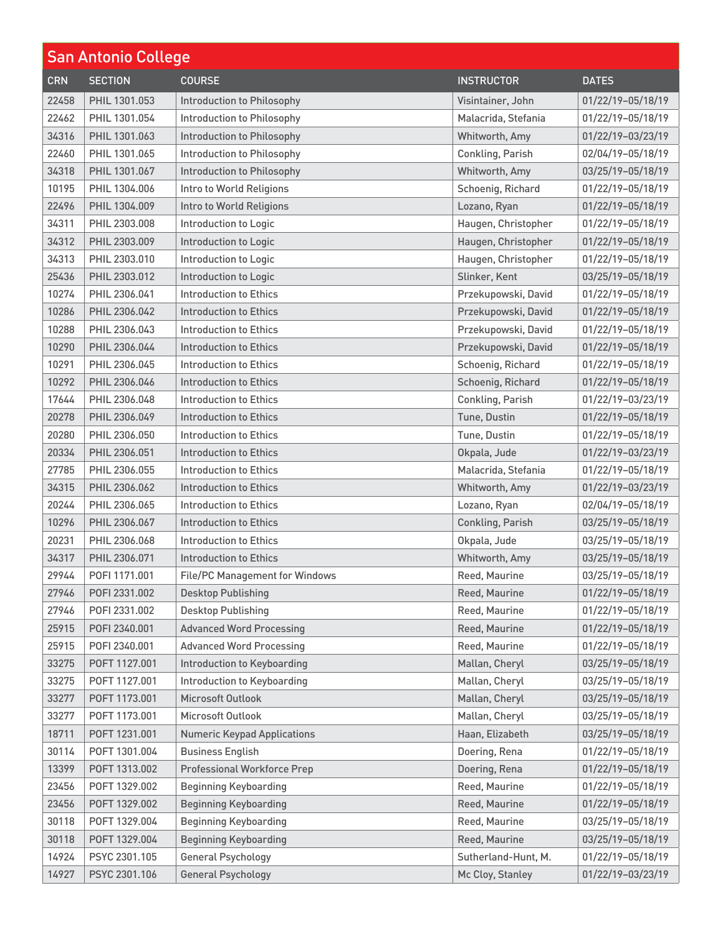| <b>San Antonio College</b> |                |                                       |                     |                   |
|----------------------------|----------------|---------------------------------------|---------------------|-------------------|
| <b>CRN</b>                 | <b>SECTION</b> | <b>COURSE</b>                         | <b>INSTRUCTOR</b>   | <b>DATES</b>      |
| 22458                      | PHIL 1301.053  | Introduction to Philosophy            | Visintainer, John   | 01/22/19-05/18/19 |
| 22462                      | PHIL 1301.054  | Introduction to Philosophy            | Malacrida, Stefania | 01/22/19-05/18/19 |
| 34316                      | PHIL 1301.063  | Introduction to Philosophy            | Whitworth, Amy      | 01/22/19-03/23/19 |
| 22460                      | PHIL 1301.065  | Introduction to Philosophy            | Conkling, Parish    | 02/04/19-05/18/19 |
| 34318                      | PHIL 1301.067  | Introduction to Philosophy            | Whitworth, Amy      | 03/25/19-05/18/19 |
| 10195                      | PHIL 1304.006  | Intro to World Religions              | Schoenig, Richard   | 01/22/19-05/18/19 |
| 22496                      | PHIL 1304.009  | Intro to World Religions              | Lozano, Ryan        | 01/22/19-05/18/19 |
| 34311                      | PHIL 2303,008  | <b>Introduction to Logic</b>          | Haugen, Christopher | 01/22/19-05/18/19 |
| 34312                      | PHIL 2303.009  | <b>Introduction to Logic</b>          | Haugen, Christopher | 01/22/19-05/18/19 |
| 34313                      | PHIL 2303.010  | <b>Introduction to Logic</b>          | Haugen, Christopher | 01/22/19-05/18/19 |
| 25436                      | PHIL 2303.012  | Introduction to Logic                 | Slinker, Kent       | 03/25/19-05/18/19 |
| 10274                      | PHIL 2306.041  | Introduction to Ethics                | Przekupowski, David | 01/22/19-05/18/19 |
| 10286                      | PHIL 2306.042  | <b>Introduction to Ethics</b>         | Przekupowski, David | 01/22/19-05/18/19 |
| 10288                      | PHIL 2306.043  | Introduction to Ethics                | Przekupowski, David | 01/22/19-05/18/19 |
| 10290                      | PHIL 2306.044  | <b>Introduction to Ethics</b>         | Przekupowski, David | 01/22/19-05/18/19 |
| 10291                      | PHIL 2306.045  | Introduction to Ethics                | Schoenig, Richard   | 01/22/19-05/18/19 |
| 10292                      | PHIL 2306.046  | <b>Introduction to Ethics</b>         | Schoenig, Richard   | 01/22/19-05/18/19 |
| 17644                      | PHIL 2306.048  | Introduction to Ethics                | Conkling, Parish    | 01/22/19-03/23/19 |
| 20278                      | PHIL 2306.049  | <b>Introduction to Ethics</b>         | Tune, Dustin        | 01/22/19-05/18/19 |
| 20280                      | PHIL 2306.050  | Introduction to Ethics                | Tune, Dustin        | 01/22/19-05/18/19 |
| 20334                      | PHIL 2306.051  | <b>Introduction to Ethics</b>         | Okpala, Jude        | 01/22/19-03/23/19 |
| 27785                      | PHIL 2306.055  | Introduction to Ethics                | Malacrida, Stefania | 01/22/19-05/18/19 |
| 34315                      | PHIL 2306.062  | <b>Introduction to Ethics</b>         | Whitworth, Amy      | 01/22/19-03/23/19 |
| 20244                      | PHIL 2306,065  | Introduction to Ethics                | Lozano, Ryan        | 02/04/19-05/18/19 |
| 10296                      | PHIL 2306.067  | <b>Introduction to Ethics</b>         | Conkling, Parish    | 03/25/19-05/18/19 |
| 20231                      | PHIL 2306.068  | <b>Introduction to Ethics</b>         | Okpala, Jude        | 03/25/19-05/18/19 |
| 34317                      | PHIL 2306.071  | <b>Introduction to Ethics</b>         | Whitworth, Amy      | 03/25/19-05/18/19 |
| 29944                      | POFI 1171.001  | <b>File/PC Management for Windows</b> | Reed, Maurine       | 03/25/19-05/18/19 |
| 27946                      | P0FI 2331.002  | <b>Desktop Publishing</b>             | Reed, Maurine       | 01/22/19-05/18/19 |
| 27946                      | P0FI 2331.002  | <b>Desktop Publishing</b>             | Reed, Maurine       | 01/22/19-05/18/19 |
| 25915                      | POFI 2340.001  | <b>Advanced Word Processing</b>       | Reed, Maurine       | 01/22/19-05/18/19 |
| 25915                      | P0FI 2340.001  | <b>Advanced Word Processing</b>       | Reed, Maurine       | 01/22/19-05/18/19 |
| 33275                      | POFT 1127.001  | Introduction to Keyboarding           | Mallan, Cheryl      | 03/25/19-05/18/19 |
| 33275                      | POFT 1127.001  | Introduction to Keyboarding           | Mallan, Cheryl      | 03/25/19-05/18/19 |
| 33277                      | POFT 1173,001  | Microsoft Outlook                     | Mallan, Cheryl      | 03/25/19-05/18/19 |
| 33277                      | POFT 1173.001  | Microsoft Outlook                     | Mallan, Cheryl      | 03/25/19-05/18/19 |
| 18711                      | POFT 1231.001  | <b>Numeric Keypad Applications</b>    | Haan, Elizabeth     | 03/25/19-05/18/19 |
| 30114                      | POFT 1301.004  | <b>Business English</b>               | Doering, Rena       | 01/22/19-05/18/19 |
| 13399                      | POFT 1313.002  | <b>Professional Workforce Prep</b>    | Doering, Rena       | 01/22/19-05/18/19 |
| 23456                      | POFT 1329.002  | <b>Beginning Keyboarding</b>          | Reed, Maurine       | 01/22/19-05/18/19 |
| 23456                      | POFT 1329.002  | <b>Beginning Keyboarding</b>          | Reed, Maurine       | 01/22/19-05/18/19 |
| 30118                      | POFT 1329.004  | <b>Beginning Keyboarding</b>          | Reed, Maurine       | 03/25/19-05/18/19 |
| 30118                      | POFT 1329.004  | <b>Beginning Keyboarding</b>          | Reed, Maurine       | 03/25/19-05/18/19 |
| 14924                      | PSYC 2301.105  | <b>General Psychology</b>             | Sutherland-Hunt, M. | 01/22/19-05/18/19 |
| 14927                      | PSYC 2301.106  | <b>General Psychology</b>             | Mc Cloy, Stanley    | 01/22/19-03/23/19 |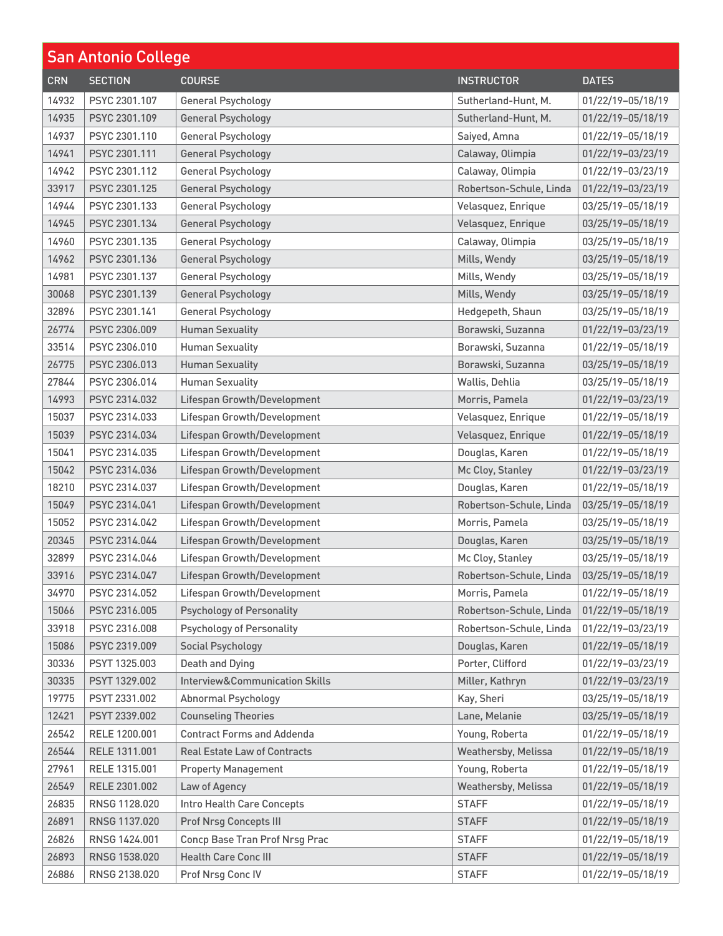| <b>San Antonio College</b> |                |                                     |                            |                       |
|----------------------------|----------------|-------------------------------------|----------------------------|-----------------------|
| <b>CRN</b>                 | <b>SECTION</b> | <b>COURSE</b>                       | <b>INSTRUCTOR</b>          | <b>DATES</b>          |
| 14932                      | PSYC 2301.107  | <b>General Psychology</b>           | Sutherland-Hunt, M.        | 01/22/19-05/18/19     |
| 14935                      | PSYC 2301.109  | <b>General Psychology</b>           | Sutherland-Hunt, M.        | 01/22/19-05/18/19     |
| 14937                      | PSYC 2301.110  | <b>General Psychology</b>           | Saiyed, Amna               | 01/22/19-05/18/19     |
| 14941                      | PSYC 2301.111  | <b>General Psychology</b>           | Calaway, Olimpia           | 01/22/19-03/23/19     |
| 14942                      | PSYC 2301.112  | <b>General Psychology</b>           | Calaway, Olimpia           | 01/22/19-03/23/19     |
| 33917                      | PSYC 2301.125  | <b>General Psychology</b>           | Robertson-Schule, Linda    | 01/22/19-03/23/19     |
| 14944                      | PSYC 2301.133  | <b>General Psychology</b>           | Velasquez, Enrique         | 03/25/19-05/18/19     |
| 14945                      | PSYC 2301.134  | <b>General Psychology</b>           | Velasquez, Enrique         | 03/25/19-05/18/19     |
| 14960                      | PSYC 2301.135  | <b>General Psychology</b>           | Calaway, Olimpia           | 03/25/19-05/18/19     |
| 14962                      | PSYC 2301.136  | <b>General Psychology</b>           | Mills, Wendy               | 03/25/19-05/18/19     |
| 14981                      | PSYC 2301.137  | <b>General Psychology</b>           | Mills, Wendy               | 03/25/19-05/18/19     |
| 30068                      | PSYC 2301.139  | <b>General Psychology</b>           | Mills, Wendy               | 03/25/19-05/18/19     |
| 32896                      | PSYC 2301.141  | <b>General Psychology</b>           | Hedgepeth, Shaun           | 03/25/19-05/18/19     |
| 26774                      | PSYC 2306.009  | <b>Human Sexuality</b>              | Borawski, Suzanna          | 01/22/19-03/23/19     |
| 33514                      | PSYC 2306.010  | <b>Human Sexuality</b>              | Borawski, Suzanna          | 01/22/19-05/18/19     |
| 26775                      | PSYC 2306.013  | <b>Human Sexuality</b>              | Borawski, Suzanna          | 03/25/19-05/18/19     |
| 27844                      | PSYC 2306.014  | <b>Human Sexuality</b>              | Wallis, Dehlia             | 03/25/19-05/18/19     |
| 14993                      | PSYC 2314.032  | Lifespan Growth/Development         | Morris, Pamela             | 01/22/19-03/23/19     |
| 15037                      | PSYC 2314.033  | Lifespan Growth/Development         | Velasquez, Enrique         | 01/22/19-05/18/19     |
| 15039                      | PSYC 2314.034  | Lifespan Growth/Development         | Velasquez, Enrique         | 01/22/19-05/18/19     |
| 15041                      | PSYC 2314.035  | Lifespan Growth/Development         | Douglas, Karen             | 01/22/19-05/18/19     |
| 15042                      | PSYC 2314.036  | Lifespan Growth/Development         | Mc Cloy, Stanley           | 01/22/19-03/23/19     |
| 18210                      | PSYC 2314.037  | Lifespan Growth/Development         | Douglas, Karen             | 01/22/19-05/18/19     |
| 15049                      | PSYC 2314.041  | Lifespan Growth/Development         | Robertson-Schule, Linda    | 03/25/19-05/18/19     |
| 15052                      | PSYC 2314.042  | Lifespan Growth/Development         | Morris, Pamela             | 03/25/19-05/18/19     |
| 20345                      | PSYC 2314.044  | Lifespan Growth/Development         | Douglas, Karen             | 03/25/19-05/18/19     |
| 32899                      | PSYC 2314.046  | Lifespan Growth/Development         | Mc Cloy, Stanley           | 03/25/19-05/18/19     |
| 33916                      | PSYC 2314.047  | Lifespan Growth/Development         | Robertson-Schule, Linda    | $ 03/25/19-05/18/19 $ |
| 34970                      | PSYC 2314.052  | Lifespan Growth/Development         | Morris, Pamela             | 01/22/19-05/18/19     |
| 15066                      | PSYC 2316.005  | <b>Psychology of Personality</b>    | Robertson-Schule, Linda    | 01/22/19-05/18/19     |
| 33918                      | PSYC 2316.008  | <b>Psychology of Personality</b>    | Robertson-Schule, Linda    | 01/22/19-03/23/19     |
| 15086                      | PSYC 2319.009  | <b>Social Psychology</b>            | Douglas, Karen             | 01/22/19-05/18/19     |
| 30336                      | PSYT 1325,003  | <b>Death and Dying</b>              | Porter, Clifford           | 01/22/19-03/23/19     |
| 30335                      | PSYT 1329.002  | Interview&Communication Skills      | Miller, Kathryn            | 01/22/19-03/23/19     |
| 19775                      | PSYT 2331.002  | <b>Abnormal Psychology</b>          | Kay, Sheri                 | 03/25/19-05/18/19     |
| 12421                      | PSYT 2339.002  | <b>Counseling Theories</b>          | Lane, Melanie              | 03/25/19-05/18/19     |
| 26542                      | RELE 1200.001  | <b>Contract Forms and Addenda</b>   | Young, Roberta             | 01/22/19-05/18/19     |
| 26544                      | RELE 1311.001  | <b>Real Estate Law of Contracts</b> | <b>Weathersby, Melissa</b> | 01/22/19-05/18/19     |
| 27961                      | RELE 1315.001  | <b>Property Management</b>          | Young, Roberta             | 01/22/19-05/18/19     |
| 26549                      | RELE 2301.002  | Law of Agency                       | Weathersby, Melissa        | 01/22/19-05/18/19     |
| 26835                      | RNSG 1128.020  | Intro Health Care Concepts          | <b>STAFF</b>               | 01/22/19-05/18/19     |
| 26891                      | RNSG 1137.020  | Prof Nrsg Concepts III              | <b>STAFF</b>               | 01/22/19-05/18/19     |
| 26826                      | RNSG 1424.001  | Concp Base Tran Prof Nrsg Prac      | <b>STAFF</b>               | 01/22/19-05/18/19     |
| 26893                      | RNSG 1538.020  | <b>Health Care Conc III</b>         | <b>STAFF</b>               | 01/22/19-05/18/19     |
| 26886                      | RNSG 2138.020  | Prof Nrsg Conc IV                   | <b>STAFF</b>               | 01/22/19-05/18/19     |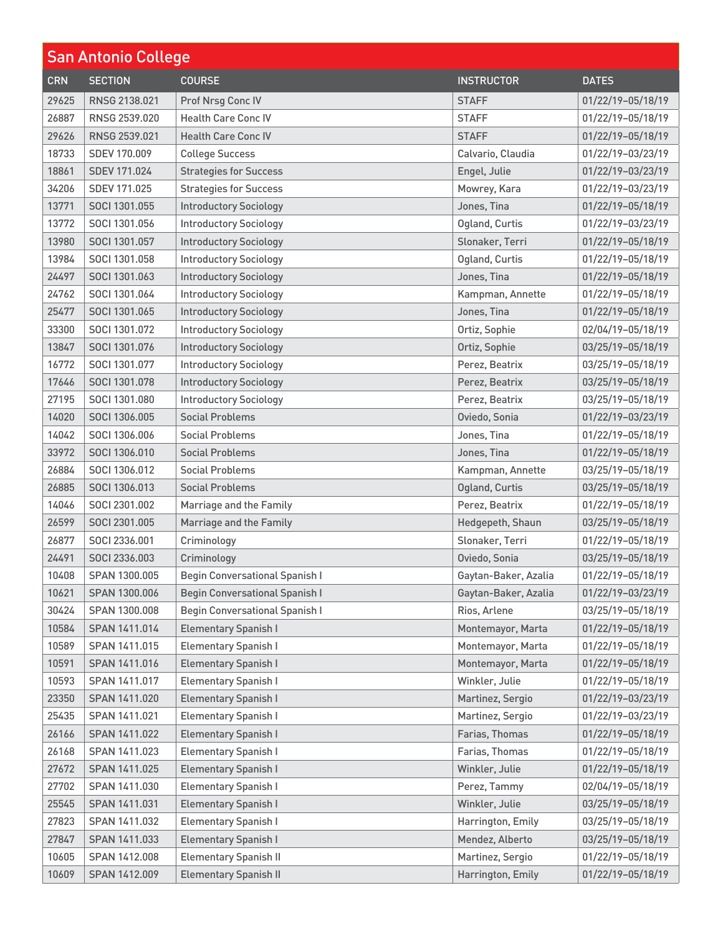| <b>San Antonio College</b> |                |                                       |                      |                   |
|----------------------------|----------------|---------------------------------------|----------------------|-------------------|
| <b>CRN</b>                 | <b>SECTION</b> | <b>COURSE</b>                         | <b>INSTRUCTOR</b>    | <b>DATES</b>      |
| 29625                      | RNSG 2138.021  | Prof Nrsg Conc IV                     | <b>STAFF</b>         | 01/22/19-05/18/19 |
| 26887                      | RNSG 2539.020  | <b>Health Care Conc IV</b>            | <b>STAFF</b>         | 01/22/19-05/18/19 |
| 29626                      | RNSG 2539.021  | <b>Health Care Conc IV</b>            | <b>STAFF</b>         | 01/22/19-05/18/19 |
| 18733                      | SDEV 170.009   | <b>College Success</b>                | Calvario, Claudia    | 01/22/19-03/23/19 |
| 18861                      | SDEV 171.024   | <b>Strategies for Success</b>         | Engel, Julie         | 01/22/19-03/23/19 |
| 34206                      | SDEV 171.025   | <b>Strategies for Success</b>         | Mowrey, Kara         | 01/22/19-03/23/19 |
| 13771                      | SOCI 1301.055  | <b>Introductory Sociology</b>         | Jones, Tina          | 01/22/19-05/18/19 |
| 13772                      | SOCI 1301.056  | <b>Introductory Sociology</b>         | Ogland, Curtis       | 01/22/19-03/23/19 |
| 13980                      | SOCI 1301.057  | <b>Introductory Sociology</b>         | Slonaker, Terri      | 01/22/19-05/18/19 |
| 13984                      | SOCI 1301.058  | <b>Introductory Sociology</b>         | Ogland, Curtis       | 01/22/19-05/18/19 |
| 24497                      | SOCI 1301.063  | <b>Introductory Sociology</b>         | Jones, Tina          | 01/22/19-05/18/19 |
| 24762                      | SOCI 1301.064  | <b>Introductory Sociology</b>         | Kampman, Annette     | 01/22/19-05/18/19 |
| 25477                      | SOCI 1301.065  | <b>Introductory Sociology</b>         | Jones, Tina          | 01/22/19-05/18/19 |
| 33300                      | SOCI 1301.072  | <b>Introductory Sociology</b>         | Ortiz, Sophie        | 02/04/19-05/18/19 |
| 13847                      | SOCI 1301.076  | <b>Introductory Sociology</b>         | Ortiz, Sophie        | 03/25/19-05/18/19 |
| 16772                      | SOCI 1301.077  | <b>Introductory Sociology</b>         | Perez, Beatrix       | 03/25/19-05/18/19 |
| 17646                      | SOCI 1301.078  | <b>Introductory Sociology</b>         | Perez, Beatrix       | 03/25/19-05/18/19 |
| 27195                      | SOCI 1301.080  | <b>Introductory Sociology</b>         | Perez, Beatrix       | 03/25/19-05/18/19 |
| 14020                      | SOCI 1306.005  | <b>Social Problems</b>                | Oviedo, Sonia        | 01/22/19-03/23/19 |
| 14042                      | SOCI 1306.006  | <b>Social Problems</b>                | Jones, Tina          | 01/22/19-05/18/19 |
| 33972                      | SOCI 1306.010  | <b>Social Problems</b>                | Jones, Tina          | 01/22/19-05/18/19 |
| 26884                      | SOCI 1306.012  | <b>Social Problems</b>                | Kampman, Annette     | 03/25/19-05/18/19 |
| 26885                      | SOCI 1306.013  | <b>Social Problems</b>                | Ogland, Curtis       | 03/25/19-05/18/19 |
| 14046                      | SOCI 2301,002  | Marriage and the Family               | Perez, Beatrix       | 01/22/19-05/18/19 |
| 26599                      | SOCI 2301.005  | Marriage and the Family               | Hedgepeth, Shaun     | 03/25/19-05/18/19 |
| 26877                      | SOCI 2336.001  | Criminology                           | Slonaker, Terri      | 01/22/19-05/18/19 |
| 24491                      | SOCI 2336.003  | Criminology                           | Oviedo, Sonia        | 03/25/19-05/18/19 |
| 10408                      | SPAN 1300.005  | <b>Begin Conversational Spanish I</b> | Gaytan-Baker, Azalia | 01/22/19-05/18/19 |
| 10621                      | SPAN 1300.006  | <b>Begin Conversational Spanish I</b> | Gaytan-Baker, Azalia | 01/22/19-03/23/19 |
| 30424                      | SPAN 1300.008  | <b>Begin Conversational Spanish I</b> | Rios, Arlene         | 03/25/19-05/18/19 |
| 10584                      | SPAN 1411.014  | <b>Elementary Spanish I</b>           | Montemayor, Marta    | 01/22/19-05/18/19 |
| 10589                      | SPAN 1411.015  | <b>Elementary Spanish I</b>           | Montemayor, Marta    | 01/22/19-05/18/19 |
| 10591                      | SPAN 1411.016  | <b>Elementary Spanish I</b>           | Montemayor, Marta    | 01/22/19-05/18/19 |
| 10593                      | SPAN 1411.017  | <b>Elementary Spanish I</b>           | Winkler, Julie       | 01/22/19-05/18/19 |
| 23350                      | SPAN 1411.020  | <b>Elementary Spanish I</b>           | Martinez, Sergio     | 01/22/19-03/23/19 |
| 25435                      | SPAN 1411.021  | <b>Elementary Spanish I</b>           | Martinez, Sergio     | 01/22/19-03/23/19 |
| 26166                      | SPAN 1411.022  | <b>Elementary Spanish I</b>           | Farias, Thomas       | 01/22/19-05/18/19 |
| 26168                      | SPAN 1411.023  | <b>Elementary Spanish I</b>           | Farias, Thomas       | 01/22/19-05/18/19 |
| 27672                      | SPAN 1411.025  | <b>Elementary Spanish I</b>           | Winkler, Julie       | 01/22/19-05/18/19 |
| 27702                      | SPAN 1411.030  | <b>Elementary Spanish I</b>           | Perez, Tammy         | 02/04/19-05/18/19 |
| 25545                      | SPAN 1411.031  | <b>Elementary Spanish I</b>           | Winkler, Julie       | 03/25/19-05/18/19 |
| 27823                      | SPAN 1411.032  | <b>Elementary Spanish I</b>           | Harrington, Emily    | 03/25/19-05/18/19 |
| 27847                      | SPAN 1411.033  | <b>Elementary Spanish I</b>           | Mendez, Alberto      | 03/25/19-05/18/19 |
| 10605                      | SPAN 1412.008  | <b>Elementary Spanish II</b>          | Martinez, Sergio     | 01/22/19-05/18/19 |
| 10609                      | SPAN 1412.009  | <b>Elementary Spanish II</b>          | Harrington, Emily    | 01/22/19-05/18/19 |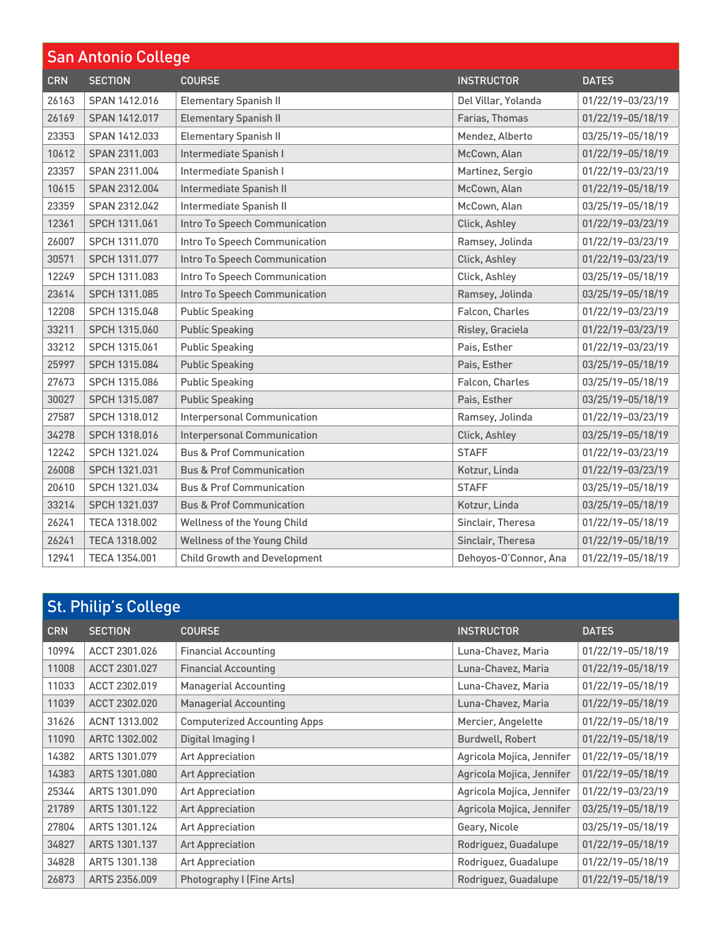| <b>San Antonio College</b> |                |                                     |                       |                   |
|----------------------------|----------------|-------------------------------------|-----------------------|-------------------|
| <b>CRN</b>                 | <b>SECTION</b> | <b>COURSE</b>                       | <b>INSTRUCTOR</b>     | <b>DATES</b>      |
| 26163                      | SPAN 1412.016  | <b>Elementary Spanish II</b>        | Del Villar, Yolanda   | 01/22/19-03/23/19 |
| 26169                      | SPAN 1412.017  | <b>Elementary Spanish II</b>        | Farias, Thomas        | 01/22/19-05/18/19 |
| 23353                      | SPAN 1412.033  | <b>Elementary Spanish II</b>        | Mendez, Alberto       | 03/25/19-05/18/19 |
| 10612                      | SPAN 2311.003  | Intermediate Spanish I              | McCown, Alan          | 01/22/19-05/18/19 |
| 23357                      | SPAN 2311.004  | Intermediate Spanish I              | Martinez, Sergio      | 01/22/19-03/23/19 |
| 10615                      | SPAN 2312.004  | Intermediate Spanish II             | McCown, Alan          | 01/22/19-05/18/19 |
| 23359                      | SPAN 2312.042  | Intermediate Spanish II             | McCown, Alan          | 03/25/19-05/18/19 |
| 12361                      | SPCH 1311.061  | Intro To Speech Communication       | Click, Ashley         | 01/22/19-03/23/19 |
| 26007                      | SPCH 1311.070  | Intro To Speech Communication       | Ramsey, Jolinda       | 01/22/19-03/23/19 |
| 30571                      | SPCH 1311.077  | Intro To Speech Communication       | Click, Ashley         | 01/22/19-03/23/19 |
| 12249                      | SPCH 1311.083  | Intro To Speech Communication       | Click, Ashley         | 03/25/19-05/18/19 |
| 23614                      | SPCH 1311.085  | Intro To Speech Communication       | Ramsey, Jolinda       | 03/25/19-05/18/19 |
| 12208                      | SPCH 1315.048  | <b>Public Speaking</b>              | Falcon, Charles       | 01/22/19-03/23/19 |
| 33211                      | SPCH 1315.060  | <b>Public Speaking</b>              | Risley, Graciela      | 01/22/19-03/23/19 |
| 33212                      | SPCH 1315,061  | <b>Public Speaking</b>              | Pais, Esther          | 01/22/19-03/23/19 |
| 25997                      | SPCH 1315.084  | <b>Public Speaking</b>              | Pais, Esther          | 03/25/19-05/18/19 |
| 27673                      | SPCH 1315,086  | <b>Public Speaking</b>              | Falcon, Charles       | 03/25/19-05/18/19 |
| 30027                      | SPCH 1315.087  | <b>Public Speaking</b>              | Pais, Esther          | 03/25/19-05/18/19 |
| 27587                      | SPCH 1318.012  | <b>Interpersonal Communication</b>  | Ramsey, Jolinda       | 01/22/19-03/23/19 |
| 34278                      | SPCH 1318.016  | <b>Interpersonal Communication</b>  | Click, Ashley         | 03/25/19-05/18/19 |
| 12242                      | SPCH 1321.024  | <b>Bus &amp; Prof Communication</b> | <b>STAFF</b>          | 01/22/19-03/23/19 |
| 26008                      | SPCH 1321.031  | <b>Bus &amp; Prof Communication</b> | Kotzur, Linda         | 01/22/19-03/23/19 |
| 20610                      | SPCH 1321.034  | <b>Bus &amp; Prof Communication</b> | <b>STAFF</b>          | 03/25/19-05/18/19 |
| 33214                      | SPCH 1321.037  | <b>Bus &amp; Prof Communication</b> | Kotzur, Linda         | 03/25/19-05/18/19 |
| 26241                      | TECA 1318,002  | Wellness of the Young Child         | Sinclair, Theresa     | 01/22/19-05/18/19 |
| 26241                      | TECA 1318.002  | Wellness of the Young Child         | Sinclair, Theresa     | 01/22/19-05/18/19 |
| 12941                      | TECA 1354.001  | <b>Child Growth and Development</b> | Dehoyos-O'Connor, Ana | 01/22/19-05/18/19 |

| <b>St. Philip's College</b> |                |                                     |                           |                   |
|-----------------------------|----------------|-------------------------------------|---------------------------|-------------------|
| <b>CRN</b>                  | <b>SECTION</b> | <b>COURSE</b>                       | <b>INSTRUCTOR</b>         | <b>DATES</b>      |
| 10994                       | ACCT 2301.026  | <b>Financial Accounting</b>         | Luna-Chavez, Maria        | 01/22/19-05/18/19 |
| 11008                       | ACCT 2301.027  | <b>Financial Accounting</b>         | Luna-Chavez, Maria        | 01/22/19-05/18/19 |
| 11033                       | ACCT 2302.019  | <b>Managerial Accounting</b>        | Luna-Chavez, Maria        | 01/22/19-05/18/19 |
| 11039                       | ACCT 2302.020  | <b>Managerial Accounting</b>        | Luna-Chavez, Maria        | 01/22/19-05/18/19 |
| 31626                       | ACNT 1313,002  | <b>Computerized Accounting Apps</b> | Mercier, Angelette        | 01/22/19-05/18/19 |
| 11090                       | ARTC 1302.002  | Digital Imaging I                   | <b>Burdwell, Robert</b>   | 01/22/19-05/18/19 |
| 14382                       | ARTS 1301.079  | <b>Art Appreciation</b>             | Agricola Mojica, Jennifer | 01/22/19-05/18/19 |
| 14383                       | ARTS 1301.080  | <b>Art Appreciation</b>             | Agricola Mojica, Jennifer | 01/22/19-05/18/19 |
| 25344                       | ARTS 1301.090  | <b>Art Appreciation</b>             | Agricola Mojica, Jennifer | 01/22/19-03/23/19 |
| 21789                       | ARTS 1301.122  | <b>Art Appreciation</b>             | Agricola Mojica, Jennifer | 03/25/19-05/18/19 |
| 27804                       | ARTS 1301.124  | <b>Art Appreciation</b>             | Geary, Nicole             | 03/25/19-05/18/19 |
| 34827                       | ARTS 1301.137  | <b>Art Appreciation</b>             | Rodriguez, Guadalupe      | 01/22/19-05/18/19 |
| 34828                       | ARTS 1301.138  | <b>Art Appreciation</b>             | Rodriguez, Guadalupe      | 01/22/19-05/18/19 |
| 26873                       | ARTS 2356,009  | Photography I (Fine Arts)           | Rodriguez, Guadalupe      | 01/22/19-05/18/19 |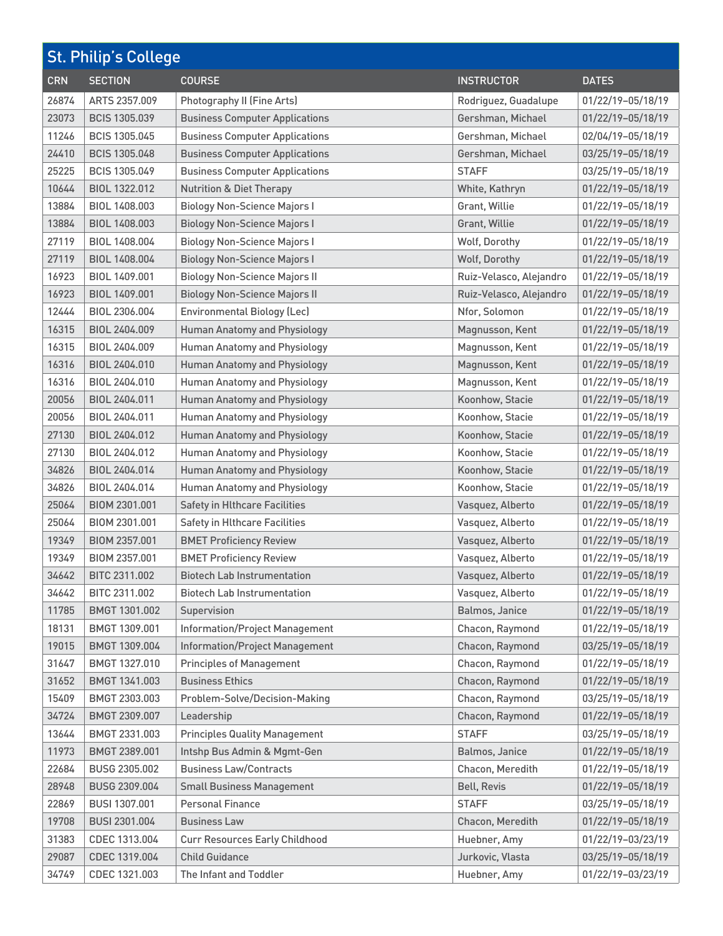| <b>St. Philip's College</b> |                      |                                       |                         |                   |
|-----------------------------|----------------------|---------------------------------------|-------------------------|-------------------|
| <b>CRN</b>                  | <b>SECTION</b>       | <b>COURSE</b>                         | <b>INSTRUCTOR</b>       | <b>DATES</b>      |
| 26874                       | ARTS 2357.009        | <b>Photography II (Fine Arts)</b>     | Rodriguez, Guadalupe    | 01/22/19-05/18/19 |
| 23073                       | <b>BCIS 1305.039</b> | <b>Business Computer Applications</b> | Gershman, Michael       | 01/22/19-05/18/19 |
| 11246                       | <b>BCIS 1305.045</b> | <b>Business Computer Applications</b> | Gershman, Michael       | 02/04/19-05/18/19 |
| 24410                       | <b>BCIS 1305.048</b> | <b>Business Computer Applications</b> | Gershman, Michael       | 03/25/19-05/18/19 |
| 25225                       | BCIS 1305.049        | <b>Business Computer Applications</b> | <b>STAFF</b>            | 03/25/19-05/18/19 |
| 10644                       | BIOL 1322.012        | <b>Nutrition &amp; Diet Therapy</b>   | White, Kathryn          | 01/22/19-05/18/19 |
| 13884                       | BIOL 1408.003        | <b>Biology Non-Science Majors I</b>   | Grant, Willie           | 01/22/19-05/18/19 |
| 13884                       | BIOL 1408.003        | <b>Biology Non-Science Majors I</b>   | Grant, Willie           | 01/22/19-05/18/19 |
| 27119                       | BIOL 1408.004        | <b>Biology Non-Science Majors I</b>   | Wolf, Dorothy           | 01/22/19-05/18/19 |
| 27119                       | BIOL 1408.004        | <b>Biology Non-Science Majors I</b>   | Wolf, Dorothy           | 01/22/19-05/18/19 |
| 16923                       | BIOL 1409.001        | <b>Biology Non-Science Majors II</b>  | Ruiz-Velasco, Alejandro | 01/22/19-05/18/19 |
| 16923                       | BIOL 1409.001        | <b>Biology Non-Science Majors II</b>  | Ruiz-Velasco, Alejandro | 01/22/19-05/18/19 |
| 12444                       | BIOL 2306.004        | <b>Environmental Biology (Lec)</b>    | Nfor, Solomon           | 01/22/19-05/18/19 |
| 16315                       | BIOL 2404.009        | <b>Human Anatomy and Physiology</b>   | Magnusson, Kent         | 01/22/19-05/18/19 |
| 16315                       | BIOL 2404.009        | <b>Human Anatomy and Physiology</b>   | Magnusson, Kent         | 01/22/19-05/18/19 |
| 16316                       | BIOL 2404.010        | <b>Human Anatomy and Physiology</b>   | Magnusson, Kent         | 01/22/19-05/18/19 |
| 16316                       | BIOL 2404.010        | <b>Human Anatomy and Physiology</b>   | Magnusson, Kent         | 01/22/19-05/18/19 |
| 20056                       | BIOL 2404.011        | <b>Human Anatomy and Physiology</b>   | Koonhow, Stacie         | 01/22/19-05/18/19 |
| 20056                       | BIOL 2404.011        | <b>Human Anatomy and Physiology</b>   | Koonhow, Stacie         | 01/22/19-05/18/19 |
| 27130                       | BIOL 2404.012        | <b>Human Anatomy and Physiology</b>   | Koonhow, Stacie         | 01/22/19-05/18/19 |
| 27130                       | BIOL 2404.012        | <b>Human Anatomy and Physiology</b>   | Koonhow, Stacie         | 01/22/19-05/18/19 |
| 34826                       | BIOL 2404.014        | <b>Human Anatomy and Physiology</b>   | Koonhow, Stacie         | 01/22/19-05/18/19 |
| 34826                       | BIOL 2404.014        | <b>Human Anatomy and Physiology</b>   | Koonhow, Stacie         | 01/22/19-05/18/19 |
| 25064                       | BIOM 2301.001        | <b>Safety in Hlthcare Facilities</b>  | Vasquez, Alberto        | 01/22/19-05/18/19 |
| 25064                       | BIOM 2301.001        | <b>Safety in Hlthcare Facilities</b>  | Vasquez, Alberto        | 01/22/19-05/18/19 |
| 19349                       | BIOM 2357.001        | <b>BMET Proficiency Review</b>        | Vasquez, Alberto        | 01/22/19-05/18/19 |
| 19349                       | BIOM 2357.001        | <b>BMET Proficiency Review</b>        | Vasquez, Alberto        | 01/22/19-05/18/19 |
| 34642                       | BITC 2311.002        | <b>Biotech Lab Instrumentation</b>    | Vasquez, Alberto        | 01/22/19-05/18/19 |
| 34642                       | BITC 2311.002        | <b>Biotech Lab Instrumentation</b>    | Vasquez, Alberto        | 01/22/19-05/18/19 |
| 11785                       | BMGT 1301.002        | Supervision                           | Balmos, Janice          | 01/22/19-05/18/19 |
| 18131                       | BMGT 1309.001        | <b>Information/Project Management</b> | Chacon, Raymond         | 01/22/19-05/18/19 |
| 19015                       | BMGT 1309.004        | <b>Information/Project Management</b> | Chacon, Raymond         | 03/25/19-05/18/19 |
| 31647                       | BMGT 1327.010        | <b>Principles of Management</b>       | Chacon, Raymond         | 01/22/19-05/18/19 |
| 31652                       | BMGT 1341.003        | <b>Business Ethics</b>                | Chacon, Raymond         | 01/22/19-05/18/19 |
| 15409                       | BMGT 2303.003        | Problem-Solve/Decision-Making         | Chacon, Raymond         | 03/25/19-05/18/19 |
| 34724                       | BMGT 2309.007        | Leadership                            | Chacon, Raymond         | 01/22/19-05/18/19 |
| 13644                       | BMGT 2331.003        | <b>Principles Quality Management</b>  | <b>STAFF</b>            | 03/25/19-05/18/19 |
| 11973                       | BMGT 2389.001        | Intshp Bus Admin & Mgmt-Gen           | Balmos, Janice          | 01/22/19-05/18/19 |
| 22684                       | BUSG 2305.002        | <b>Business Law/Contracts</b>         | Chacon, Meredith        | 01/22/19-05/18/19 |
| 28948                       | BUSG 2309.004        | <b>Small Business Management</b>      | <b>Bell, Revis</b>      | 01/22/19-05/18/19 |
| 22869                       | BUSI 1307.001        | <b>Personal Finance</b>               | <b>STAFF</b>            | 03/25/19-05/18/19 |
| 19708                       | BUSI 2301.004        | <b>Business Law</b>                   | Chacon, Meredith        | 01/22/19-05/18/19 |
| 31383                       | CDEC 1313.004        | <b>Curr Resources Early Childhood</b> | Huebner, Amy            | 01/22/19-03/23/19 |
| 29087                       | CDEC 1319.004        | <b>Child Guidance</b>                 | Jurkovic, Vlasta        | 03/25/19-05/18/19 |
| 34749                       | CDEC 1321.003        | The Infant and Toddler                | Huebner, Amy            | 01/22/19-03/23/19 |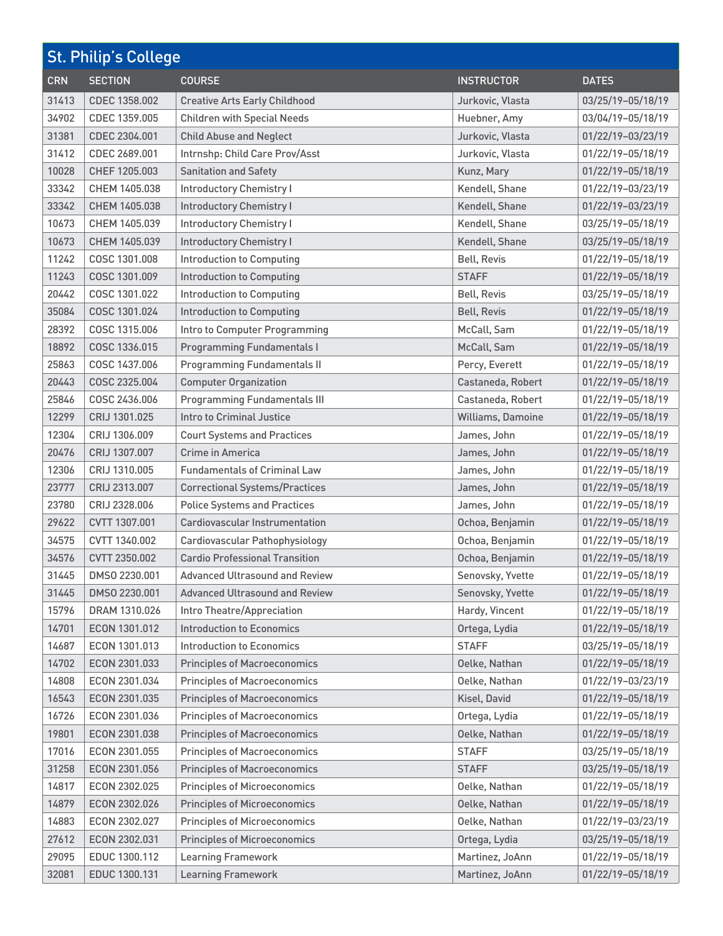| <b>St. Philip's College</b> |                |                                       |                    |                   |
|-----------------------------|----------------|---------------------------------------|--------------------|-------------------|
| <b>CRN</b>                  | <b>SECTION</b> | <b>COURSE</b>                         | <b>INSTRUCTOR</b>  | <b>DATES</b>      |
| 31413                       | CDEC 1358.002  | <b>Creative Arts Early Childhood</b>  | Jurkovic, Vlasta   | 03/25/19-05/18/19 |
| 34902                       | CDEC 1359.005  | <b>Children with Special Needs</b>    | Huebner, Amy       | 03/04/19-05/18/19 |
| 31381                       | CDEC 2304.001  | <b>Child Abuse and Neglect</b>        | Jurkovic, Vlasta   | 01/22/19-03/23/19 |
| 31412                       | CDEC 2689.001  | Intrnshp: Child Care Prov/Asst        | Jurkovic, Vlasta   | 01/22/19-05/18/19 |
| 10028                       | CHEF 1205.003  | <b>Sanitation and Safety</b>          | Kunz, Mary         | 01/22/19-05/18/19 |
| 33342                       | CHEM 1405.038  | <b>Introductory Chemistry I</b>       | Kendell, Shane     | 01/22/19-03/23/19 |
| 33342                       | CHEM 1405.038  | <b>Introductory Chemistry I</b>       | Kendell, Shane     | 01/22/19-03/23/19 |
| 10673                       | CHEM 1405.039  | <b>Introductory Chemistry I</b>       | Kendell, Shane     | 03/25/19-05/18/19 |
| 10673                       | CHEM 1405.039  | <b>Introductory Chemistry I</b>       | Kendell, Shane     | 03/25/19-05/18/19 |
| 11242                       | COSC 1301.008  | <b>Introduction to Computing</b>      | <b>Bell, Revis</b> | 01/22/19-05/18/19 |
| 11243                       | COSC 1301.009  | <b>Introduction to Computing</b>      | <b>STAFF</b>       | 01/22/19-05/18/19 |
| 20442                       | COSC 1301.022  | <b>Introduction to Computing</b>      | <b>Bell, Revis</b> | 03/25/19-05/18/19 |
| 35084                       | COSC 1301.024  | <b>Introduction to Computing</b>      | <b>Bell, Revis</b> | 01/22/19-05/18/19 |
| 28392                       | COSC 1315.006  | Intro to Computer Programming         | McCall, Sam        | 01/22/19-05/18/19 |
| 18892                       | COSC 1336.015  | <b>Programming Fundamentals I</b>     | McCall, Sam        | 01/22/19-05/18/19 |
| 25863                       | COSC 1437.006  | <b>Programming Fundamentals II</b>    | Percy, Everett     | 01/22/19-05/18/19 |
| 20443                       | COSC 2325.004  | <b>Computer Organization</b>          | Castaneda, Robert  | 01/22/19-05/18/19 |
| 25846                       | COSC 2436,006  | <b>Programming Fundamentals III</b>   | Castaneda, Robert  | 01/22/19-05/18/19 |
| 12299                       | CRIJ 1301.025  | <b>Intro to Criminal Justice</b>      | Williams, Damoine  | 01/22/19-05/18/19 |
| 12304                       | CRIJ 1306.009  | <b>Court Systems and Practices</b>    | James, John        | 01/22/19-05/18/19 |
| 20476                       | CRIJ 1307.007  | Crime in America                      | James, John        | 01/22/19-05/18/19 |
| 12306                       | CRIJ 1310.005  | <b>Fundamentals of Criminal Law</b>   | James, John        | 01/22/19-05/18/19 |
| 23777                       | CRIJ 2313.007  | <b>Correctional Systems/Practices</b> | James, John        | 01/22/19-05/18/19 |
| 23780                       | CRIJ 2328.006  | <b>Police Systems and Practices</b>   | James, John        | 01/22/19-05/18/19 |
| 29622                       | CVTT 1307.001  | <b>Cardiovascular Instrumentation</b> | Ochoa, Benjamin    | 01/22/19-05/18/19 |
| 34575                       | CVTT 1340,002  | Cardiovascular Pathophysiology        | Ochoa, Benjamin    | 01/22/19-05/18/19 |
| 34576                       | CVTT 2350.002  | <b>Cardio Professional Transition</b> | Ochoa, Benjamin    | 01/22/19-05/18/19 |
| 31445                       | DMS0 2230.001  | <b>Advanced Ultrasound and Review</b> | Senovsky, Yvette   | 01/22/19-05/18/19 |
| 31445                       | DMSO 2230.001  | <b>Advanced Ultrasound and Review</b> | Senovsky, Yvette   | 01/22/19-05/18/19 |
| 15796                       | DRAM 1310.026  | Intro Theatre/Appreciation            | Hardy, Vincent     | 01/22/19-05/18/19 |
| 14701                       | ECON 1301.012  | <b>Introduction to Economics</b>      | Ortega, Lydia      | 01/22/19-05/18/19 |
| 14687                       | ECON 1301.013  | <b>Introduction to Economics</b>      | <b>STAFF</b>       | 03/25/19-05/18/19 |
| 14702                       | ECON 2301.033  | <b>Principles of Macroeconomics</b>   | Oelke, Nathan      | 01/22/19-05/18/19 |
| 14808                       | ECON 2301.034  | <b>Principles of Macroeconomics</b>   | Oelke, Nathan      | 01/22/19-03/23/19 |
| 16543                       | ECON 2301.035  | <b>Principles of Macroeconomics</b>   | Kisel, David       | 01/22/19-05/18/19 |
| 16726                       | ECON 2301.036  | <b>Principles of Macroeconomics</b>   | Ortega, Lydia      | 01/22/19-05/18/19 |
| 19801                       | ECON 2301.038  | <b>Principles of Macroeconomics</b>   | Oelke, Nathan      | 01/22/19-05/18/19 |
| 17016                       | ECON 2301.055  | <b>Principles of Macroeconomics</b>   | <b>STAFF</b>       | 03/25/19-05/18/19 |
| 31258                       | ECON 2301.056  | <b>Principles of Macroeconomics</b>   | <b>STAFF</b>       | 03/25/19-05/18/19 |
| 14817                       | ECON 2302.025  | <b>Principles of Microeconomics</b>   | Oelke, Nathan      | 01/22/19-05/18/19 |
| 14879                       | ECON 2302.026  | <b>Principles of Microeconomics</b>   | Oelke, Nathan      | 01/22/19-05/18/19 |
| 14883                       | ECON 2302.027  | <b>Principles of Microeconomics</b>   | Oelke, Nathan      | 01/22/19-03/23/19 |
| 27612                       | ECON 2302.031  | <b>Principles of Microeconomics</b>   | Ortega, Lydia      | 03/25/19-05/18/19 |
| 29095                       | EDUC 1300.112  | <b>Learning Framework</b>             | Martinez, JoAnn    | 01/22/19-05/18/19 |
| 32081                       | EDUC 1300.131  | <b>Learning Framework</b>             | Martinez, JoAnn    | 01/22/19-05/18/19 |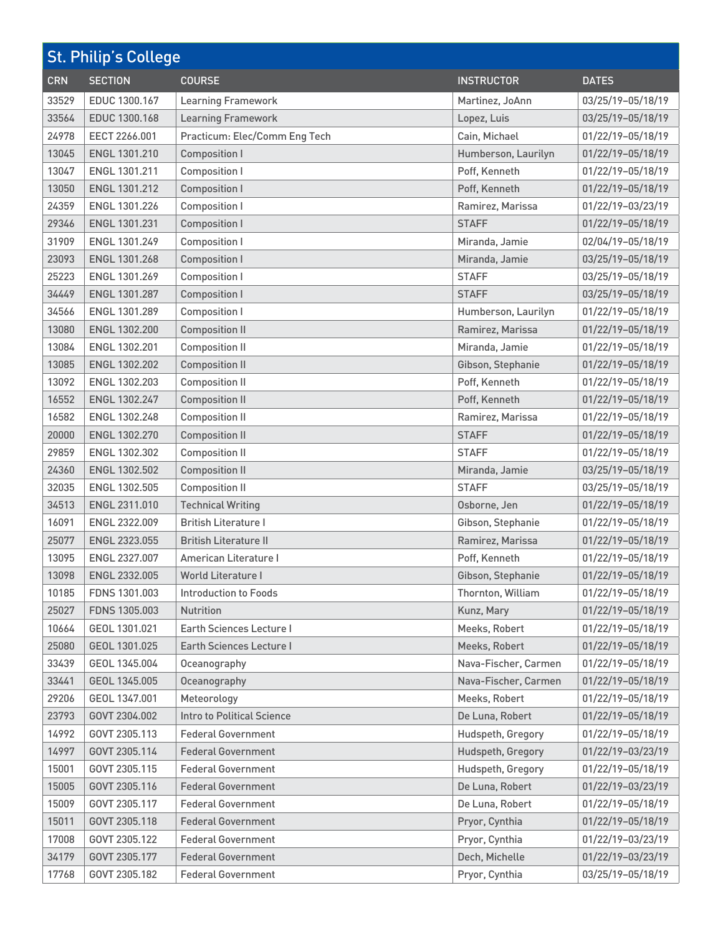| <b>St. Philip's College</b> |                      |                                 |                      |                   |
|-----------------------------|----------------------|---------------------------------|----------------------|-------------------|
| <b>CRN</b>                  | <b>SECTION</b>       | <b>COURSE</b>                   | <b>INSTRUCTOR</b>    | <b>DATES</b>      |
| 33529                       | EDUC 1300.167        | <b>Learning Framework</b>       | Martinez, JoAnn      | 03/25/19-05/18/19 |
| 33564                       | EDUC 1300.168        | <b>Learning Framework</b>       | Lopez, Luis          | 03/25/19-05/18/19 |
| 24978                       | EECT 2266.001        | Practicum: Elec/Comm Eng Tech   | Cain, Michael        | 01/22/19-05/18/19 |
| 13045                       | ENGL 1301.210        | <b>Composition I</b>            | Humberson, Laurilyn  | 01/22/19-05/18/19 |
| 13047                       | ENGL 1301.211        | <b>Composition I</b>            | Poff, Kenneth        | 01/22/19-05/18/19 |
| 13050                       | ENGL 1301.212        | <b>Composition I</b>            | Poff, Kenneth        | 01/22/19-05/18/19 |
| 24359                       | ENGL 1301.226        | <b>Composition I</b>            | Ramirez, Marissa     | 01/22/19-03/23/19 |
| 29346                       | ENGL 1301.231        | <b>Composition I</b>            | <b>STAFF</b>         | 01/22/19-05/18/19 |
| 31909                       | ENGL 1301.249        | <b>Composition I</b>            | Miranda, Jamie       | 02/04/19-05/18/19 |
| 23093                       | ENGL 1301.268        | <b>Composition I</b>            | Miranda, Jamie       | 03/25/19-05/18/19 |
| 25223                       | ENGL 1301.269        | <b>Composition I</b>            | <b>STAFF</b>         | 03/25/19-05/18/19 |
| 34449                       | <b>ENGL 1301.287</b> | <b>Composition I</b>            | <b>STAFF</b>         | 03/25/19-05/18/19 |
| 34566                       | ENGL 1301.289        | <b>Composition I</b>            | Humberson, Laurilyn  | 01/22/19-05/18/19 |
| 13080                       | ENGL 1302.200        | <b>Composition II</b>           | Ramirez, Marissa     | 01/22/19-05/18/19 |
| 13084                       | ENGL 1302.201        | <b>Composition II</b>           | Miranda, Jamie       | 01/22/19-05/18/19 |
| 13085                       | ENGL 1302.202        | <b>Composition II</b>           | Gibson, Stephanie    | 01/22/19-05/18/19 |
| 13092                       | ENGL 1302.203        | <b>Composition II</b>           | Poff, Kenneth        | 01/22/19-05/18/19 |
| 16552                       | ENGL 1302.247        | <b>Composition II</b>           | Poff, Kenneth        | 01/22/19-05/18/19 |
| 16582                       | ENGL 1302.248        | <b>Composition II</b>           | Ramirez, Marissa     | 01/22/19-05/18/19 |
| 20000                       | ENGL 1302.270        | <b>Composition II</b>           | <b>STAFF</b>         | 01/22/19-05/18/19 |
| 29859                       | ENGL 1302.302        | <b>Composition II</b>           | <b>STAFF</b>         | 01/22/19-05/18/19 |
| 24360                       | <b>ENGL 1302.502</b> | <b>Composition II</b>           | Miranda, Jamie       | 03/25/19-05/18/19 |
| 32035                       | ENGL 1302.505        | <b>Composition II</b>           | <b>STAFF</b>         | 03/25/19-05/18/19 |
| 34513                       | ENGL 2311.010        | <b>Technical Writing</b>        | Osborne, Jen         | 01/22/19-05/18/19 |
| 16091                       | ENGL 2322.009        | <b>British Literature I</b>     | Gibson, Stephanie    | 01/22/19-05/18/19 |
| 25077                       | ENGL 2323.055        | <b>British Literature II</b>    | Ramirez, Marissa     | 01/22/19-05/18/19 |
| 13095                       | ENGL 2327.007        | American Literature I           | Poff, Kenneth        | 01/22/19-05/18/19 |
| 13098                       | ENGL 2332.005        | World Literature I              | Gibson, Stephanie    | 01/22/19-05/18/19 |
| 10185                       | FDNS 1301.003        | Introduction to Foods           | Thornton, William    | 01/22/19-05/18/19 |
| 25027                       | FDNS 1305.003        | Nutrition                       | Kunz, Mary           | 01/22/19-05/18/19 |
| 10664                       | GEOL 1301.021        | Earth Sciences Lecture I        | Meeks, Robert        | 01/22/19-05/18/19 |
| 25080                       | GEOL 1301.025        | <b>Earth Sciences Lecture I</b> | Meeks, Robert        | 01/22/19-05/18/19 |
| 33439                       | GEOL 1345.004        | Oceanography                    | Nava-Fischer, Carmen | 01/22/19-05/18/19 |
| 33441                       | GEOL 1345.005        | Oceanography                    | Nava-Fischer, Carmen | 01/22/19-05/18/19 |
| 29206                       | GEOL 1347.001        | Meteorology                     | Meeks, Robert        | 01/22/19-05/18/19 |
| 23793                       | GOVT 2304.002        | Intro to Political Science      | De Luna, Robert      | 01/22/19-05/18/19 |
| 14992                       | GOVT 2305.113        | <b>Federal Government</b>       | Hudspeth, Gregory    | 01/22/19-05/18/19 |
| 14997                       | GOVT 2305.114        | <b>Federal Government</b>       | Hudspeth, Gregory    | 01/22/19-03/23/19 |
| 15001                       | GOVT 2305.115        | <b>Federal Government</b>       | Hudspeth, Gregory    | 01/22/19-05/18/19 |
| 15005                       | GOVT 2305.116        | <b>Federal Government</b>       | De Luna, Robert      | 01/22/19-03/23/19 |
| 15009                       | GOVT 2305.117        | <b>Federal Government</b>       | De Luna, Robert      | 01/22/19-05/18/19 |
| 15011                       | GOVT 2305.118        | <b>Federal Government</b>       | Pryor, Cynthia       | 01/22/19-05/18/19 |
| 17008                       | GOVT 2305.122        | <b>Federal Government</b>       | Pryor, Cynthia       | 01/22/19-03/23/19 |
| 34179                       | GOVT 2305.177        | <b>Federal Government</b>       | Dech, Michelle       | 01/22/19-03/23/19 |
| 17768                       | GOVT 2305.182        | <b>Federal Government</b>       | Pryor, Cynthia       | 03/25/19-05/18/19 |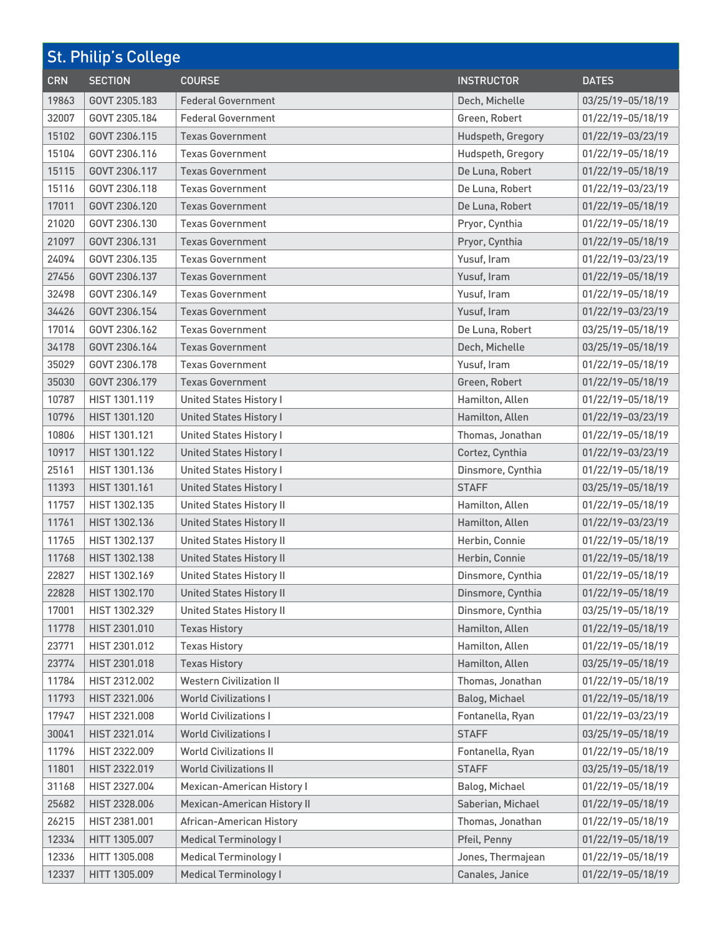| <b>St. Philip's College</b> |                |                                    |                   |                   |
|-----------------------------|----------------|------------------------------------|-------------------|-------------------|
| <b>CRN</b>                  | <b>SECTION</b> | <b>COURSE</b>                      | <b>INSTRUCTOR</b> | <b>DATES</b>      |
| 19863                       | GOVT 2305.183  | <b>Federal Government</b>          | Dech, Michelle    | 03/25/19-05/18/19 |
| 32007                       | GOVT 2305.184  | <b>Federal Government</b>          | Green, Robert     | 01/22/19-05/18/19 |
| 15102                       | GOVT 2306.115  | <b>Texas Government</b>            | Hudspeth, Gregory | 01/22/19-03/23/19 |
| 15104                       | GOVT 2306.116  | <b>Texas Government</b>            | Hudspeth, Gregory | 01/22/19-05/18/19 |
| 15115                       | GOVT 2306.117  | <b>Texas Government</b>            | De Luna, Robert   | 01/22/19-05/18/19 |
| 15116                       | GOVT 2306.118  | <b>Texas Government</b>            | De Luna, Robert   | 01/22/19-03/23/19 |
| 17011                       | GOVT 2306.120  | <b>Texas Government</b>            | De Luna, Robert   | 01/22/19-05/18/19 |
| 21020                       | GOVT 2306.130  | <b>Texas Government</b>            | Pryor, Cynthia    | 01/22/19-05/18/19 |
| 21097                       | GOVT 2306.131  | <b>Texas Government</b>            | Pryor, Cynthia    | 01/22/19-05/18/19 |
| 24094                       | GOVT 2306.135  | <b>Texas Government</b>            | Yusuf, Iram       | 01/22/19-03/23/19 |
| 27456                       | GOVT 2306.137  | <b>Texas Government</b>            | Yusuf, Iram       | 01/22/19-05/18/19 |
| 32498                       | GOVT 2306.149  | <b>Texas Government</b>            | Yusuf, Iram       | 01/22/19-05/18/19 |
| 34426                       | GOVT 2306.154  | <b>Texas Government</b>            | Yusuf, Iram       | 01/22/19-03/23/19 |
| 17014                       | GOVT 2306.162  | <b>Texas Government</b>            | De Luna, Robert   | 03/25/19-05/18/19 |
| 34178                       | GOVT 2306.164  | <b>Texas Government</b>            | Dech, Michelle    | 03/25/19-05/18/19 |
| 35029                       | GOVT 2306.178  | <b>Texas Government</b>            | Yusuf, Iram       | 01/22/19-05/18/19 |
| 35030                       | GOVT 2306.179  | <b>Texas Government</b>            | Green, Robert     | 01/22/19-05/18/19 |
| 10787                       | HIST 1301.119  | <b>United States History I</b>     | Hamilton, Allen   | 01/22/19-05/18/19 |
| 10796                       | HIST 1301.120  | <b>United States History I</b>     | Hamilton, Allen   | 01/22/19-03/23/19 |
| 10806                       | HIST 1301.121  | <b>United States History I</b>     | Thomas, Jonathan  | 01/22/19-05/18/19 |
| 10917                       | HIST 1301.122  | <b>United States History I</b>     | Cortez, Cynthia   | 01/22/19-03/23/19 |
| 25161                       | HIST 1301.136  | <b>United States History I</b>     | Dinsmore, Cynthia | 01/22/19-05/18/19 |
| 11393                       | HIST 1301.161  | <b>United States History I</b>     | <b>STAFF</b>      | 03/25/19-05/18/19 |
| 11757                       | HIST 1302.135  | <b>United States History II</b>    | Hamilton, Allen   | 01/22/19-05/18/19 |
| 11761                       | HIST 1302.136  | <b>United States History II</b>    | Hamilton, Allen   | 01/22/19-03/23/19 |
| 11765                       | HIST 1302.137  | <b>United States History II</b>    | Herbin, Connie    | 01/22/19-05/18/19 |
| 11768                       | HIST 1302.138  | <b>United States History II</b>    | Herbin, Connie    | 01/22/19-05/18/19 |
| 22827                       | HIST 1302.169  | <b>United States History II</b>    | Dinsmore, Cynthia | 01/22/19-05/18/19 |
| 22828                       | HIST 1302.170  | <b>United States History II</b>    | Dinsmore, Cynthia | 01/22/19-05/18/19 |
| 17001                       | HIST 1302.329  | <b>United States History II</b>    | Dinsmore, Cynthia | 03/25/19-05/18/19 |
| 11778                       | HIST 2301.010  | <b>Texas History</b>               | Hamilton, Allen   | 01/22/19-05/18/19 |
| 23771                       | HIST 2301.012  | <b>Texas History</b>               | Hamilton, Allen   | 01/22/19-05/18/19 |
| 23774                       | HIST 2301.018  | <b>Texas History</b>               | Hamilton, Allen   | 03/25/19-05/18/19 |
| 11784                       | HIST 2312.002  | <b>Western Civilization II</b>     | Thomas, Jonathan  | 01/22/19-05/18/19 |
| 11793                       | HIST 2321.006  | <b>World Civilizations I</b>       | Balog, Michael    | 01/22/19-05/18/19 |
| 17947                       | HIST 2321.008  | <b>World Civilizations I</b>       | Fontanella, Ryan  | 01/22/19-03/23/19 |
| 30041                       | HIST 2321.014  | <b>World Civilizations I</b>       | <b>STAFF</b>      | 03/25/19-05/18/19 |
| 11796                       | HIST 2322.009  | <b>World Civilizations II</b>      | Fontanella, Ryan  | 01/22/19-05/18/19 |
| 11801                       | HIST 2322.019  | <b>World Civilizations II</b>      | <b>STAFF</b>      | 03/25/19-05/18/19 |
| 31168                       | HIST 2327.004  | <b>Mexican-American History I</b>  | Balog, Michael    | 01/22/19-05/18/19 |
| 25682                       | HIST 2328.006  | <b>Mexican-American History II</b> | Saberian, Michael | 01/22/19-05/18/19 |
| 26215                       | HIST 2381.001  | <b>African-American History</b>    | Thomas, Jonathan  | 01/22/19-05/18/19 |
| 12334                       | HITT 1305.007  | <b>Medical Terminology I</b>       | Pfeil, Penny      | 01/22/19-05/18/19 |
| 12336                       | HITT 1305.008  | <b>Medical Terminology I</b>       | Jones, Thermajean | 01/22/19-05/18/19 |
| 12337                       | HITT 1305.009  | <b>Medical Terminology I</b>       | Canales, Janice   | 01/22/19-05/18/19 |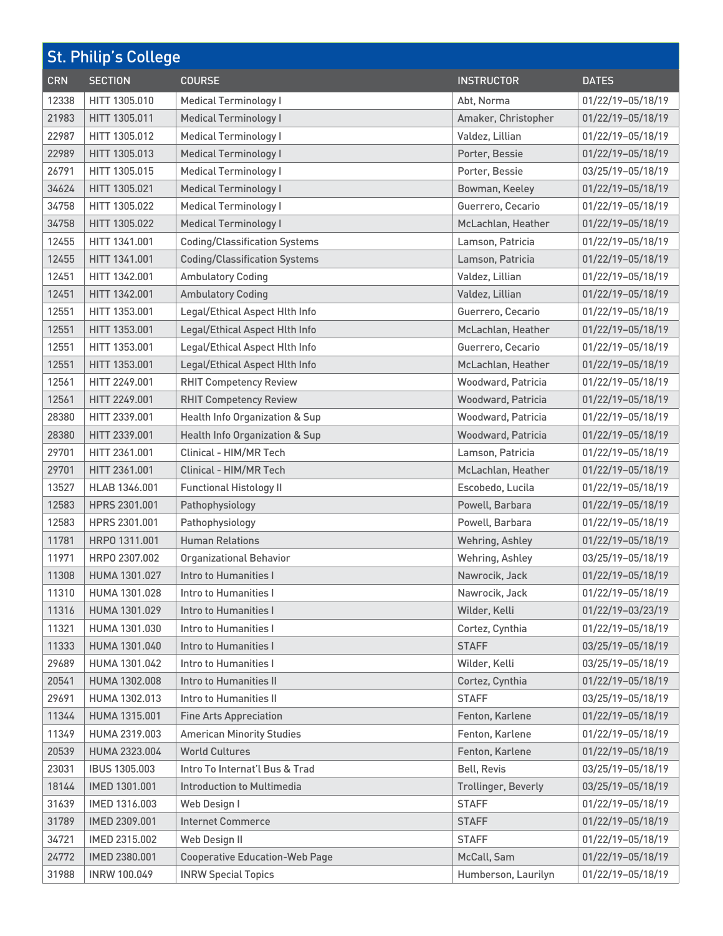| <b>St. Philip's College</b> |                     |                                       |                            |                   |
|-----------------------------|---------------------|---------------------------------------|----------------------------|-------------------|
| <b>CRN</b>                  | <b>SECTION</b>      | <b>COURSE</b>                         | <b>INSTRUCTOR</b>          | <b>DATES</b>      |
| 12338                       | HITT 1305.010       | <b>Medical Terminology I</b>          | Abt, Norma                 | 01/22/19-05/18/19 |
| 21983                       | HITT 1305.011       | <b>Medical Terminology I</b>          | Amaker, Christopher        | 01/22/19-05/18/19 |
| 22987                       | HITT 1305,012       | <b>Medical Terminology I</b>          | Valdez, Lillian            | 01/22/19-05/18/19 |
| 22989                       | HITT 1305.013       | <b>Medical Terminology I</b>          | Porter, Bessie             | 01/22/19-05/18/19 |
| 26791                       | HITT 1305.015       | <b>Medical Terminology I</b>          | Porter, Bessie             | 03/25/19-05/18/19 |
| 34624                       | HITT 1305.021       | <b>Medical Terminology I</b>          | Bowman, Keeley             | 01/22/19-05/18/19 |
| 34758                       | HITT 1305.022       | <b>Medical Terminology I</b>          | Guerrero, Cecario          | 01/22/19-05/18/19 |
| 34758                       | HITT 1305.022       | <b>Medical Terminology I</b>          | McLachlan, Heather         | 01/22/19-05/18/19 |
| 12455                       | HITT 1341.001       | <b>Coding/Classification Systems</b>  | Lamson, Patricia           | 01/22/19-05/18/19 |
| 12455                       | HITT 1341.001       | <b>Coding/Classification Systems</b>  | Lamson, Patricia           | 01/22/19-05/18/19 |
| 12451                       | HITT 1342,001       | <b>Ambulatory Coding</b>              | Valdez, Lillian            | 01/22/19-05/18/19 |
| 12451                       | HITT 1342.001       | <b>Ambulatory Coding</b>              | Valdez, Lillian            | 01/22/19-05/18/19 |
| 12551                       | HITT 1353.001       | Legal/Ethical Aspect Hlth Info        | Guerrero, Cecario          | 01/22/19-05/18/19 |
| 12551                       | HITT 1353.001       | Legal/Ethical Aspect Hlth Info        | McLachlan, Heather         | 01/22/19-05/18/19 |
| 12551                       | HITT 1353,001       | Legal/Ethical Aspect Hlth Info        | Guerrero, Cecario          | 01/22/19-05/18/19 |
| 12551                       | HITT 1353.001       | Legal/Ethical Aspect Hlth Info        | McLachlan, Heather         | 01/22/19-05/18/19 |
| 12561                       | HITT 2249.001       | <b>RHIT Competency Review</b>         | Woodward, Patricia         | 01/22/19-05/18/19 |
| 12561                       | HITT 2249.001       | <b>RHIT Competency Review</b>         | Woodward, Patricia         | 01/22/19-05/18/19 |
| 28380                       | HITT 2339.001       | Health Info Organization & Sup        | Woodward, Patricia         | 01/22/19-05/18/19 |
| 28380                       | HITT 2339.001       | Health Info Organization & Sup        | Woodward, Patricia         | 01/22/19-05/18/19 |
| 29701                       | HITT 2361.001       | Clinical - HIM/MR Tech                | Lamson, Patricia           | 01/22/19-05/18/19 |
| 29701                       | HITT 2361.001       | Clinical - HIM/MR Tech                | McLachlan, Heather         | 01/22/19-05/18/19 |
| 13527                       | HLAB 1346.001       | <b>Functional Histology II</b>        | Escobedo, Lucila           | 01/22/19-05/18/19 |
| 12583                       | HPRS 2301.001       | Pathophysiology                       | Powell, Barbara            | 01/22/19-05/18/19 |
| 12583                       | HPRS 2301.001       | Pathophysiology                       | Powell, Barbara            | 01/22/19-05/18/19 |
| 11781                       | HRP0 1311,001       | <b>Human Relations</b>                | Wehring, Ashley            | 01/22/19-05/18/19 |
| 11971                       | HRP0 2307.002       | <b>Organizational Behavior</b>        | Wehring, Ashley            | 03/25/19-05/18/19 |
| 11308                       | HUMA 1301.027       | Intro to Humanities I                 | Nawrocik, Jack             | 01/22/19-05/18/19 |
| 11310                       | HUMA 1301.028       | Intro to Humanities I                 | Nawrocik, Jack             | 01/22/19-05/18/19 |
| 11316                       | HUMA 1301.029       | Intro to Humanities I                 | Wilder, Kelli              | 01/22/19-03/23/19 |
| 11321                       | HUMA 1301.030       | Intro to Humanities I                 | Cortez, Cynthia            | 01/22/19-05/18/19 |
| 11333                       | HUMA 1301.040       | Intro to Humanities I                 | <b>STAFF</b>               | 03/25/19-05/18/19 |
| 29689                       | HUMA 1301.042       | Intro to Humanities I                 | Wilder, Kelli              | 03/25/19-05/18/19 |
| 20541                       | HUMA 1302.008       | Intro to Humanities II                | Cortez, Cynthia            | 01/22/19-05/18/19 |
| 29691                       | HUMA 1302.013       | Intro to Humanities II                | <b>STAFF</b>               | 03/25/19-05/18/19 |
| 11344                       | HUMA 1315.001       | <b>Fine Arts Appreciation</b>         | Fenton, Karlene            | 01/22/19-05/18/19 |
| 11349                       | HUMA 2319.003       | <b>American Minority Studies</b>      | Fenton, Karlene            | 01/22/19-05/18/19 |
| 20539                       | HUMA 2323.004       | <b>World Cultures</b>                 | Fenton, Karlene            | 01/22/19-05/18/19 |
| 23031                       | IBUS 1305.003       | Intro To Internat'l Bus & Trad        | <b>Bell, Revis</b>         | 03/25/19-05/18/19 |
| 18144                       | IMED 1301.001       | <b>Introduction to Multimedia</b>     | <b>Trollinger, Beverly</b> | 03/25/19-05/18/19 |
| 31639                       | IMED 1316.003       | Web Design I                          | <b>STAFF</b>               | 01/22/19-05/18/19 |
| 31789                       | IMED 2309.001       | <b>Internet Commerce</b>              | <b>STAFF</b>               | 01/22/19-05/18/19 |
| 34721                       | IMED 2315.002       | Web Design II                         | <b>STAFF</b>               | 01/22/19-05/18/19 |
| 24772                       | IMED 2380.001       | <b>Cooperative Education-Web Page</b> | McCall, Sam                | 01/22/19-05/18/19 |
| 31988                       | <b>INRW 100.049</b> | <b>INRW Special Topics</b>            | Humberson, Laurilyn        | 01/22/19-05/18/19 |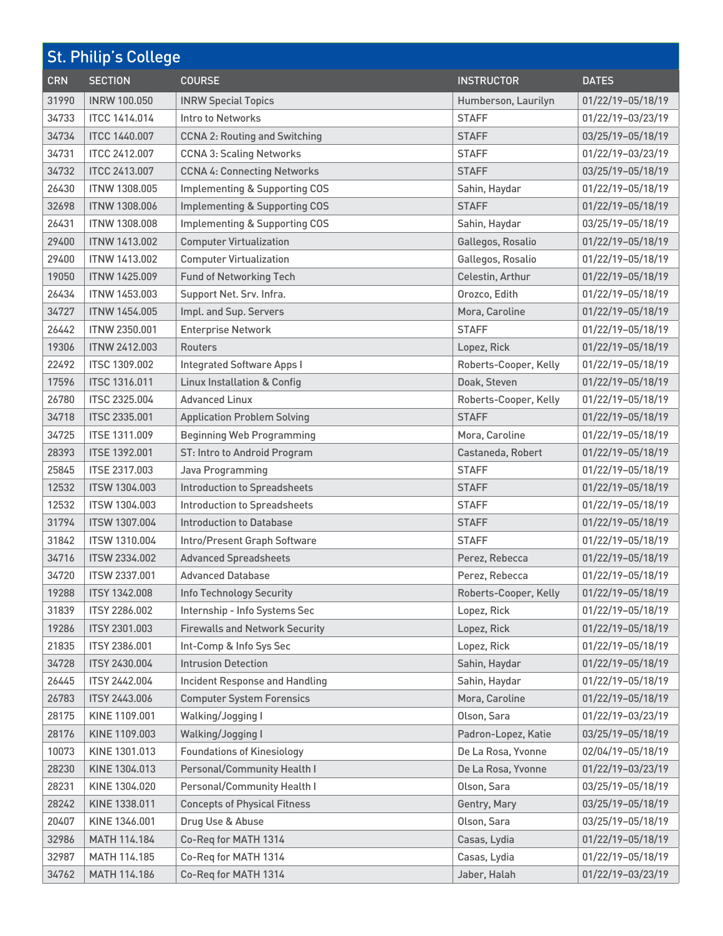| <b>St. Philip's College</b> |                      |                                          |                       |                   |
|-----------------------------|----------------------|------------------------------------------|-----------------------|-------------------|
| <b>CRN</b>                  | <b>SECTION</b>       | <b>COURSE</b>                            | <b>INSTRUCTOR</b>     | <b>DATES</b>      |
| 31990                       | <b>INRW 100.050</b>  | <b>INRW Special Topics</b>               | Humberson, Laurilyn   | 01/22/19-05/18/19 |
| 34733                       | <b>ITCC 1414.014</b> | Intro to Networks                        | <b>STAFF</b>          | 01/22/19-03/23/19 |
| 34734                       | <b>ITCC 1440,007</b> | <b>CCNA 2: Routing and Switching</b>     | <b>STAFF</b>          | 03/25/19-05/18/19 |
| 34731                       | <b>ITCC 2412.007</b> | <b>CCNA 3: Scaling Networks</b>          | <b>STAFF</b>          | 01/22/19-03/23/19 |
| 34732                       | <b>ITCC 2413.007</b> | <b>CCNA 4: Connecting Networks</b>       | <b>STAFF</b>          | 03/25/19-05/18/19 |
| 26430                       | <b>ITNW 1308,005</b> | <b>Implementing &amp; Supporting COS</b> | Sahin, Haydar         | 01/22/19-05/18/19 |
| 32698                       | <b>ITNW 1308.006</b> | <b>Implementing &amp; Supporting COS</b> | <b>STAFF</b>          | 01/22/19-05/18/19 |
| 26431                       | <b>ITNW 1308.008</b> | <b>Implementing &amp; Supporting COS</b> | Sahin, Haydar         | 03/25/19-05/18/19 |
| 29400                       | <b>ITNW 1413.002</b> | <b>Computer Virtualization</b>           | Gallegos, Rosalio     | 01/22/19-05/18/19 |
| 29400                       | <b>ITNW 1413.002</b> | <b>Computer Virtualization</b>           | Gallegos, Rosalio     | 01/22/19-05/18/19 |
| 19050                       | <b>ITNW 1425,009</b> | <b>Fund of Networking Tech</b>           | Celestin, Arthur      | 01/22/19-05/18/19 |
| 26434                       | <b>ITNW 1453.003</b> | Support Net. Srv. Infra.                 | Orozco, Edith         | 01/22/19-05/18/19 |
| 34727                       | <b>ITNW 1454.005</b> | Impl. and Sup. Servers                   | Mora, Caroline        | 01/22/19-05/18/19 |
| 26442                       | <b>ITNW 2350.001</b> | <b>Enterprise Network</b>                | <b>STAFF</b>          | 01/22/19-05/18/19 |
| 19306                       | <b>ITNW 2412,003</b> | Routers                                  | Lopez, Rick           | 01/22/19-05/18/19 |
| 22492                       | <b>ITSC 1309.002</b> | <b>Integrated Software Apps I</b>        | Roberts-Cooper, Kelly | 01/22/19-05/18/19 |
| 17596                       | <b>ITSC 1316.011</b> | <b>Linux Installation &amp; Config</b>   | Doak, Steven          | 01/22/19-05/18/19 |
| 26780                       | <b>ITSC 2325.004</b> | <b>Advanced Linux</b>                    | Roberts-Cooper, Kelly | 01/22/19-05/18/19 |
| 34718                       | <b>ITSC 2335.001</b> | <b>Application Problem Solving</b>       | <b>STAFF</b>          | 01/22/19-05/18/19 |
| 34725                       | <b>ITSE 1311.009</b> | <b>Beginning Web Programming</b>         | Mora, Caroline        | 01/22/19-05/18/19 |
| 28393                       | <b>ITSE 1392.001</b> | ST: Intro to Android Program             | Castaneda, Robert     | 01/22/19-05/18/19 |
| 25845                       | <b>ITSE 2317.003</b> | Java Programming                         | <b>STAFF</b>          | 01/22/19-05/18/19 |
| 12532                       | <b>ITSW 1304.003</b> | <b>Introduction to Spreadsheets</b>      | <b>STAFF</b>          | 01/22/19-05/18/19 |
| 12532                       | <b>ITSW 1304.003</b> | Introduction to Spreadsheets             | <b>STAFF</b>          | 01/22/19-05/18/19 |
| 31794                       | ITSW 1307.004        | <b>Introduction to Database</b>          | <b>STAFF</b>          | 01/22/19-05/18/19 |
| 31842                       | <b>ITSW 1310.004</b> | Intro/Present Graph Software             | <b>STAFF</b>          | 01/22/19-05/18/19 |
| 34716                       | <b>ITSW 2334.002</b> | <b>Advanced Spreadsheets</b>             | Perez, Rebecca        | 01/22/19-05/18/19 |
| 34720                       | ITSW 2337.001        | <b>Advanced Database</b>                 | Perez, Rebecca        | 01/22/19-05/18/19 |
| 19288                       | <b>ITSY 1342,008</b> | Info Technology Security                 | Roberts-Cooper, Kelly | 01/22/19-05/18/19 |
| 31839                       | <b>ITSY 2286.002</b> | Internship - Info Systems Sec            | Lopez, Rick           | 01/22/19-05/18/19 |
| 19286                       | <b>ITSY 2301.003</b> | <b>Firewalls and Network Security</b>    | Lopez, Rick           | 01/22/19-05/18/19 |
| 21835                       | ITSY 2386.001        | Int-Comp & Info Sys Sec                  | Lopez, Rick           | 01/22/19-05/18/19 |
| 34728                       | ITSY 2430.004        | <b>Intrusion Detection</b>               | Sahin, Haydar         | 01/22/19-05/18/19 |
| 26445                       | <b>ITSY 2442.004</b> | <b>Incident Response and Handling</b>    | Sahin, Haydar         | 01/22/19-05/18/19 |
| 26783                       | <b>ITSY 2443.006</b> | <b>Computer System Forensics</b>         | Mora, Caroline        | 01/22/19-05/18/19 |
| 28175                       | KINE 1109.001        | Walking/Jogging I                        | Olson, Sara           | 01/22/19-03/23/19 |
| 28176                       | KINE 1109.003        | Walking/Jogging I                        | Padron-Lopez, Katie   | 03/25/19-05/18/19 |
| 10073                       | KINE 1301.013        | <b>Foundations of Kinesiology</b>        | De La Rosa, Yvonne    | 02/04/19-05/18/19 |
| 28230                       | KINE 1304.013        | Personal/Community Health I              | De La Rosa, Yvonne    | 01/22/19-03/23/19 |
| 28231                       | KINE 1304.020        | Personal/Community Health I              | Olson, Sara           | 03/25/19-05/18/19 |
| 28242                       | KINE 1338.011        | <b>Concepts of Physical Fitness</b>      | Gentry, Mary          | 03/25/19-05/18/19 |
| 20407                       | KINE 1346.001        | Drug Use & Abuse                         | Olson, Sara           | 03/25/19-05/18/19 |
| 32986                       | MATH 114.184         | Co-Req for MATH 1314                     | Casas, Lydia          | 01/22/19-05/18/19 |
| 32987                       | MATH 114.185         | Co-Req for MATH 1314                     | Casas, Lydia          | 01/22/19-05/18/19 |
| 34762                       | MATH 114.186         | Co-Req for MATH 1314                     | Jaber, Halah          | 01/22/19-03/23/19 |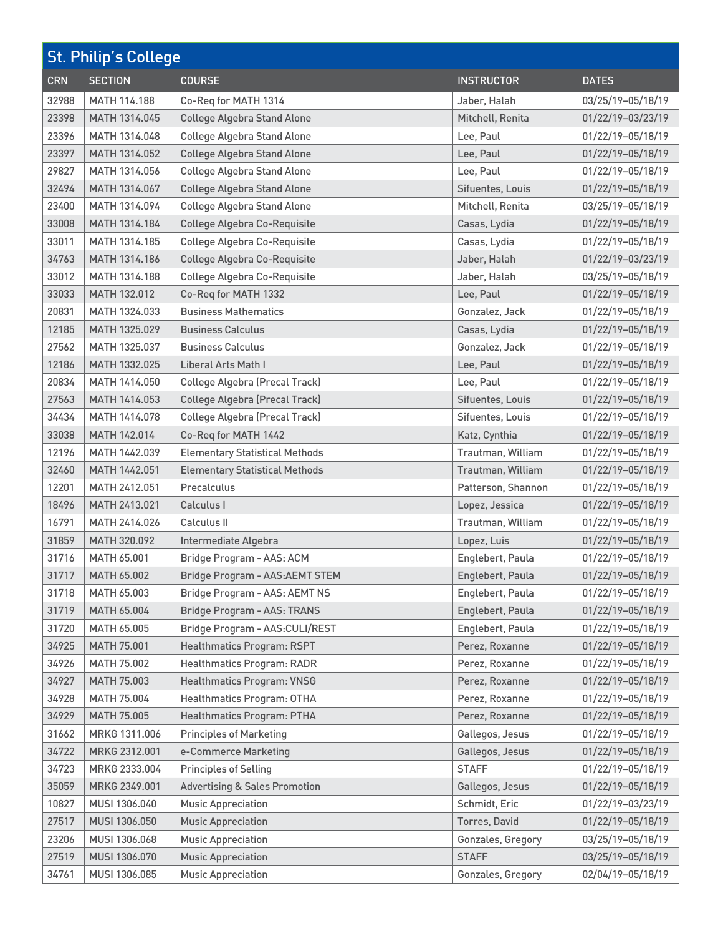| <b>St. Philip's College</b> |                    |                                          |                      |                   |
|-----------------------------|--------------------|------------------------------------------|----------------------|-------------------|
| <b>CRN</b>                  | <b>SECTION</b>     | <b>COURSE</b>                            | <b>INSTRUCTOR</b>    | <b>DATES</b>      |
| 32988                       | MATH 114.188       | Co-Req for MATH 1314                     | Jaber, Halah         | 03/25/19-05/18/19 |
| 23398                       | MATH 1314.045      | <b>College Algebra Stand Alone</b>       | Mitchell, Renita     | 01/22/19-03/23/19 |
| 23396                       | MATH 1314.048      | <b>College Algebra Stand Alone</b>       | Lee, Paul            | 01/22/19-05/18/19 |
| 23397                       | MATH 1314.052      | <b>College Algebra Stand Alone</b>       | Lee, Paul            | 01/22/19-05/18/19 |
| 29827                       | MATH 1314.056      | <b>College Algebra Stand Alone</b>       | Lee, Paul            | 01/22/19-05/18/19 |
| 32494                       | MATH 1314.067      | <b>College Algebra Stand Alone</b>       | Sifuentes, Louis     | 01/22/19-05/18/19 |
| 23400                       | MATH 1314.094      | <b>College Algebra Stand Alone</b>       | Mitchell, Renita     | 03/25/19-05/18/19 |
| 33008                       | MATH 1314.184      | <b>College Algebra Co-Requisite</b>      | Casas, Lydia         | 01/22/19-05/18/19 |
| 33011                       | MATH 1314.185      | <b>College Algebra Co-Requisite</b>      | Casas, Lydia         | 01/22/19-05/18/19 |
| 34763                       | MATH 1314.186      | <b>College Algebra Co-Requisite</b>      | Jaber, Halah         | 01/22/19-03/23/19 |
| 33012                       | MATH 1314.188      | <b>College Algebra Co-Requisite</b>      | Jaber, Halah         | 03/25/19-05/18/19 |
| 33033                       | MATH 132.012       | Co-Req for MATH 1332                     | Lee, Paul            | 01/22/19-05/18/19 |
| 20831                       | MATH 1324.033      | <b>Business Mathematics</b>              | Gonzalez, Jack       | 01/22/19-05/18/19 |
| 12185                       | MATH 1325.029      | <b>Business Calculus</b>                 | Casas, Lydia         | 01/22/19-05/18/19 |
| 27562                       | MATH 1325.037      | <b>Business Calculus</b>                 | Gonzalez, Jack       | 01/22/19-05/18/19 |
| 12186                       | MATH 1332.025      | Liberal Arts Math I                      | Lee, Paul            | 01/22/19-05/18/19 |
| 20834                       | MATH 1414.050      | <b>College Algebra (Precal Track)</b>    | Lee, Paul            | 01/22/19-05/18/19 |
| 27563                       | MATH 1414.053      | <b>College Algebra (Precal Track)</b>    | Sifuentes, Louis     | 01/22/19-05/18/19 |
| 34434                       | MATH 1414.078      | <b>College Algebra (Precal Track)</b>    | Sifuentes, Louis     | 01/22/19-05/18/19 |
| 33038                       | MATH 142.014       | Co-Req for MATH 1442                     | Katz, Cynthia        | 01/22/19-05/18/19 |
| 12196                       | MATH 1442.039      | <b>Elementary Statistical Methods</b>    | Trautman, William    | 01/22/19-05/18/19 |
| 32460                       | MATH 1442.051      | <b>Elementary Statistical Methods</b>    | Trautman, William    | 01/22/19-05/18/19 |
| 12201                       | MATH 2412.051      | Precalculus                              | Patterson, Shannon   | 01/22/19-05/18/19 |
| 18496                       | MATH 2413.021      | Calculus I                               | Lopez, Jessica       | 01/22/19-05/18/19 |
| 16791                       | MATH 2414.026      | Calculus II                              | Trautman, William    | 01/22/19-05/18/19 |
| 31859                       | MATH 320.092       | Intermediate Algebra                     | Lopez, Luis          | 01/22/19-05/18/19 |
| 31716                       | MATH 65.001        | Bridge Program - AAS: ACM                | Englebert, Paula     | 01/22/19-05/18/19 |
| 31717                       | MATH 65.002        | Bridge Program - AAS: AEMT STEM          | Englebert, Paula     | 01/22/19-05/18/19 |
| 31718                       | MATH 65.003        | Bridge Program - AAS: AEMT NS            | Englebert, Paula     | 01/22/19-05/18/19 |
| 31719                       | MATH 65.004        | <b>Bridge Program - AAS: TRANS</b>       | Englebert, Paula     | 01/22/19-05/18/19 |
| 31720                       | MATH 65,005        | Bridge Program - AAS:CULI/REST           | Englebert, Paula     | 01/22/19-05/18/19 |
| 34925                       | <b>MATH 75.001</b> | Healthmatics Program: RSPT               | Perez, Roxanne       | 01/22/19-05/18/19 |
| 34926                       | <b>MATH 75.002</b> | <b>Healthmatics Program: RADR</b>        | Perez, Roxanne       | 01/22/19-05/18/19 |
| 34927                       | MATH 75.003        | <b>Healthmatics Program: VNSG</b>        | Perez, Roxanne       | 01/22/19-05/18/19 |
| 34928                       | MATH 75.004        | Healthmatics Program: OTHA               | Perez, Roxanne       | 01/22/19-05/18/19 |
| 34929                       | <b>MATH 75.005</b> | Healthmatics Program: PTHA               | Perez, Roxanne       | 01/22/19-05/18/19 |
| 31662                       | MRKG 1311.006      | <b>Principles of Marketing</b>           | Gallegos, Jesus      | 01/22/19-05/18/19 |
| 34722                       | MRKG 2312.001      | e-Commerce Marketing                     | Gallegos, Jesus      | 01/22/19-05/18/19 |
| 34723                       | MRKG 2333.004      | <b>Principles of Selling</b>             | <b>STAFF</b>         | 01/22/19-05/18/19 |
| 35059                       | MRKG 2349.001      | <b>Advertising &amp; Sales Promotion</b> | Gallegos, Jesus      | 01/22/19-05/18/19 |
| 10827                       | MUSI 1306.040      | <b>Music Appreciation</b>                | Schmidt, Eric        | 01/22/19-03/23/19 |
| 27517                       | MUSI 1306.050      | <b>Music Appreciation</b>                | <b>Torres, David</b> | 01/22/19-05/18/19 |
| 23206                       | MUSI 1306.068      | <b>Music Appreciation</b>                | Gonzales, Gregory    | 03/25/19-05/18/19 |
| 27519                       | MUSI 1306.070      | <b>Music Appreciation</b>                | <b>STAFF</b>         | 03/25/19-05/18/19 |
| 34761                       | MUSI 1306.085      | <b>Music Appreciation</b>                | Gonzales, Gregory    | 02/04/19-05/18/19 |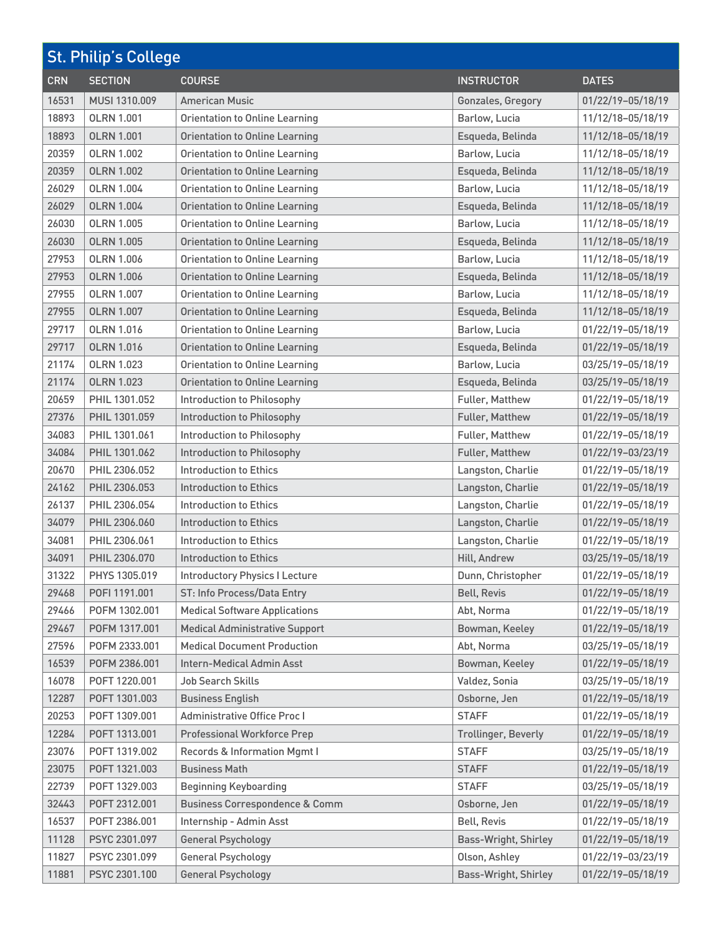| <b>St. Philip's College</b> |                   |                                           |                             |                   |
|-----------------------------|-------------------|-------------------------------------------|-----------------------------|-------------------|
| <b>CRN</b>                  | <b>SECTION</b>    | <b>COURSE</b>                             | <b>INSTRUCTOR</b>           | <b>DATES</b>      |
| 16531                       | MUSI 1310,009     | <b>American Music</b>                     | Gonzales, Gregory           | 01/22/19-05/18/19 |
| 18893                       | <b>OLRN 1.001</b> | <b>Orientation to Online Learning</b>     | Barlow, Lucia               | 11/12/18-05/18/19 |
| 18893                       | <b>OLRN 1.001</b> | <b>Orientation to Online Learning</b>     | Esqueda, Belinda            | 11/12/18-05/18/19 |
| 20359                       | <b>OLRN 1.002</b> | <b>Orientation to Online Learning</b>     | Barlow, Lucia               | 11/12/18-05/18/19 |
| 20359                       | <b>OLRN 1.002</b> | <b>Orientation to Online Learning</b>     | Esqueda, Belinda            | 11/12/18-05/18/19 |
| 26029                       | <b>OLRN 1.004</b> | <b>Orientation to Online Learning</b>     | Barlow, Lucia               | 11/12/18-05/18/19 |
| 26029                       | <b>OLRN 1.004</b> | <b>Orientation to Online Learning</b>     | Esqueda, Belinda            | 11/12/18-05/18/19 |
| 26030                       | <b>OLRN 1.005</b> | <b>Orientation to Online Learning</b>     | Barlow, Lucia               | 11/12/18-05/18/19 |
| 26030                       | <b>OLRN 1.005</b> | <b>Orientation to Online Learning</b>     | Esqueda, Belinda            | 11/12/18-05/18/19 |
| 27953                       | <b>OLRN 1.006</b> | <b>Orientation to Online Learning</b>     | Barlow, Lucia               | 11/12/18-05/18/19 |
| 27953                       | <b>OLRN 1.006</b> | <b>Orientation to Online Learning</b>     | Esqueda, Belinda            | 11/12/18-05/18/19 |
| 27955                       | <b>OLRN 1.007</b> | <b>Orientation to Online Learning</b>     | Barlow, Lucia               | 11/12/18-05/18/19 |
| 27955                       | <b>OLRN 1.007</b> | <b>Orientation to Online Learning</b>     | Esqueda, Belinda            | 11/12/18-05/18/19 |
| 29717                       | <b>OLRN 1.016</b> | <b>Orientation to Online Learning</b>     | Barlow, Lucia               | 01/22/19-05/18/19 |
| 29717                       | <b>OLRN 1.016</b> | <b>Orientation to Online Learning</b>     | Esqueda, Belinda            | 01/22/19-05/18/19 |
| 21174                       | <b>OLRN 1.023</b> | <b>Orientation to Online Learning</b>     | Barlow, Lucia               | 03/25/19-05/18/19 |
| 21174                       | <b>OLRN 1.023</b> | <b>Orientation to Online Learning</b>     | Esqueda, Belinda            | 03/25/19-05/18/19 |
| 20659                       | PHIL 1301.052     | Introduction to Philosophy                | Fuller, Matthew             | 01/22/19-05/18/19 |
| 27376                       | PHIL 1301.059     | Introduction to Philosophy                | Fuller, Matthew             | 01/22/19-05/18/19 |
| 34083                       | PHIL 1301.061     | Introduction to Philosophy                | Fuller, Matthew             | 01/22/19-05/18/19 |
| 34084                       | PHIL 1301.062     | Introduction to Philosophy                | Fuller, Matthew             | 01/22/19-03/23/19 |
| 20670                       | PHIL 2306.052     | Introduction to Ethics                    | Langston, Charlie           | 01/22/19-05/18/19 |
| 24162                       | PHIL 2306.053     | <b>Introduction to Ethics</b>             | Langston, Charlie           | 01/22/19-05/18/19 |
| 26137                       | PHIL 2306.054     | Introduction to Ethics                    | Langston, Charlie           | 01/22/19-05/18/19 |
| 34079                       | PHIL 2306.060     | Introduction to Ethics                    | Langston, Charlie           | 01/22/19-05/18/19 |
| 34081                       | PHIL 2306.061     | Introduction to Ethics                    | Langston, Charlie           | 01/22/19-05/18/19 |
| 34091                       | PHIL 2306.070     | <b>Introduction to Ethics</b>             | Hill, Andrew                | 03/25/19-05/18/19 |
| 31322                       | PHYS 1305.019     | <b>Introductory Physics I Lecture</b>     | Dunn, Christopher           | 01/22/19-05/18/19 |
| 29468                       | POFI 1191.001     | ST: Info Process/Data Entry               | <b>Bell, Revis</b>          | 01/22/19-05/18/19 |
| 29466                       | POFM 1302.001     | <b>Medical Software Applications</b>      | Abt, Norma                  | 01/22/19-05/18/19 |
| 29467                       | POFM 1317.001     | <b>Medical Administrative Support</b>     | Bowman, Keeley              | 01/22/19-05/18/19 |
| 27596                       | POFM 2333.001     | <b>Medical Document Production</b>        | Abt, Norma                  | 03/25/19-05/18/19 |
| 16539                       | POFM 2386.001     | Intern-Medical Admin Asst                 | Bowman, Keeley              | 01/22/19-05/18/19 |
| 16078                       | POFT 1220.001     | Job Search Skills                         | Valdez, Sonia               | 03/25/19-05/18/19 |
| 12287                       | POFT 1301.003     | <b>Business English</b>                   | Osborne, Jen                | 01/22/19-05/18/19 |
| 20253                       | POFT 1309.001     | <b>Administrative Office Procl</b>        | <b>STAFF</b>                | 01/22/19-05/18/19 |
| 12284                       | POFT 1313.001     | <b>Professional Workforce Prep</b>        | Trollinger, Beverly         | 01/22/19-05/18/19 |
| 23076                       | POFT 1319.002     | Records & Information Mgmt I              | <b>STAFF</b>                | 03/25/19-05/18/19 |
| 23075                       | POFT 1321.003     | <b>Business Math</b>                      | <b>STAFF</b>                | 01/22/19-05/18/19 |
| 22739                       | POFT 1329.003     | <b>Beginning Keyboarding</b>              | <b>STAFF</b>                | 03/25/19-05/18/19 |
| 32443                       | POFT 2312.001     | <b>Business Correspondence &amp; Comm</b> | Osborne, Jen                | 01/22/19-05/18/19 |
| 16537                       | POFT 2386.001     | Internship - Admin Asst                   | <b>Bell, Revis</b>          | 01/22/19-05/18/19 |
| 11128                       | PSYC 2301.097     | <b>General Psychology</b>                 | <b>Bass-Wright, Shirley</b> | 01/22/19-05/18/19 |
| 11827                       | PSYC 2301.099     | <b>General Psychology</b>                 | Olson, Ashley               | 01/22/19-03/23/19 |
| 11881                       | PSYC 2301.100     | <b>General Psychology</b>                 | Bass-Wright, Shirley        | 01/22/19-05/18/19 |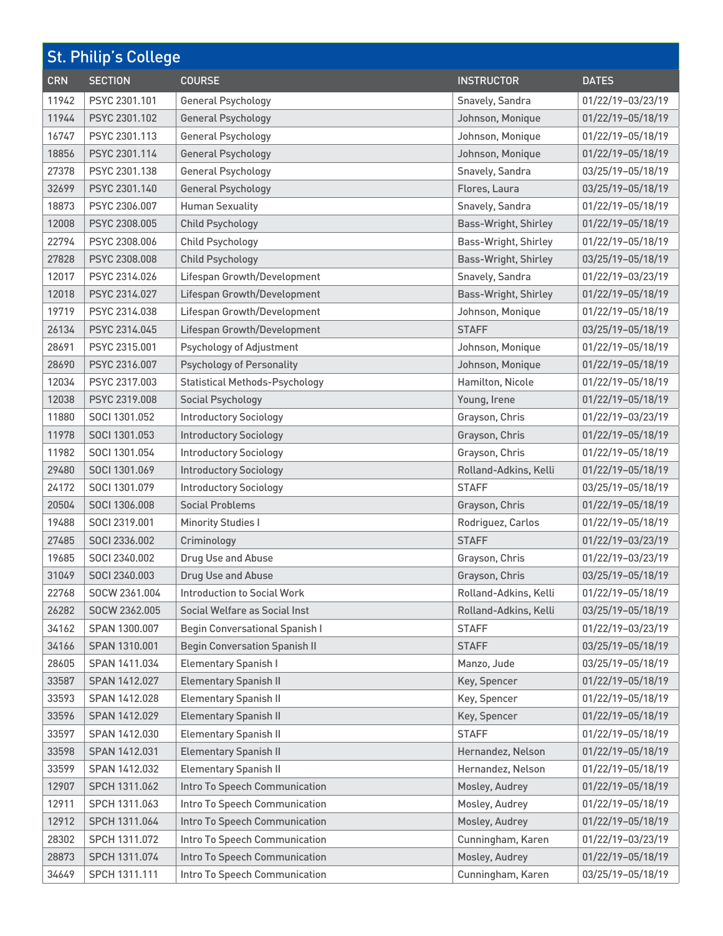| <b>St. Philip's College</b> |                |                                       |                             |                   |
|-----------------------------|----------------|---------------------------------------|-----------------------------|-------------------|
| <b>CRN</b>                  | <b>SECTION</b> | <b>COURSE</b>                         | <b>INSTRUCTOR</b>           | <b>DATES</b>      |
| 11942                       | PSYC 2301.101  | <b>General Psychology</b>             | Snavely, Sandra             | 01/22/19-03/23/19 |
| 11944                       | PSYC 2301.102  | <b>General Psychology</b>             | Johnson, Monique            | 01/22/19-05/18/19 |
| 16747                       | PSYC 2301.113  | <b>General Psychology</b>             | Johnson, Monique            | 01/22/19-05/18/19 |
| 18856                       | PSYC 2301.114  | <b>General Psychology</b>             | Johnson, Monique            | 01/22/19-05/18/19 |
| 27378                       | PSYC 2301.138  | <b>General Psychology</b>             | Snavely, Sandra             | 03/25/19-05/18/19 |
| 32699                       | PSYC 2301.140  | <b>General Psychology</b>             | Flores, Laura               | 03/25/19-05/18/19 |
| 18873                       | PSYC 2306.007  | <b>Human Sexuality</b>                | Snavely, Sandra             | 01/22/19-05/18/19 |
| 12008                       | PSYC 2308.005  | <b>Child Psychology</b>               | <b>Bass-Wright, Shirley</b> | 01/22/19-05/18/19 |
| 22794                       | PSYC 2308.006  | <b>Child Psychology</b>               | Bass-Wright, Shirley        | 01/22/19-05/18/19 |
| 27828                       | PSYC 2308.008  | <b>Child Psychology</b>               | <b>Bass-Wright, Shirley</b> | 03/25/19-05/18/19 |
| 12017                       | PSYC 2314.026  | Lifespan Growth/Development           | Snavely, Sandra             | 01/22/19-03/23/19 |
| 12018                       | PSYC 2314.027  | <b>Lifespan Growth/Development</b>    | <b>Bass-Wright, Shirley</b> | 01/22/19-05/18/19 |
| 19719                       | PSYC 2314.038  | Lifespan Growth/Development           | Johnson, Monique            | 01/22/19-05/18/19 |
| 26134                       | PSYC 2314.045  | Lifespan Growth/Development           | <b>STAFF</b>                | 03/25/19-05/18/19 |
| 28691                       | PSYC 2315.001  | <b>Psychology of Adjustment</b>       | Johnson, Monique            | 01/22/19-05/18/19 |
| 28690                       | PSYC 2316.007  | <b>Psychology of Personality</b>      | Johnson, Monique            | 01/22/19-05/18/19 |
| 12034                       | PSYC 2317.003  | <b>Statistical Methods-Psychology</b> | Hamilton, Nicole            | 01/22/19-05/18/19 |
| 12038                       | PSYC 2319.008  | Social Psychology                     | Young, Irene                | 01/22/19-05/18/19 |
| 11880                       | SOCI 1301.052  | <b>Introductory Sociology</b>         | Grayson, Chris              | 01/22/19-03/23/19 |
| 11978                       | SOCI 1301.053  | <b>Introductory Sociology</b>         | Grayson, Chris              | 01/22/19-05/18/19 |
| 11982                       | SOCI 1301.054  | <b>Introductory Sociology</b>         | Grayson, Chris              | 01/22/19-05/18/19 |
| 29480                       | SOCI 1301.069  | <b>Introductory Sociology</b>         | Rolland-Adkins, Kelli       | 01/22/19-05/18/19 |
| 24172                       | SOCI 1301.079  | <b>Introductory Sociology</b>         | <b>STAFF</b>                | 03/25/19-05/18/19 |
| 20504                       | SOCI 1306.008  | <b>Social Problems</b>                | Grayson, Chris              | 01/22/19-05/18/19 |
| 19488                       | SOCI 2319.001  | <b>Minority Studies I</b>             | Rodriguez, Carlos           | 01/22/19-05/18/19 |
| 27485                       | SOCI 2336.002  | Criminology                           | <b>STAFF</b>                | 01/22/19-03/23/19 |
| 19685                       | SOCI 2340.002  | Drug Use and Abuse                    | Grayson, Chris              | 01/22/19-03/23/19 |
| 31049                       | SOCI 2340.003  | Drug Use and Abuse                    | Grayson, Chris              | 03/25/19-05/18/19 |
| 22768                       | SOCW 2361.004  | <b>Introduction to Social Work</b>    | Rolland-Adkins, Kelli       | 01/22/19-05/18/19 |
| 26282                       | SOCW 2362.005  | Social Welfare as Social Inst         | Rolland-Adkins, Kelli       | 03/25/19-05/18/19 |
| 34162                       | SPAN 1300.007  | <b>Begin Conversational Spanish I</b> | <b>STAFF</b>                | 01/22/19-03/23/19 |
| 34166                       | SPAN 1310.001  | <b>Begin Conversation Spanish II</b>  | <b>STAFF</b>                | 03/25/19-05/18/19 |
| 28605                       | SPAN 1411.034  | <b>Elementary Spanish I</b>           | Manzo, Jude                 | 03/25/19-05/18/19 |
| 33587                       | SPAN 1412.027  | <b>Elementary Spanish II</b>          | Key, Spencer                | 01/22/19-05/18/19 |
| 33593                       | SPAN 1412.028  | <b>Elementary Spanish II</b>          | Key, Spencer                | 01/22/19-05/18/19 |
| 33596                       | SPAN 1412.029  | <b>Elementary Spanish II</b>          | Key, Spencer                | 01/22/19-05/18/19 |
| 33597                       | SPAN 1412.030  | <b>Elementary Spanish II</b>          | <b>STAFF</b>                | 01/22/19-05/18/19 |
| 33598                       | SPAN 1412.031  | <b>Elementary Spanish II</b>          | Hernandez, Nelson           | 01/22/19-05/18/19 |
| 33599                       | SPAN 1412.032  | <b>Elementary Spanish II</b>          | Hernandez, Nelson           | 01/22/19-05/18/19 |
| 12907                       | SPCH 1311.062  | Intro To Speech Communication         | Mosley, Audrey              | 01/22/19-05/18/19 |
| 12911                       | SPCH 1311.063  | Intro To Speech Communication         | Mosley, Audrey              | 01/22/19-05/18/19 |
| 12912                       | SPCH 1311.064  | Intro To Speech Communication         | Mosley, Audrey              | 01/22/19-05/18/19 |
| 28302                       | SPCH 1311.072  | Intro To Speech Communication         | Cunningham, Karen           | 01/22/19-03/23/19 |
| 28873                       | SPCH 1311.074  | Intro To Speech Communication         | Mosley, Audrey              | 01/22/19-05/18/19 |
| 34649                       | SPCH 1311.111  | Intro To Speech Communication         | Cunningham, Karen           | 03/25/19-05/18/19 |